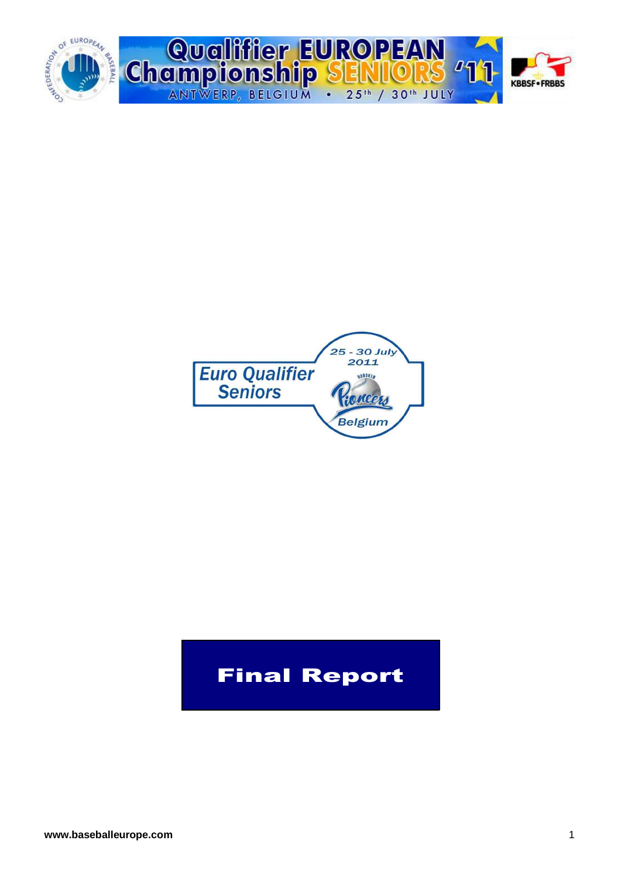



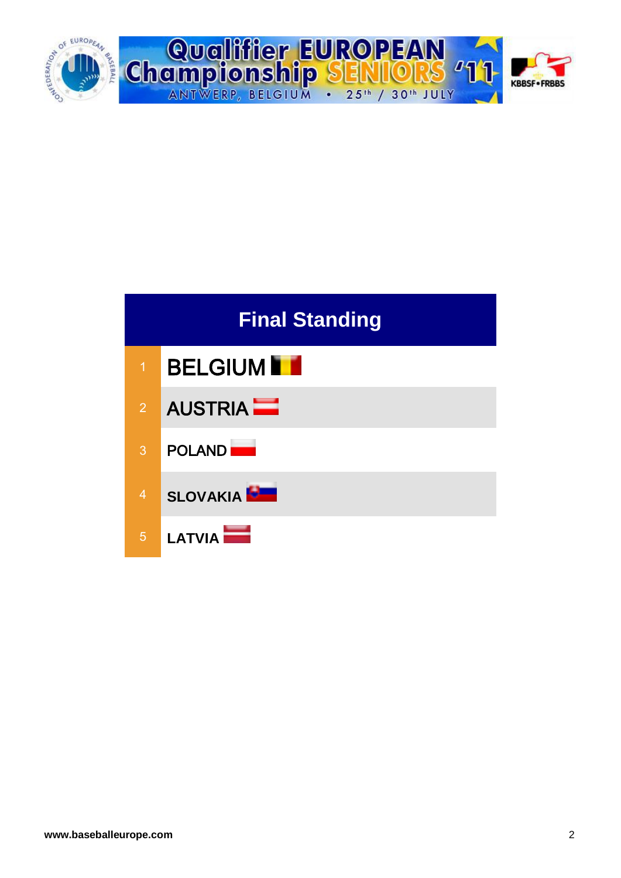



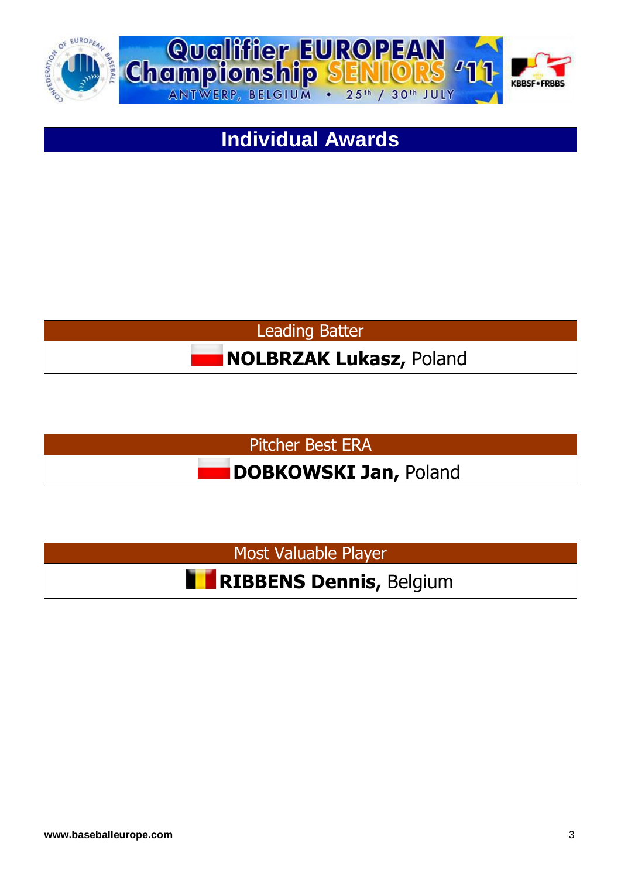



## **Individual Awards**





Most Valuable Player

**RIBBENS Dennis,** Belgium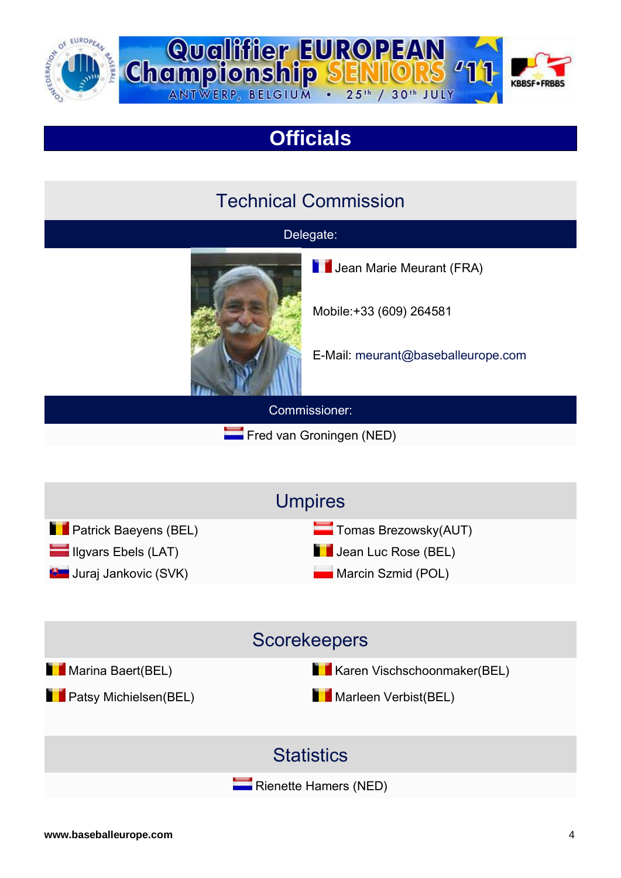



## **Officials**

### Technical Commission

#### Delegate:



Commissioner:

**Fred van Groningen (NED)** 

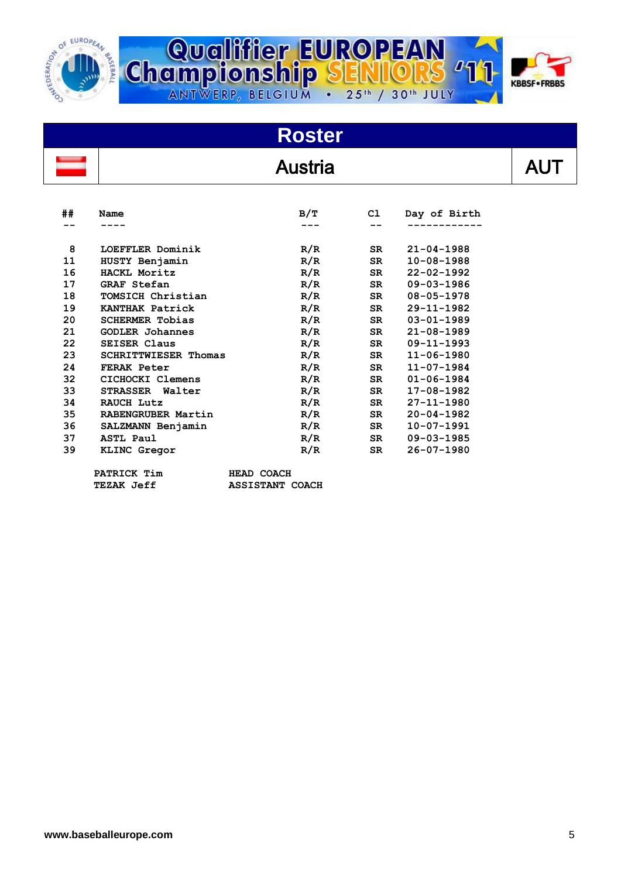



# **Roster**

### **Austria**

| I |  |
|---|--|

| ## | Name                        | B/T | C1        | Day of Birth     |
|----|-----------------------------|-----|-----------|------------------|
|    |                             |     |           |                  |
| 8  | LOEFFLER Dominik            | R/R | <b>SR</b> | $21 - 04 - 1988$ |
| 11 | HUSTY Benjamin              | R/R | SR.       | $10 - 08 - 1988$ |
| 16 | HACKL Moritz                | R/R | SR        | $22 - 02 - 1992$ |
| 17 | <b>GRAF Stefan</b>          | R/R | SR        | $09 - 03 - 1986$ |
| 18 | TOMSICH Christian           | R/R | SR.       | $08 - 05 - 1978$ |
| 19 | KANTHAK Patrick             | R/R | SR        | $29 - 11 - 1982$ |
| 20 | <b>SCHERMER Tobias</b>      | R/R | SR.       | $03 - 01 - 1989$ |
| 21 | <b>GODLER Johannes</b>      | R/R | SR        | $21 - 08 - 1989$ |
| 22 | <b>SEISER Claus</b>         | R/R | <b>SR</b> | $09 - 11 - 1993$ |
| 23 | <b>SCHRITTWIESER Thomas</b> | R/R | <b>SR</b> | $11 - 06 - 1980$ |
| 24 | FERAK Peter                 | R/R | <b>SR</b> | $11 - 07 - 1984$ |
| 32 | CICHOCKI Clemens            | R/R | SR        | $01 - 06 - 1984$ |
| 33 | STRASSER Walter             | R/R | <b>SR</b> | $17 - 08 - 1982$ |
| 34 | RAUCH Lutz                  | R/R | SR.       | $27 - 11 - 1980$ |
| 35 | <b>RABENGRUBER Martin</b>   | R/R | <b>SR</b> | $20 - 04 - 1982$ |
| 36 | SALZMANN Benjamin           | R/R | <b>SR</b> | $10 - 07 - 1991$ |
| 37 | <b>ASTL Paul</b>            | R/R | SR        | $09 - 03 - 1985$ |
| 39 | KLINC Gregor                | R/R | SR.       | $26 - 07 - 1980$ |

 **PATRICK Tim HEAD COACH**

 **TEZAK Jeff ASSISTANT COACH**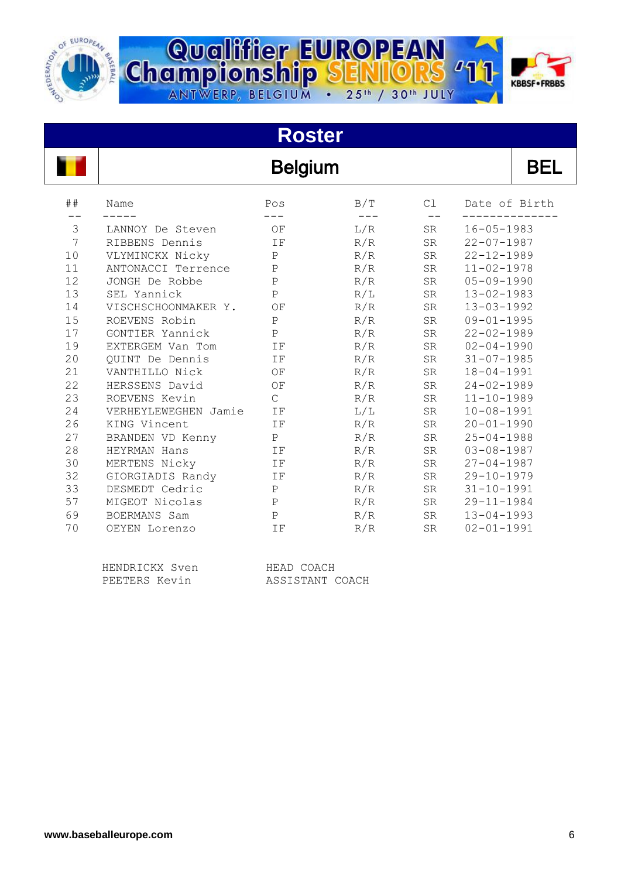



#### **Roster** Belgium BEL ## Name Pos B/T Cl Date of Birth -- ----- --- --- -- -------------- 3 LANNOY De Steven OF L/R SR 16-05-1983 7 RIBBENS Dennis IF R/R SR 22-07-1987 10 VLYMINCKX Nicky P R/R SR 22-12-1989 11 ANTONACCI Terrence P R/R SR 11-02-1978 12 JONGH De Robbe P R/R SR 05-09-1990 13 SEL Yannick P R/L SR 13-02-1983 14 VISCHSCHOONMAKER Y. OF R/R SR 13-03-1992 15 ROEVENS Robin P R/R SR 09-01-1995 17 GONTIER Yannick P R/R SR 22-02-1989 19 EXTERGEM Van Tom IF R/R SR 02-04-1990 20 QUINT De Dennis IF R/R SR 31-07-1985 21 VANTHILLO Nick OF R/R SR 18-04-1991 22 HERSSENS David OF R/R SR 24-02-1989 23 ROEVENS Kevin C R/R SR 11-10-1989 24 VERHEYLEWEGHEN Jamie IF L/L SR 10-08-1991 26 KING Vincent IF R/R SR 20-01-1990 27 BRANDEN VD Kenny P R/R SR 25-04-1988 28 HEYRMAN Hans IF R/R SR 03-08-1987 30 MERTENS Nicky 1F R/R SR 27-04-1987 32 GIORGIADIS Randy IF R/R SR 29-10-1979 33 DESMEDT Cedric P R/R SR 31-10-1991 57 MIGEOT Nicolas P R/R SR 29-11-1984 69 BOERMANS Sam P R/R SR 13-04-1993 70 OEYEN Lorenzo IF R/R SR 02-01-1991

Qualifier EUROPEAN<br>Championship SENIIORS

ANTWERP, BELGIUM . 25th / 30th JULY

| HENDRICKX Sven | HEAD COACH      |
|----------------|-----------------|
| PEETERS Kevin  | ASSISTANT COACH |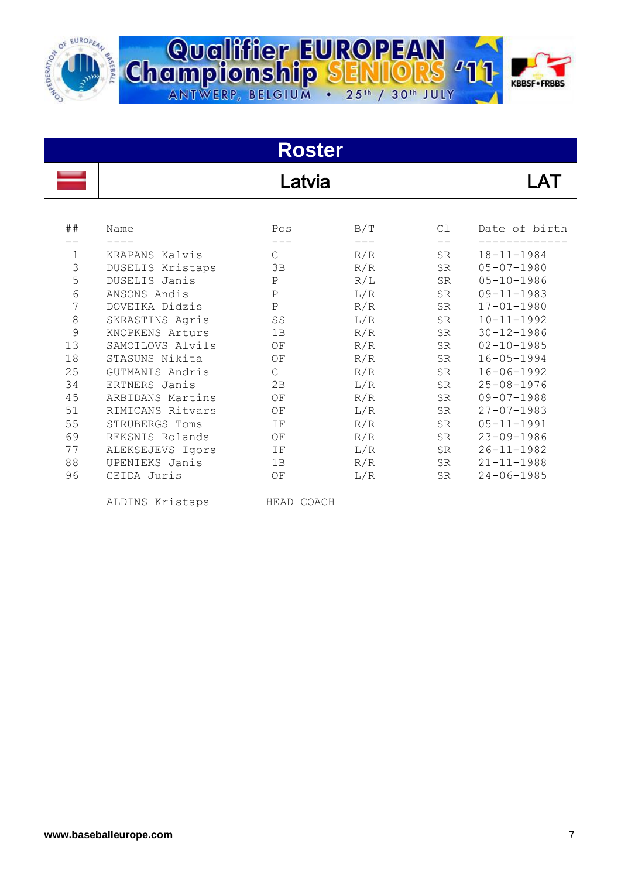

| <b>Dalifier EUROPEAN<br/>Pionship SENIORS '11 Part</b>   |          |
|----------------------------------------------------------|----------|
|                                                          | KBBSF.FI |
| WERP, BELGIUM . 25 <sup>th</sup> / 30 <sup>th</sup> JULY |          |

| <b>Roster</b> |                  |                   |     |           |                  |  |  |  |  |  |  |  |
|---------------|------------------|-------------------|-----|-----------|------------------|--|--|--|--|--|--|--|
|               | Latvia           |                   |     |           |                  |  |  |  |  |  |  |  |
| ##            | Name             | Pos               | B/T | Cl        | Date of birth    |  |  |  |  |  |  |  |
|               |                  |                   |     |           |                  |  |  |  |  |  |  |  |
| $\mathbf{1}$  | KRAPANS Kalvis   | $\mathsf{C}$      | R/R | <b>SR</b> | $18 - 11 - 1984$ |  |  |  |  |  |  |  |
| 3             | DUSELIS Kristaps | 3B                | R/R | SR        | $05 - 07 - 1980$ |  |  |  |  |  |  |  |
| 5             | DUSELIS Janis    | $\mathbf P$       | R/L | <b>SR</b> | $05 - 10 - 1986$ |  |  |  |  |  |  |  |
| $\epsilon$    | ANSONS Andis     | $\, {\bf P}$      | L/R | SR        | $09 - 11 - 1983$ |  |  |  |  |  |  |  |
| 7             | DOVEIKA Didzis   | $\, {\bf P}$      | R/R | SR        | $17 - 01 - 1980$ |  |  |  |  |  |  |  |
| $\,8\,$       | SKRASTINS Agris  | ${\cal S\,S}$     | L/R | SR        | $10 - 11 - 1992$ |  |  |  |  |  |  |  |
| 9             | KNOPKENS Arturs  | 1B                | R/R | SR        | $30 - 12 - 1986$ |  |  |  |  |  |  |  |
| 13            | SAMOILOVS Alvils | $\mathop{\rm OF}$ | R/R | SR        | $02 - 10 - 1985$ |  |  |  |  |  |  |  |
| 18            | STASUNS Nikita   | OF                | R/R | SR        | $16 - 05 - 1994$ |  |  |  |  |  |  |  |
| 25            | GUTMANIS Andris  | C                 | R/R | SR        | $16 - 06 - 1992$ |  |  |  |  |  |  |  |
| 34            | ERTNERS Janis    | 2B                | L/R | SR        | $25 - 08 - 1976$ |  |  |  |  |  |  |  |
| 45            | ARBIDANS Martins | OF                | R/R | <b>SR</b> | $09 - 07 - 1988$ |  |  |  |  |  |  |  |
| 51            | RIMICANS Ritvars | ΟF                | L/R | SR        | $27 - 07 - 1983$ |  |  |  |  |  |  |  |
| 55            | STRUBERGS Toms   | IF                | R/R | SR        | $05 - 11 - 1991$ |  |  |  |  |  |  |  |
| 69            | REKSNIS Rolands  | OF                | R/R | SR        | $23 - 09 - 1986$ |  |  |  |  |  |  |  |
| 77            | ALEKSEJEVS Igors | IF                | L/R | SR        | $26 - 11 - 1982$ |  |  |  |  |  |  |  |
| 88            | UPENIEKS Janis   | 1B                | R/R | SR        | $21 - 11 - 1988$ |  |  |  |  |  |  |  |
| 96            | GEIDA Juris      | OF                | L/R | SR        | $24 - 06 - 1985$ |  |  |  |  |  |  |  |

ALDINS Kristaps HEAD COACH

**BB**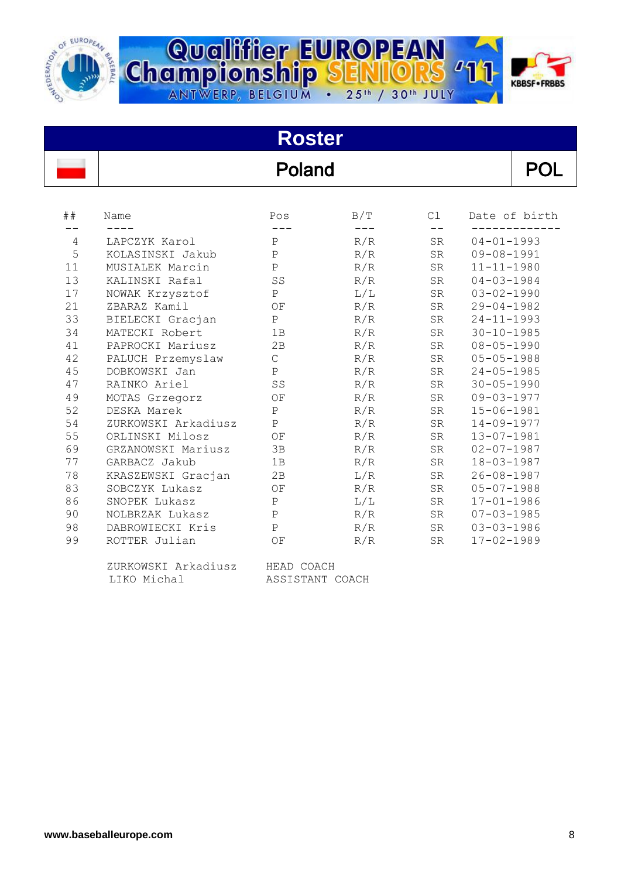



#### **Roster** Poland POL ## Name Pos B/T Cl Date of birth -- ---- --- --- -- ------------- 4 LAPCZYK Karol P R/R SR 04-01-1993 5 KOLASINSKI Jakub P R/R SR 09-08-1991 11 MUSIALEK Marcin P R/R SR 11-11-1980 13 KALINSKI Rafal SS R/R SR 04-03-1984 17 NOWAK Krzysztof P L/L SR 03-02-1990 21 ZBARAZ Kamil OF R/R SR 29-04-1982 33 BIELECKI Gracjan P R/R SR 24-11-1993 34 MATECKI Robert 1B R/R SR 30-10-1985 41 PAPROCKI Mariusz 2B R/R SR 08-05-1990 42 PALUCH Przemyslaw C R/R SR 05-05-1988 45 DOBKOWSKI Jan P R/R SR 24-05-1985 47 RAINKO Ariel SS R/R SR 30-05-1990 49 MOTAS Grzegorz OF R/R SR 09-03-1977 52 DESKA Marek P R/R SR 15-06-1981 54 ZURKOWSKI Arkadiusz P R/R SR 14-09-1977 55 ORLINSKI Milosz OF R/R SR 13-07-1981 69 GRZANOWSKI Mariusz 3B R/R SR 02-07-1987 77 GARBACZ Jakub 1B R/R SR 18-03-1987 78 KRASZEWSKI Gracjan 2B L/R SR 26-08-1987 83 SOBCZYK Lukasz OF R/R SR 05-07-1988 86 SNOPEK Lukasz P L/L SR 17-01-1986 90 NOLBRZAK Lukasz P R/R SR 07-03-1985 98 DABROWIECKI Kris P R/R SR 03-03-1986 99 ROTTER Julian OF R/R SR 17-02-1989

| ZURKOWSKI Arkadiusz | HEAD COACH      |  |
|---------------------|-----------------|--|
| LIKO Michal         | ASSISTANT COACH |  |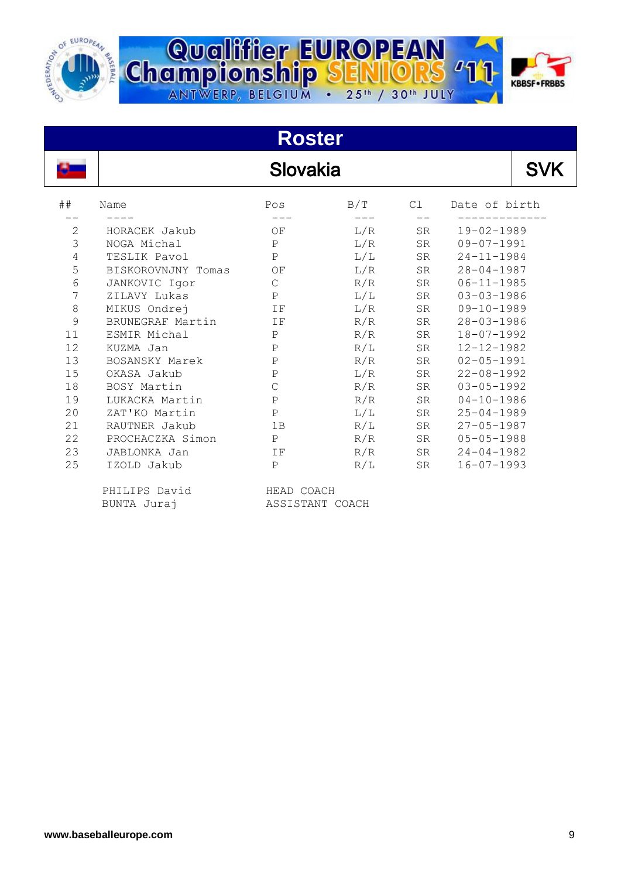



# **Roster**

# Slovakia

| ##           | Name               | Pos           | B/T | C1 | Date of birth    |
|--------------|--------------------|---------------|-----|----|------------------|
|              |                    |               |     |    |                  |
| $\mathbf{2}$ | HORACEK Jakub      | ΟF            | L/R | SR | $19 - 02 - 1989$ |
| 3            | NOGA Michal        | P             | L/R | SR | $09 - 07 - 1991$ |
| 4            | TESLIK Pavol       | $\mathsf{P}$  | L/L | SR | $24 - 11 - 1984$ |
| 5            | BISKOROVNJNY Tomas | ΟF            | L/R | SR | $28 - 04 - 1987$ |
| 6            | JANKOVIC Igor      | $\mathcal{C}$ | R/R | SR | $06 - 11 - 1985$ |
| 7            | ZILAVY Lukas       | $\mathbf{P}$  | L/L | SR | $03 - 03 - 1986$ |
| 8            | MIKUS Ondrej       | IF            | L/R | SR | $09 - 10 - 1989$ |
| 9            | BRUNEGRAF Martin   | IF            | R/R | SR | $28 - 03 - 1986$ |
| 11           | ESMIR Michal       | $\mathbf P$   | R/R | SR | $18 - 07 - 1992$ |
| 12           | KUZMA Jan          | $\, {\bf P}$  | R/L | SR | $12 - 12 - 1982$ |
| 13           | BOSANSKY Marek     | $\, {\bf P}$  | R/R | SR | $02 - 05 - 1991$ |
| 15           | OKASA Jakub        | $\mathbf P$   | L/R | SR | $22 - 08 - 1992$ |
| 18           | BOSY Martin        | $\mathsf{C}$  | R/R | SR | $03 - 05 - 1992$ |
| 19           | LUKACKA Martin     | $\mathbf P$   | R/R | SR | $04 - 10 - 1986$ |
| 20           | ZAT'KO Martin      | $\mathbf P$   | L/L | SR | $25 - 04 - 1989$ |
| 21           | RAUTNER Jakub      | 1B            | R/L | SR | $27 - 05 - 1987$ |
| 22           | PROCHACZKA Simon   | P             | R/R | SR | $05 - 05 - 1988$ |
| 23           | JABLONKA Jan       | IF            | R/R | SR | $24 - 04 - 1982$ |
| 25           | IZOLD Jakub        | $\mathsf{P}$  | R/L | SR | $16 - 07 - 1993$ |

PHILIPS David HEAD COACH BUNTA Juraj ASSISTANT COACH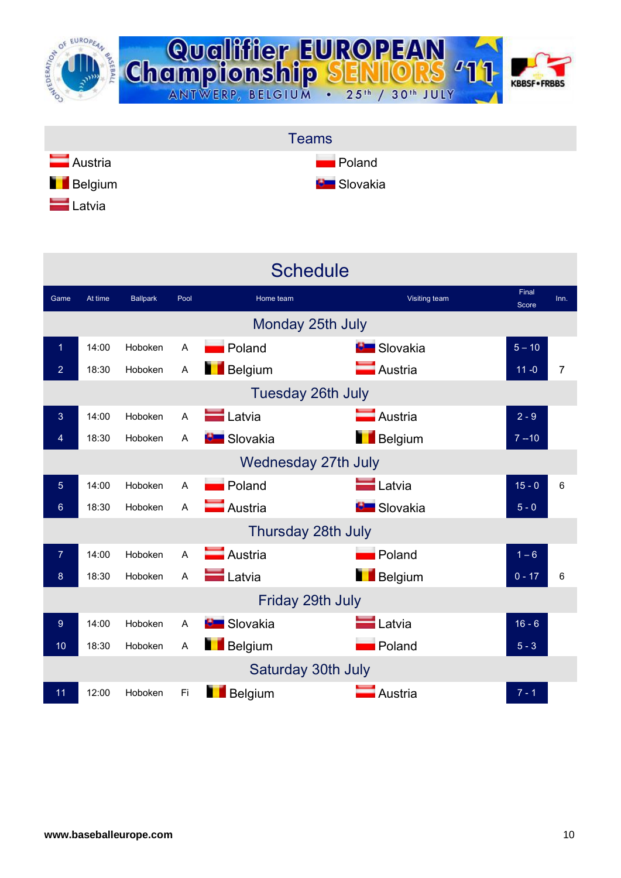





|                |                          |                 |                | <b>Schedule</b>    |                       |                |      |  |  |  |  |
|----------------|--------------------------|-----------------|----------------|--------------------|-----------------------|----------------|------|--|--|--|--|
| Game           | At time                  | <b>Ballpark</b> | Pool           | Home team          | Visiting team         | Final<br>Score | Inn. |  |  |  |  |
|                | Monday 25th July         |                 |                |                    |                       |                |      |  |  |  |  |
| 1              | 14:00                    | Hoboken         | A              | <b>Poland</b>      | <b>B</b> Slovakia     | $5 - 10$       |      |  |  |  |  |
| 2              | 18:30                    | Hoboken         | A              | <b>Belgium</b>     | Austria               | $11 - 0$       | 7    |  |  |  |  |
|                | <b>Tuesday 26th July</b> |                 |                |                    |                       |                |      |  |  |  |  |
| 3              | 14:00                    | Hoboken         | A              | <b>Latvia</b>      | Austria               | $2 - 9$        |      |  |  |  |  |
| 4              | 18:30                    | Hoboken         | A              | <b>B</b> Slovakia  | Belgium               | $7 - 10$       |      |  |  |  |  |
|                | Wednesday 27th July      |                 |                |                    |                       |                |      |  |  |  |  |
| 5              | 14:00                    | Hoboken         | A              | <b>Poland</b>      | $\blacksquare$ Latvia | $15 - 0$       | 6    |  |  |  |  |
| 6              | 18:30                    | Hoboken         | A              | Austria            | <b>B</b> Slovakia     | $5 - 0$        |      |  |  |  |  |
|                |                          |                 |                | Thursday 28th July |                       |                |      |  |  |  |  |
| $\overline{7}$ | 14:00                    | Hoboken         | A              | Austria            | Poland                | $1 - 6$        |      |  |  |  |  |
| 8              | 18:30                    | Hoboken         | $\overline{A}$ | Latvia             | Belgium               | $0 - 17$       | 6    |  |  |  |  |
|                |                          |                 |                | Friday 29th July   |                       |                |      |  |  |  |  |
| 9              | 14:00                    | Hoboken         | A              | <b>E</b> Slovakia  | <b>L</b> atvia        | $16 - 6$       |      |  |  |  |  |
| 10             | 18:30                    | Hoboken         | A              | <b>Belgium</b>     | Poland                | $5 - 3$        |      |  |  |  |  |
|                |                          |                 |                | Saturday 30th July |                       |                |      |  |  |  |  |
| 11             | 12:00                    | Hoboken         | Fi             | Belgium            | Austria               | $7 - 1$        |      |  |  |  |  |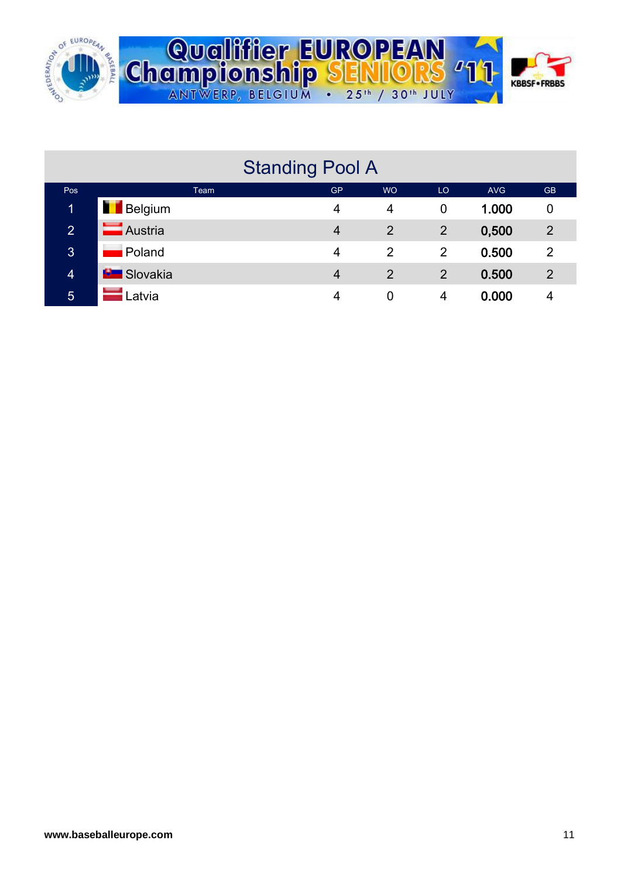



| <b>Standing Pool A</b> |                          |                |           |                |            |                |  |  |  |  |  |  |  |
|------------------------|--------------------------|----------------|-----------|----------------|------------|----------------|--|--|--|--|--|--|--|
| Pos                    | Team                     | <b>GP</b>      | <b>WO</b> | LO             | <b>AVG</b> | <b>GB</b>      |  |  |  |  |  |  |  |
| 1                      | <b>Belgium</b>           | 4              | 4         | 0              | 1.000      | 0              |  |  |  |  |  |  |  |
| $\overline{2}$         | Austria                  | $\overline{4}$ | 2         | $\overline{2}$ | 0,500      | $\overline{2}$ |  |  |  |  |  |  |  |
| 3                      | Poland                   | 4              | 2         | 2              | 0.500      | $\overline{2}$ |  |  |  |  |  |  |  |
| $\overline{4}$         | <b>Exercise Slovakia</b> | $\overline{4}$ | 2         | 2              | 0.500      | 2              |  |  |  |  |  |  |  |
| 5                      | Latvia                   | 4              | 0         | 4              | 0.000      | 4              |  |  |  |  |  |  |  |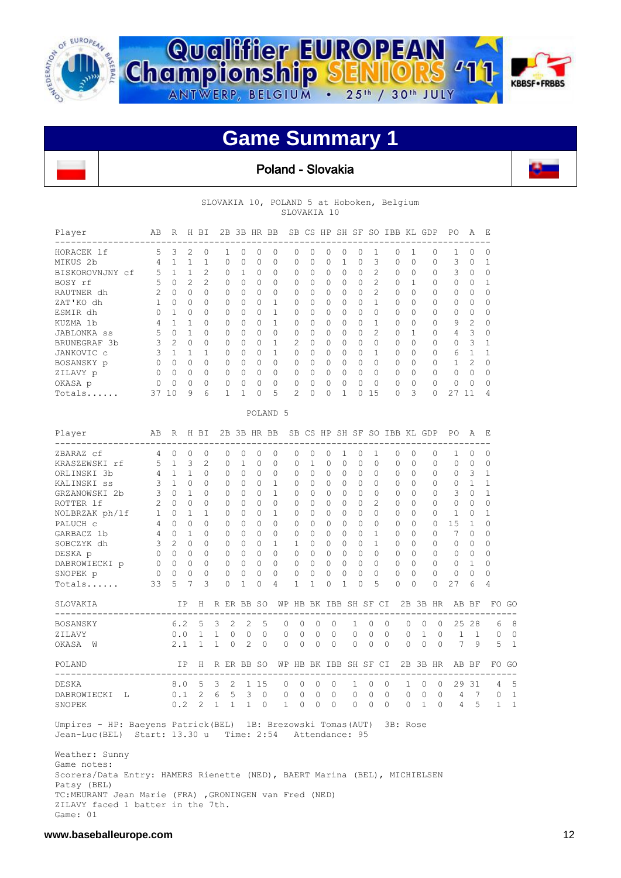

 $\mathbf{r}$ 



### **Game Summary 1**

#### Poland - Slovakia



SLOVAKIA 10, POLAND 5 at Hoboken, Belgium SLOVAKIA 10

| Player             | AB            | R              | Н              | BI             | 2B       |          | 3B HR    | BB                  | SB.      | CS       | HP       | SH       | SF       | <b>SO</b>     | <b>IBB</b>   | KL | GDP      | PO. | A              | E        |
|--------------------|---------------|----------------|----------------|----------------|----------|----------|----------|---------------------|----------|----------|----------|----------|----------|---------------|--------------|----|----------|-----|----------------|----------|
| HORACEK 1f         | 5             | 3              | $\mathfrak{D}$ | $\Omega$       |          |          | $\Omega$ | 0                   | $\Omega$ | $\cap$   | 0        | $\Omega$ | 0        |               | 0            |    | 0        |     | $\Omega$       | 0        |
| MIKUS 2b           | 4             |                |                |                | $\Omega$ | $\Omega$ | 0        | 0                   | $\Omega$ | $\Omega$ | 0        |          | $\Omega$ | 3             | $\Omega$     | 0  | 0        | 3   | $\Omega$       |          |
| BISKOROVNJNY cf    | 5.            |                |                | $\overline{2}$ | 0        |          | $\Omega$ | 0                   | 0        | $\Omega$ | 0        | 0        | 0        | $\mathcal{D}$ | $\Omega$     | 0  | 0        | 3   | 0              | 0        |
| BOSY rf            | 5             | $\Omega$       | 2              | $\mathfrak{D}$ | $\Omega$ | $\Omega$ | 0        | 0                   | $\Omega$ | $\Omega$ | 0        | $\Omega$ | $\Omega$ | $\mathcal{D}$ | $\Omega$     |    | 0        | 0   | $\Omega$       |          |
| RAUTNER dh         | $\mathcal{L}$ | $\Omega$       | 0              | $\Omega$       | $\Omega$ | $\Omega$ | 0        | 0                   | $\Omega$ | $\Omega$ | 0        | $\Omega$ | $\Omega$ | $\mathcal{D}$ | $\Omega$     | 0  | 0        | 0   | $\Omega$       | 0        |
| ZAT'KO dh          |               | $\Omega$       | 0              | $\circ$        | 0        | $\Omega$ | 0        | 1                   | 0        | $\Omega$ | 0        | 0        | $\Omega$ |               | $\mathbf{0}$ | 0  | 0        | 0   | $\Omega$       | 0        |
| ESMIR dh           |               |                | $\Omega$       | 0              | $\Omega$ | $\Omega$ | $\Omega$ |                     | $\Omega$ | $\Omega$ | 0        | $\Omega$ | $\Omega$ | $\Omega$      | 0            | 0  | 0        | 0   | $\Omega$       | 0        |
| KUZMA 1b           | 4             |                |                | $\Omega$       | $\Omega$ | $\Omega$ | $\Omega$ |                     | 0        | $\Omega$ | 0        | $\Omega$ | $\Omega$ |               | $\Omega$     | 0  | $\Omega$ | 9   | $\mathfrak{D}$ | $\Omega$ |
| <b>JABLONKA</b> ss | 5             | $\Omega$       |                | $\Omega$       | $\Omega$ | $\Omega$ | 0        | 0                   | $\Omega$ | $\Omega$ | 0        | $\Omega$ | $\Omega$ | $\mathcal{D}$ | $\Omega$     |    | 0        | 4   | 3              | 0        |
| BRUNEGRAF 3b       | 3             | $\mathfrak{D}$ | $\Omega$       | $\circ$        | $\Omega$ | $\Omega$ | 0        |                     | 2        | $\Omega$ | 0        | $\Omega$ | $\Omega$ | $\Omega$      | $\Omega$     | 0  | 0        | 0   | 3              |          |
| JANKOVIC c         | 3             |                |                |                | $\Omega$ | $\Omega$ | $\Omega$ |                     | 0        | $\Omega$ | $\Omega$ | $\Omega$ | $\Omega$ |               | $\Omega$     | 0  | 0        | 6   |                |          |
| BOSANSKY p         | $\Omega$      | $\Omega$       | 0              | $\Omega$       | $\Omega$ | $\Omega$ | 0        | $\Omega$            | $\Omega$ | $\Omega$ | 0        | $\Omega$ | $\Omega$ | $\Omega$      | 0            | 0  | $\Omega$ |     |                | $\Omega$ |
| ZILAVY p           | $\Omega$      | $\Omega$       | 0              | 0              | $\Omega$ | $\Omega$ | 0        | 0                   | $\Omega$ | $\Omega$ | 0        | $\Omega$ | $\Omega$ | $\Omega$      | 0            | 0  | $\Omega$ | 0   | $\Omega$       | 0        |
| OKASA p            | 0             | $\Omega$       | 0              | 0              | 0        | $\Omega$ | 0        | 0                   | $\circ$  | $\Omega$ | 0        | $\Omega$ | $\Omega$ | $\Omega$      | 0            | 0  | 0        | 0   | $\Omega$       | $\Omega$ |
| Totals             | 37            | 10             | 9              | 6              |          |          | 0        | 5                   | 2        | $\Omega$ | 0        |          | 0        | 15            | 0            | 3  | 0        | 2.7 | 11             | 4        |
|                    |               |                |                |                |          |          |          | POLAND <sub>5</sub> |          |          |          |          |          |               |              |    |          |     |                |          |

| Player                                                        | AB             | R              |              | H BI           |              | 2B 3B HR BB    |                |          |              |              | SB CS HP SH SF SO IBB KL GDP |          |          |              |              |             |          |          |              |          | PO             | Α        | E            |              |
|---------------------------------------------------------------|----------------|----------------|--------------|----------------|--------------|----------------|----------------|----------|--------------|--------------|------------------------------|----------|----------|--------------|--------------|-------------|----------|----------|--------------|----------|----------------|----------|--------------|--------------|
| ZBARAZ cf                                                     | 4              | $\Omega$       | $\Omega$     | $\Omega$       | 0            | $\Omega$       |                | 0        | $\Omega$     | $\Omega$     | $\Omega$                     | $\Omega$ | 1        | $\Omega$     | 1            |             | $\Omega$ | $\Omega$ |              | 0        | 1.             | $\Omega$ | $\Omega$     |              |
| KRASZEWSKI rf                                                 | 5              | $\mathbf{1}$   | 3            | 2              | $\Omega$     | 1              |                | $\Omega$ | 0            | $\Omega$     | 1.                           | $\Omega$ | $\Omega$ | $\Omega$     | $\Omega$     |             | $\Omega$ | 0        |              | $\Omega$ | 0              | $\Omega$ | $\Omega$     |              |
| ORLINSKI 3b                                                   | 4              | 1              | 1            | 0              | $\Omega$     | $\Omega$       |                | $\Omega$ | $\Omega$     | $\Omega$     | 0                            | $\Omega$ | $\Omega$ | $\Omega$     | $\Omega$     |             | $\Omega$ | $\Omega$ |              | $\Omega$ | $\Omega$       | 3        | 1            |              |
| KALINSKI ss                                                   | 3              | 1              | $\Omega$     | U              | $\Omega$     | $\cup$         |                | 0        | 1.           | $\Omega$     | 0                            | $\Omega$ | 0        | $\Omega$     | 0            |             | $\Omega$ | 0        |              | $\Omega$ | 0              | 1.       | 1            |              |
| GRZANOWSKI 2b                                                 | 3              | $\Omega$       | $\mathbf{1}$ | 0              | $\Omega$     | $\Omega$       |                | $\Omega$ | $\mathbf{1}$ | $\Omega$     | $\Omega$                     | $\Omega$ | $\Omega$ | $\Omega$     | $\Omega$     |             | $\Omega$ | $\Omega$ |              | $\Omega$ | 3              | $\Omega$ | $\mathbf{1}$ |              |
| ROTTER 1f                                                     | $\overline{c}$ | $\Omega$       | $\Omega$     | 0              | $\Omega$     | $\Omega$       |                | 0        | $\Omega$     | $\Omega$     | $\cap$                       | $\cap$   | $\Omega$ | $\Omega$     | 2            |             | $\Omega$ | $\Omega$ |              | $\Omega$ | $\Omega$       | $\cap$   | $\Omega$     |              |
| NOLBRZAK ph/lf                                                | $\mathbf{1}$   | $\cap$         | 1            | 1              | $\Omega$     | $\Omega$       |                | $\Omega$ | $\mathbf{1}$ | $\Omega$     | $\cap$                       | $\Omega$ | $\Omega$ | $\Omega$     | $\Omega$     |             | $\Omega$ | $\Omega$ |              | $\Omega$ | 1              | 0        | 1            |              |
| PALUCH C                                                      | 4              | $\Omega$       | $\Omega$     | 0              | $\Omega$     | $\Omega$       |                | $\Omega$ | $\Omega$     | $\Omega$     | $\Omega$                     | $\Omega$ | O        | $\Omega$     | $\Omega$     |             | $\Omega$ | $\Omega$ |              | $\Omega$ | 1.5            | 1        | $\Omega$     |              |
| GARBACZ 1b                                                    | 4              | $\Omega$       | 1            | 0              | $\Omega$     | $\Omega$       |                | $\Omega$ | $\Omega$     | $\Omega$     | $\Omega$                     | $\Omega$ | $\Omega$ | $\Omega$     | 1.           |             | $\Omega$ | $\Omega$ |              | $\Omega$ | 7              | $\Omega$ | $\Omega$     |              |
| SOBCZYK dh                                                    | 3              | $\mathfrak{D}$ | $\Omega$     | $\Omega$       | $\Omega$     | $\Omega$       |                | $\Omega$ | $\mathbf{1}$ | $\mathbf{1}$ | $\Omega$                     | $\Omega$ | $\Omega$ | $\Omega$     | $\mathbf{1}$ |             | $\Omega$ | $\Omega$ |              | $\Omega$ | $\Omega$       | $\Omega$ | $\Omega$     |              |
| DESKA p                                                       | $\Omega$       | $\Omega$       | $\Omega$     | 0              | $\Omega$     | $\Omega$       |                | $\Omega$ | $\Omega$     | $\Omega$     | $\Omega$                     | $\Omega$ | $\Omega$ | $\Omega$     | 0            |             | $\Omega$ | $\Omega$ |              | $\Omega$ | $\Omega$       | $\Omega$ | $\Omega$     |              |
| DABROWIECKI p                                                 | $\Omega$       | $\Omega$       | $\Omega$     | 0              | $\circ$      | $\Omega$       |                | $\Omega$ | $\Omega$     | $\Omega$     | $\Omega$                     | $\Omega$ | $\Omega$ | $\Omega$     | $\Omega$     |             | $\Omega$ | $\Omega$ |              | $\Omega$ | $\Omega$       | 1        | $\Omega$     |              |
| SNOPEK p                                                      | $\overline{0}$ | $\Omega$       | 0            | $\Omega$       | 0            | 0              |                | 0        | 0            | $\circ$      | $\Omega$                     | $\circ$  | $\Omega$ | 0            | 0            |             | 0        | $\Omega$ |              | $\Omega$ | $\mathbf{0}$   | $\Omega$ | 0            |              |
| Totals                                                        | 33             | 5              | 7            | 3              | $\Omega$     | 1              |                | O        | 4            | 1            | 1                            | $\Omega$ | 1        | O            | 5            |             | 0        | $\Omega$ |              | 0        | 27             | 6        | 4            |              |
| SLOVAKIA                                                      |                | IP             |              | H              | R ER BB SO   |                |                |          | WР           |              | HB BK IBB SH SF CI           |          |          |              |              |             | 2B       |          |              | 3B HR    |                | AB BF    | FO           | GC           |
| <b>BOSANSKY</b>                                               |                | 6.2            |              | 5              | 3            | 2              | 2              | 5        | 0            | $\Omega$     | $\circ$                      | $\Omega$ |          | $\mathbf{1}$ | $\mathbf 0$  | $\mathbf 0$ |          | $\circ$  | $\Omega$     | $\Omega$ | 25             | 28       | 6            | 8            |
| ZILAVY                                                        |                | 0.0            |              | $\mathbf{1}$   | $\mathbf{1}$ | $\Omega$       | $\Omega$       | $\Omega$ | 0            | $\mathbf{0}$ | 0                            | $\Omega$ |          | 0            | $\Omega$     | $\mathbf 0$ |          | $\Omega$ | $\mathbf{1}$ | $\Omega$ | $\mathbf{1}$   | 1        | $\Omega$     | 0            |
| OKASA W                                                       |                | 2.1            |              | $\mathbf{1}$   | $\mathbf{1}$ | $\Omega$       | $\mathfrak{D}$ | $\Omega$ | $\Omega$     | $\Omega$     | $\Omega$                     | $\Omega$ |          | $\Omega$     | $\Omega$     | $\Omega$    |          | $\Omega$ | $\Omega$     | $\Omega$ | 7              | 9        | 5            | 1            |
| POLAND                                                        |                | <b>TP</b>      |              | H              | R ER BB SO   |                |                |          | WΡ           |              | HB BK IBB SH SF CI           |          |          |              |              |             |          |          |              | 2B 3B HR |                | AB BF    |              | FO GC        |
| <b>DESKA</b>                                                  |                | 8.0            |              | $\overline{5}$ | 3            | $\mathfrak{D}$ | 1 15           |          | $\Omega$     | $\Omega$     | $\Omega$                     | $\Omega$ |          | 1            | $\Omega$     | $\circ$     |          | 1        | $\Omega$     | $\Omega$ | 29             | 31       | 4            | 5            |
| DABROWIECKI<br>- L                                            |                | 0.1            |              | $2^{\circ}$    | 6            | .5             | 3              | $\Omega$ | 0            | $\mathbf{0}$ | $\Omega$                     | $\Omega$ |          | $\Omega$     | $\Omega$     | $\mathbf 0$ |          | $\Omega$ | 0            | $\Omega$ | 4              | 7        | 0            | 1            |
| SNOPEK                                                        |                | 0.2            |              | $\mathcal{L}$  | $\mathbf{1}$ | $\mathbf{1}$   | $\mathbf{1}$   | $\Omega$ | $\mathbf{1}$ | $\Omega$     | $\Omega$                     | $\Omega$ |          | $\Omega$     | $\Omega$     | $\Omega$    |          | $\Omega$ | $\mathbf{1}$ | $\Omega$ | $\overline{4}$ | 5        | $\mathbf{1}$ | $\mathbf{1}$ |
| Umpires - HP: Baeyens Patrick (BEL) 1B: Brezowski Tomas (AUT) |                |                |              |                |              |                |                |          |              |              |                              |          |          |              |              |             | 3B: Rose |          |              |          |                |          |              |              |
| Jean-Luc (BEL)                                                | Start: 13.30 u |                |              |                |              | Time: 2:54     |                |          |              |              | Attendance: 95               |          |          |              |              |             |          |          |              |          |                |          |              |              |

 Weather: Sunny Game notes: Scorers/Data Entry: HAMERS Rienette (NED), BAERT Marina (BEL), MICHIELSEN Patsy (BEL) TC:MEURANT Jean Marie (FRA) ,GRONINGEN van Fred (NED) ZILAVY faced 1 batter in the 7th. Game: 01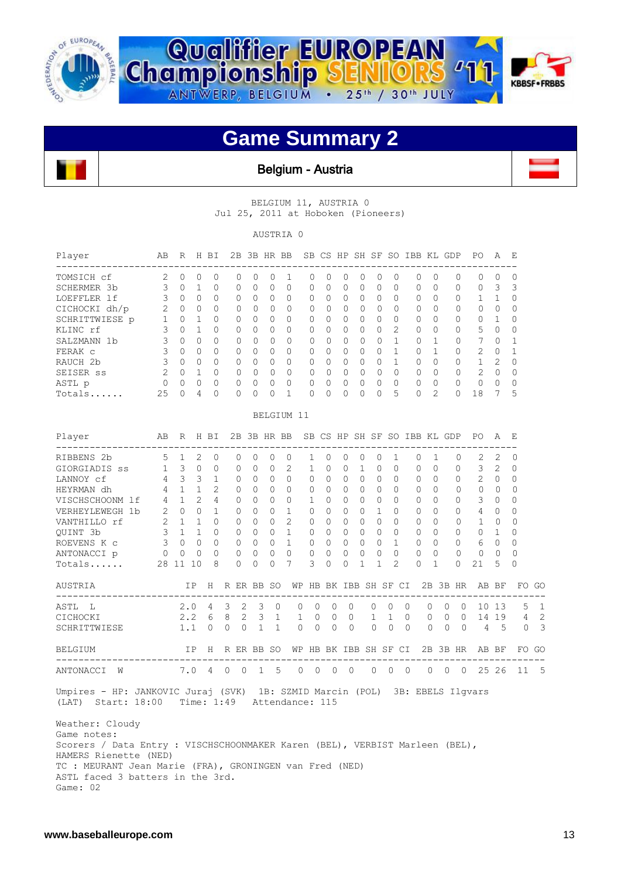





Belgium - Austria

BELGIUM 11, AUSTRIA 0 Jul 25, 2011 at Hoboken (Pioneers)

AUSTRIA 0

| Player<br>-------------------------                                                                                                                                                                                                   |                            | ABRHBI                              |             |                      |             | 2B 3B HR BB SB CS HP SH SF SO IBB KL GDP                                       |                                         |                |   |                                |                           |                |                                         |                                         |                                     |                |                                             |                |            |         | PO                                                   | A                       | Е                |                |
|---------------------------------------------------------------------------------------------------------------------------------------------------------------------------------------------------------------------------------------|----------------------------|-------------------------------------|-------------|----------------------|-------------|--------------------------------------------------------------------------------|-----------------------------------------|----------------|---|--------------------------------|---------------------------|----------------|-----------------------------------------|-----------------------------------------|-------------------------------------|----------------|---------------------------------------------|----------------|------------|---------|------------------------------------------------------|-------------------------|------------------|----------------|
| TOMSICH cf                                                                                                                                                                                                                            | 2 0 0                      |                                     |             | $\Omega$             | $\Omega$    | $\Omega$                                                                       | $\Omega$                                | 1              |   | $\Omega$                       | $\Omega$                  | $\Omega$       | $\Omega$                                | $\Omega$                                | $\Omega$                            |                | $\Omega$                                    | $\Omega$       | $\Omega$   |         | $\Omega$                                             | $\bigcirc$              | $\Omega$         |                |
| SCHERMER 3b                                                                                                                                                                                                                           | $\overline{\mathbf{3}}$    | $0\quad1$                           |             | $\circ$              | $\Omega$    | $\Omega$                                                                       | $\Omega$                                | $\circ$        |   | $\circ$                        | $\Omega$                  | $\mathbf{0}$   | $\circ$                                 | $\Omega$                                | $\Omega$                            |                | $\circ$                                     | $\Omega$       | $\circ$    |         | $\Omega$                                             | $\overline{\mathbf{3}}$ | 3                |                |
| LOEFFLER 1f                                                                                                                                                                                                                           |                            | 3 0 0                               |             | $\circ$              |             | $0\quad 0\quad 0\quad 0$                                                       |                                         |                |   |                                | $0\quad 0$                | $\overline{0}$ | $\bigcirc$                              | $\bigcirc$                              | $\Omega$                            |                | $\circ$                                     | $\bigcirc$     | $\circ$    |         |                                                      | $1 \quad 1$             | 0                |                |
| CICHOCKI dh/p                                                                                                                                                                                                                         |                            | $2 \quad 0 \quad 0$                 |             | $\Omega$             | $\Omega$    |                                                                                | $0\quad 0\quad 0$                       |                |   | $\overline{0}$                 | $\bigcirc$                | $\bigcirc$     | $\Omega$                                | $\bigcirc$                              | $\Omega$                            |                | $\Omega$                                    | $\bigcirc$     | $\Omega$   |         | $0 \quad 0$                                          |                         | $\Omega$         |                |
| SCHRITTWIESE p 1                                                                                                                                                                                                                      |                            |                                     | $0\quad 1$  | $\circ$              |             | $0\quad 0\quad 0\quad 0\quad 0$                                                |                                         |                |   |                                |                           |                | $\begin{matrix} 0 & 0 & 0 \end{matrix}$ |                                         | $0\quad 0$                          |                | $\circ$                                     | $\bigcap$      | $\circ$    |         | $0\quad1$                                            |                         | 0                |                |
| KLINC rf                                                                                                                                                                                                                              | 3                          |                                     | $0\quad 1$  | $\Omega$             |             | $0\quad 0\quad 0\quad 0\quad 0$                                                |                                         |                |   |                                |                           | $0\quad 0$     | $\Omega$                                | $\bigcirc$                              |                                     | $2^{\circ}$    | $\Omega$                                    | $\Omega$       | $\Omega$   |         |                                                      | 5 0                     | 0                |                |
| SALZMANN 1b                                                                                                                                                                                                                           | 3                          |                                     | $0 \quad 0$ | $\Omega$             |             | $0 \quad 0 \quad 0 \quad 0$                                                    |                                         |                |   | $\Omega$                       | $\bigcap$                 | $\bigcirc$     | $\Omega$                                |                                         | $\begin{matrix} 0 & 1 \end{matrix}$ |                | $\mathbf{0}$                                | 1              |            | $\circ$ | 7 0                                                  |                         | $\mathbf{1}$     |                |
| FERAK c                                                                                                                                                                                                                               | 3                          |                                     | $0 \quad 0$ | $\Omega$             |             | $0 \quad 0$                                                                    | $\begin{matrix} 0 & 0 & 0 \end{matrix}$ |                |   |                                | $\Omega$                  | $\bigcirc$     | $\Omega$                                |                                         | $\begin{matrix}0&1\end{matrix}$     |                | $\Omega$                                    | $\mathbf{1}$   |            |         | $0\qquad 2\quad 0$                                   |                         | 1                |                |
| RAUCH 2b                                                                                                                                                                                                                              | 3                          |                                     | $0\quad 0$  | $\circ$              |             | $0\quad 0\quad 0\quad 0\quad 0$                                                |                                         |                |   |                                |                           | $0\quad 0$     | $\bigcirc$                              |                                         | $0\quad 1$                          |                | $\circ$                                     | $\overline{0}$ |            |         | $0 \qquad 1 \qquad 2$                                |                         | $\Omega$         |                |
| SEISER ss                                                                                                                                                                                                                             | $\overline{\phantom{0}}^2$ | $0\quad 1$                          |             | $\Omega$             |             |                                                                                |                                         |                |   |                                | $\bigcirc$                | $\bigcirc$     | $\Omega$                                |                                         |                                     |                |                                             |                |            |         | 0 0 0 0 0 2 0                                        |                         | $\Omega$         |                |
| ASTL p                                                                                                                                                                                                                                | $\mathbf{0}$               | $\begin{matrix} 0 & 0 \end{matrix}$ |             | $\Omega$<br>$\Omega$ |             | $0\quad 0$                                                                     | $\Omega$                                | $\bigcirc$     |   | $\Omega$                       | $\bigcirc$                | $\overline{0}$ | $\Omega$                                | $\bigcirc$<br>$\Omega$                  | $\overline{0}$                      |                | $0 \quad 0$                                 |                | $\bigcap$  |         | $0\qquad 0\qquad 0$                                  |                         | $\Omega$         |                |
| Totals                                                                                                                                                                                                                                |                            | 25 0 4                              |             |                      | $\bigcap$   | $\Omega$                                                                       | $\Omega$                                | $\mathbf{1}$   |   | $\bigcap$                      | $\bigcap$                 | $\bigcap$      | $\Omega$                                |                                         | 5 <sup>5</sup>                      |                | $0 \quad 2$                                 |                |            |         | 18 7                                                 |                         | 5                |                |
|                                                                                                                                                                                                                                       |                            |                                     |             |                      |             |                                                                                | BELGIUM 11                              |                |   |                                |                           |                |                                         |                                         |                                     |                |                                             |                |            |         |                                                      |                         |                  |                |
| Player                                                                                                                                                                                                                                |                            | AB R H BI                           |             |                      |             | 2B 3B HR BB SB CS HP SH SF SO IBB KL GDP                                       |                                         |                |   |                                |                           |                |                                         |                                         |                                     |                |                                             |                |            |         | PO –                                                 | $\mathsf{A}$            | - E              |                |
| RIBBENS 2b                                                                                                                                                                                                                            | 5 1 2 0                    |                                     |             |                      |             | $\Omega$<br>$\Omega$                                                           |                                         | $0 \quad 0$    |   | $\mathbf{1}$                   | $\bigcirc$                | $\bigcirc$     | $\bigcirc$                              | $\circ$ 0                               | $\overline{1}$                      |                | $\Omega$                                    | 1              | $\Omega$   |         | 2                                                    | 2                       | $\Omega$         |                |
| GIORGIADIS ss                                                                                                                                                                                                                         | 1 3 0 0                    |                                     |             |                      | $\circ$     | $\Omega$                                                                       | $\circ$                                 | 2              |   | $\mathbf{1}$                   | $\Omega$                  | $\overline{0}$ | -1                                      | $\Omega$                                | $\Omega$                            |                | 0                                           | $\bigcirc$     |            | $\circ$ |                                                      | $3 \quad 2$             | $\Omega$         |                |
| LANNOY cf                                                                                                                                                                                                                             |                            | 4 3 3 1                             |             |                      |             | $\begin{array}{ccccccccccccccccc} & 0 & 0 & 0 & 0 & 0 & 0 & 0 & 0 \end{array}$ |                                         |                |   |                                |                           |                | $\bigcirc$                              |                                         |                                     |                | $\begin{matrix} 0 & 0 & 0 & 0 \end{matrix}$ |                |            |         | $0 \qquad 2 \qquad 0$                                |                         | $\Omega$         |                |
| HEYRMAN dh                                                                                                                                                                                                                            | $\overline{4}$             |                                     | $1 \quad 1$ |                      |             | 2 0 0 0 0 0 0 0 0                                                              |                                         |                |   |                                |                           |                |                                         | $\begin{matrix} 0 & 0 & 0 \end{matrix}$ |                                     |                |                                             |                |            |         | $\begin{matrix} 0 & 0 & 0 & 0 \end{matrix}$          |                         | $\Omega$         |                |
| VISCHSCHOONM 1f  4  1  2  4  0  0  0  0  1  0  0  0  0  0  0                                                                                                                                                                          |                            |                                     |             |                      |             |                                                                                |                                         |                |   |                                |                           |                |                                         |                                         |                                     |                |                                             | $\bigcap$      |            |         | $0 \qquad 3 \qquad 0$                                |                         | $\Omega$         |                |
| VERHEYLEWEGH 1b                                                                                                                                                                                                                       | 2                          |                                     |             |                      |             | 0 0 1 0 0 0 1 0 0 0 0                                                          |                                         |                |   |                                |                           |                |                                         | 1 0 0                                   |                                     |                |                                             | $\bigcirc$     |            |         | $0 \quad 4 \quad 0$                                  |                         | $\Omega$         |                |
| VANTHILLO rf                                                                                                                                                                                                                          |                            | $2 \quad 1 \quad 1$                 |             | $\Omega$             |             | 0 0 0 2 0                                                                      |                                         |                |   |                                |                           |                | $0 \quad 0 \quad 0$                     | $\begin{matrix} 0 & 0 & 0 \end{matrix}$ |                                     |                |                                             | $\bigcirc$     |            |         | $0 \quad 1 \quad 0$                                  |                         | $\Omega$         |                |
| QUINT 3b                                                                                                                                                                                                                              |                            | $3 \t1 \t1$                         |             | $\Omega$             |             | 0 0 0 1 0 0 0 0                                                                |                                         |                |   |                                |                           |                |                                         | $\begin{matrix} 0 & 0 & 0 \end{matrix}$ |                                     |                |                                             |                |            |         | 0 0 0 1                                              |                         | $\Omega$         |                |
| ROEVENS K c                                                                                                                                                                                                                           | 300                        |                                     |             | $\circ$              |             | 0 0 0 1 0 0 0 0                                                                |                                         |                |   |                                |                           |                |                                         |                                         |                                     |                | $0 \quad 1 \quad 0 \quad 0$                 |                |            |         | $0 6 0$                                              |                         | 0                |                |
| ANTONACCI p                                                                                                                                                                                                                           | $\overline{0}$             | $0\quad 0$                          |             | $\Omega$             |             | $0\quad 0$                                                                     | $\Omega$                                | $\bigcirc$     |   | $\Omega$                       | $\bigcirc$                | $\bigcirc$     | $\Omega$                                | $\bigcirc$                              | $\bigcirc$                          |                | $\Omega$<br>$\bigcirc$                      |                | $\Omega$   |         | $\circ$                                              | $\Omega$                | $\Omega$         |                |
| Totals                                                                                                                                                                                                                                | 28 11 10                   |                                     |             | 8                    |             | $\Omega$<br>$\Omega$                                                           | $\Omega$                                | $\overline{7}$ |   | 3                              | $\Omega$                  | $\Omega$       | $\mathbf{1}$                            | $\mathbf{1}$                            | $\mathfrak{L}$                      |                | $\Omega$                                    | $\mathbf{1}$   | $\Omega$   |         | 21                                                   | 5                       | $\Omega$         |                |
| AUSTRIA                                                                                                                                                                                                                               |                            |                                     |             |                      |             |                                                                                |                                         |                |   |                                |                           |                |                                         |                                         |                                     |                |                                             |                |            |         | IP H R ER BB SO WP HB BK IBB SH SF CI 2B 3B HR AB BF |                         | FO GO            |                |
| ASTL L                                                                                                                                                                                                                                |                            |                                     |             |                      | 2.0 4 3     | 2                                                                              | 3<br>$\overline{0}$                     |                | 0 | $\circ$                        | $\circ$                   |                | $\circ$                                 | $0\quad 0$                              |                                     | $\overline{0}$ | 0                                           |                | $\bigcirc$ | $\circ$ | 10 13                                                |                         |                  | $5 \quad 1$    |
| CICHOCKI                                                                                                                                                                                                                              |                            |                                     |             |                      | $2.2 \t6 8$ | $2 \quad 3 \quad 1$                                                            |                                         |                |   | 1                              | $\overline{0}$<br>$\circ$ |                | $\circ$                                 | 1                                       | $1 \quad 0$                         |                |                                             |                |            |         |                                                      |                         | 0 0 0 14 19 4 2  |                |
| SCHRITTWIESE                                                                                                                                                                                                                          |                            |                                     |             |                      |             | 1.1 0 0 0 1 1                                                                  |                                         |                |   | $\overline{0}$<br>$\mathbf{0}$ | $\circ$                   |                | $\circ$                                 | $\overline{0}$                          | $0\quad 0$                          |                | $\mathbf{0}$                                |                | $0\quad 0$ |         | $4\quad 5$                                           |                         |                  | 0 <sup>3</sup> |
| BELGIUM                                                                                                                                                                                                                               |                            |                                     |             |                      |             |                                                                                |                                         |                |   |                                |                           |                |                                         |                                         |                                     |                |                                             |                |            |         | IP H R ER BB SO WP HB BK IBB SH SF CI 2B 3B HR AB BF |                         | FO GO            |                |
| ANTONACCI W                                                                                                                                                                                                                           |                            |                                     |             |                      |             | 7.0 4 0 0 1 5 0 0 0 0 0 0 0                                                    |                                         |                |   |                                |                           |                |                                         |                                         |                                     |                |                                             |                |            |         |                                                      |                         | 0 0 0 25 26 11 5 |                |
| Umpires - HP: JANKOVIC Juraj (SVK) 1B: SZMID Marcin (POL) 3B: EBELS Ilgvars<br>(LAT) Start: 18:00 Time: 1:49 Attendance: 115                                                                                                          |                            |                                     |             |                      |             |                                                                                |                                         |                |   |                                |                           |                |                                         |                                         |                                     |                |                                             |                |            |         |                                                      |                         |                  |                |
| Weather: Cloudy<br>Game notes:<br>Scorers / Data Entry : VISCHSCHOONMAKER Karen (BEL), VERBIST Marleen (BEL),<br>HAMERS Rienette (NED)<br>TC : MEURANT Jean Marie (FRA), GRONINGEN van Fred (NED)<br>ASTL faced 3 batters in the 3rd. |                            |                                     |             |                      |             |                                                                                |                                         |                |   |                                |                           |                |                                         |                                         |                                     |                |                                             |                |            |         |                                                      |                         |                  |                |

Game: 02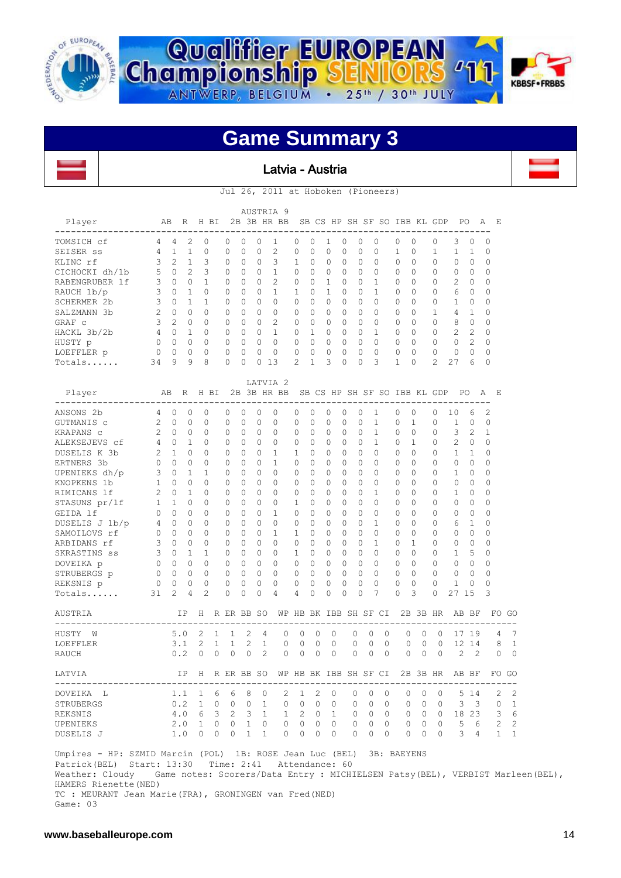





#### Latvia - Austria

Jul 26, 2011 at Hoboken (Pioneers)

|                          |    |                |           |          |              |          |           | AUSTRIA<br>- 9 |          |          |        |           |          |                              |           |                  |                |                |                |          |   |
|--------------------------|----|----------------|-----------|----------|--------------|----------|-----------|----------------|----------|----------|--------|-----------|----------|------------------------------|-----------|------------------|----------------|----------------|----------------|----------|---|
| Player                   | AB |                | R         | H<br>BI  |              |          |           | 2B 3B HR BB    |          |          |        |           |          | SB CS HP SH SF SO IBB KL GDP |           |                  |                |                | PO.            | A        | E |
| TOMSICH cf               | 4  | 4              | 2         | 0        | <sup>0</sup> | O        | $\bigcap$ |                | $\cup$   | 0        |        | $\bigcap$ | $\Omega$ | $\Omega$                     | 0         | $\left( \right)$ | O              | 3              | $\Omega$       | $\Omega$ |   |
| SEISER SS                | 4  |                |           | $\Omega$ | $\Omega$     | $\Omega$ | $\Omega$  | 2              | $\Omega$ | $\Omega$ | 0      | 0         | $\Omega$ | $\Omega$                     |           | $\cap$           |                |                |                | $\Omega$ |   |
| KLINC rf                 | 3  | 2              |           | 3        | $\Omega$     | $\Omega$ | $\Omega$  | 3              | 1.       | $\Omega$ | 0      | $\Omega$  | $\Omega$ | $\Omega$                     | $\bigcap$ | $\Omega$         |                | $\Omega$       | $\Omega$       | $\Omega$ |   |
| CICHOCKI dh/1b           | 5  | 0              | 2         | 3        | $\Omega$     | $\Omega$ | $\Omega$  |                | $\Omega$ | $\Omega$ | 0      | $\Omega$  | $\Omega$ | $\Omega$                     | $\Omega$  | $\Omega$         | $\Omega$       | $\Omega$       | 0              | $\Omega$ |   |
| <b>RABENGRUBER</b><br>1f | 3  | $\cap$         | 0         |          | $\Omega$     | $\Omega$ | $\Omega$  | $\mathfrak{D}$ | $\Omega$ | $\cap$   |        | $\Omega$  | $\Omega$ |                              | $\Omega$  | $\cap$           | $\Omega$       | $\mathfrak{D}$ | $\bigcap$      | $\Omega$ |   |
| RAUCH 1b/p               | 3  | O              |           | $\Omega$ | $\Omega$     | $\Omega$ | $\bigcap$ |                |          | $\Omega$ |        | $\Omega$  | $\Omega$ |                              | $\bigcap$ | $\Omega$         |                | 6              | $\Omega$       | $\Omega$ |   |
| <b>SCHERMER 2b</b>       | 3  | O              |           |          | 0            | $\Omega$ | $\Omega$  | $\cap$         | $\Omega$ | $\Omega$ | 0      | $\Omega$  | $\Omega$ | $\Omega$                     | $\Omega$  | $\cap$           | $\Omega$       |                | $\Omega$       | $\Omega$ |   |
| SALZMANN 3b              | 2  | <sup>n</sup>   | $\bigcap$ | $\Omega$ | $\Omega$     | $\Omega$ | $\bigcap$ | $\cap$         | $\Omega$ | $\cap$   | $\cap$ | $\Omega$  | $\Omega$ | $\cap$                       | $\cap$    | $\cap$           |                | 4              |                | $\Omega$ |   |
| GRAF c                   | ς  | $\mathfrak{D}$ | $\Omega$  | $\Omega$ | U            | $\Omega$ | $\bigcap$ | 2              | $\cap$   | $\Omega$ | 0      | $\Omega$  | $\Omega$ | $\Omega$                     | $\bigcap$ | $\Omega$         |                | 8              | $\Omega$       | $\Omega$ |   |
| HACKL 3b/2b              | 4  | 0              |           | $\Omega$ | 0            | $\Omega$ | $\Omega$  |                | $\Omega$ |          | $\cap$ | O         | $\Omega$ |                              | $\Omega$  | $\Omega$         | $\Omega$       | $\mathcal{L}$  | $\mathfrak{D}$ | $\Omega$ |   |
| HUSTY p                  |    | 0              | $\Omega$  | $\Omega$ | $\Omega$     | $\Omega$ | $\bigcap$ | ∩              | $\cap$   | $\Omega$ | O.     | $\Omega$  | $\Omega$ | $\Omega$                     | $\cap$    | $\cap$           | $\Omega$       | $\Omega$       | $\mathfrak{D}$ | $\Omega$ |   |
| LOEFFLER p               |    | Λ              | 0         | $\Omega$ | O            | $\Omega$ | $\cap$    | ∩              |          | $\Omega$ | 0      | O         | $\Omega$ | $\Omega$                     | $\cap$    | $\Omega$         |                | $\Omega$       | ∩              | $\Omega$ |   |
| Totals                   | 34 | 9              | 9         | 8        | 0            | $\Omega$ |           | 13             | 2        |          | 3      | O         | $\Omega$ | 3                            |           |                  | $\mathfrak{D}$ | 27             | 6              | 0        |   |

|                | AB             |              | R         | H BI         |          | 2B       |            |                | LATVIA <sub>2</sub> |                       |          |          |   |              |              |          | SB CS HP SH SF SO IBB KL GDP |          |              |                |                | E              |                |
|----------------|----------------|--------------|-----------|--------------|----------|----------|------------|----------------|---------------------|-----------------------|----------|----------|---|--------------|--------------|----------|------------------------------|----------|--------------|----------------|----------------|----------------|----------------|
| Player         |                |              |           |              |          |          |            |                | 3B HR BB            |                       |          |          |   |              |              |          |                              |          |              | PO.            |                | A              |                |
| ANSONS 2b      | 4              | $\Omega$     | $\Omega$  | 0            |          | $\Omega$ | $\Omega$   | $\Omega$       | $\Omega$            | $\Omega$              | 0        | $\Omega$ | 0 | $\Omega$     | 1            |          | $\Omega$                     | 0        | $\Omega$     | 10             | 6              | $\overline{2}$ |                |
| GUTMANIS c     | 2              | $\Omega$     | $\Omega$  | 0            |          | $\Omega$ | $\Omega$   | O              | $\Omega$            | $\Omega$              | 0        | $\cap$   | 0 | $\Omega$     | 1            |          | $\Omega$                     | 1        | $\Omega$     | 1              | $\Omega$       | $\Omega$       |                |
| KRAPANS C      | $\overline{2}$ | $\cap$       | $\Omega$  | 0            |          | $\Omega$ | $\Omega$   | 0              | $\Omega$            | 0                     | O        | 0        | O | 0            | $\mathbf{1}$ |          | $\Omega$                     | $\cap$   | ∩            | 3              | $\overline{2}$ | 1              |                |
| ALEKSEJEVS cf  | 4              | $\Omega$     | 1         | 0            |          | $\Omega$ | $\Omega$   | 0              | $\Omega$            | $\Omega$              | 0        | $\Omega$ | O | $\Omega$     | 1            |          | $\Omega$                     | 1        | ∩            | $\mathfrak{D}$ | $\Omega$       | $\Omega$       |                |
| DUSELIS K 3b   | $\mathcal{L}$  | $\mathbf{1}$ | $\Omega$  | U            |          | $\Omega$ | $\Omega$   | 0              | 1                   | 1                     | 0        | 0        | O | $\Omega$     | 0            |          | $\Omega$                     | U        | <sup>n</sup> | $\mathbf{1}$   | 1              | $\Omega$       |                |
| ERTNERS 3b     | $\Omega$       | $\Omega$     | $\Omega$  | 0            |          | $\Omega$ | O          | O              | 1                   | $\cap$                | 0        | 0        | 0 | 0            | O            |          | O                            | O        | 0            | $\Omega$       | $\cap$         | $\Omega$       |                |
| UPENIEKS dh/p  | 3              | $\Omega$     | 1         | 1            |          | $\Omega$ | $\Omega$   | 0              | $\Omega$            | $\cap$                | 0        | $\cap$   | O | $\Omega$     | $\Omega$     |          | O                            | O        | 0            | 1              | $\cap$         | $\Omega$       |                |
| KNOPKENS 1b    | 1              | $\bigcap$    | $\Omega$  | U            |          | $\Omega$ | $\Omega$   | 0              | $\Omega$            | $\Omega$              | 0        | 0        | O | 0            | $\Omega$     |          | O                            | O        | ∩            | $\Omega$       | $\Omega$       | $\Omega$       |                |
| RIMICANS 1f    | $\overline{2}$ | $\Omega$     | 1         | 0            |          | $\Omega$ | $\Omega$   | O              | $\Omega$            | $\Omega$              | O        | $\Omega$ | O | $\Omega$     | 1            |          | O                            | O        | $\cap$       | 1              | $\Omega$       | $\Omega$       |                |
| STASUNS pr/lf  | $\mathbf{1}$   | 1            | $\Omega$  | 0            |          | $\Omega$ | $\Omega$   | 0              | $\Omega$            | 1                     | 0        | $\Omega$ | 0 | $\Omega$     | 0            |          | 0                            | 0        | $\Omega$     | $\Omega$       | $\Omega$       | $\Omega$       |                |
| GEIDA 1f       | $\Omega$       | $\cap$       | $\Omega$  | 0            |          | $\Omega$ | $\Omega$   | $\Omega$       | 1                   | $\Omega$              | 0        | $\Omega$ | 0 | $\Omega$     | 0            |          | 0                            | 0        | $\Omega$     | $\Omega$       | $\Omega$       | 0              |                |
| DUSELIS J 1b/p | 4              | $\Omega$     | $\Omega$  | 0            |          | $\Omega$ | $\Omega$   | $\Omega$       | $\Omega$            | $\Omega$              | 0        | $\Omega$ | 0 | $\Omega$     | 1            |          | 0                            | 0        | $\Omega$     | 6              | 1              | $\Omega$       |                |
| SAMOILOVS rf   | $\Omega$       | $\Omega$     | $\Omega$  | 0            |          | $\Omega$ | $\Omega$   | $\Omega$       | 1                   | 1                     | 0        | $\Omega$ | 0 | $\Omega$     | $\Omega$     |          | $\Omega$                     | 0        | $\Omega$     | $\Omega$       | $\Omega$       | $\Omega$       |                |
| ARBIDANS rf    | 3              | $\Omega$     | $\Omega$  | 0            |          | $\Omega$ | $\Omega$   | 0              | $\Omega$            | $\Omega$              | 0        | 0        | 0 | 0            | 1            |          | $\Omega$                     | 1        | $\Omega$     | 0              | $\Omega$       | 0              |                |
| SKRASTINS ss   | 3              | $\Omega$     | 1         | 1            |          | $\Omega$ | $\Omega$   | 0              | $\Omega$            | 1                     | 0        | $\Omega$ | 0 | $\Omega$     | 0            |          | $\Omega$                     | 0        | $\cap$       | 1              | 5              | $\Omega$       |                |
| DOVEIKA p      | $\Omega$       | $\Omega$     | $\Omega$  | 0            |          | $\Omega$ | $\Omega$   | 0              | $\Omega$            | $\cap$                | 0        | $\Omega$ | O | $\Omega$     | $\Omega$     |          | $\Omega$                     | O        | ∩            | $\Omega$       | $\cap$         | 0              |                |
| STRUBERGS p    | $\Omega$       | $\Omega$     | $\Omega$  | 0            |          | $\Omega$ | $\Omega$   | $\Omega$       | $\Omega$            | $\Omega$              | 0        | 0        | 0 | <sup>0</sup> | 0            |          | $\Omega$                     | $\Omega$ | $\Omega$     | $\Omega$       | $\Omega$       | 0              |                |
| REKSNIS p      | O              | $\Omega$     | $\Omega$  | 0            |          | $\Omega$ | $\Omega$   | $\Omega$       | $\Omega$            | $\Omega$              | 0        | 0        | 0 | 0            | $\Omega$     |          | $\Omega$                     | $\Omega$ | $\Omega$     | 1              | $\Omega$       | $\Omega$       |                |
| Totals         | 31             | 2            | 4         | 2            |          | $\Omega$ | $\Omega$   | $\Omega$       | 4                   | 4                     | O        | 0        | 0 | $\Omega$     | 7            |          | O                            | 3        | $\Omega$     | 27             | 15             | 3              |                |
| <b>AUSTRIA</b> |                |              | <b>TP</b> | H            |          |          | R ER BB SO |                |                     | WP HB BK IBB SH SF CI |          |          |   |              |              |          |                              |          | 2B 3B HR     |                | AB BF          | FΟ             | GO             |
| HUSTY<br>W     |                | 5.0          |           | 2            | 1        | 1        | 2          | 4              | $\Omega$            | $\Omega$              | $\Omega$ | $\Omega$ |   | $\Omega$     | $\Omega$     | $\Omega$ | $\Omega$                     | $\Omega$ | $\Omega$     | 17             | 19             | 4              | 7              |
| LOEFFLER       |                | 3.1          |           | 2            | 1        | 1        | 2          | $\mathbf{1}$   | $\Omega$            | $\Omega$              | 0        | $\Omega$ |   | 0            | $\Omega$     | $\Omega$ | 0                            | $\Omega$ | $\Omega$     | 12             | 14             | 8              | $\mathbf{1}$   |
| <b>RAUCH</b>   |                | 0.2          |           | $\Omega$     | $\Omega$ | 0        | $\Omega$   | $\overline{2}$ | 0                   | $\Omega$              | $\Omega$ | $\Omega$ |   | $\Omega$     | $\Omega$     | $\Omega$ | $\Omega$                     | $\Omega$ | $\Omega$     | $\overline{c}$ | $\overline{2}$ | $\Omega$       | $\Omega$       |
| LATVIA         |                |              | ΙP        | Н            |          |          | R ER BB SO |                |                     | WP HB BK IBB SH SF CI |          |          |   |              |              |          | 2B                           |          | 3B HR        |                | AB BF          |                | FO GO          |
| DOVEIKA L      |                | 1.1          |           | $\mathbf{1}$ | 6        | 6        | 8          | $\Omega$       | 2                   | 1                     | 2        | $\Omega$ |   | $\cap$       | $\Omega$     | $\Omega$ | 0                            | $\Omega$ | $\Omega$     | 5.             | 14             | 2              | 2              |
| STRUBERGS      |                | 0.2          |           | $\mathbf{1}$ | $\Omega$ | $\Omega$ | $\Omega$   | $\mathbf{1}$   | 0                   | $\Omega$              | $\Omega$ | $\Omega$ |   | $\circ$      | $\Omega$     | $\Omega$ | 0                            | $\Omega$ | $\Omega$     | 3              | 3              | $\Omega$       | $\mathbf{1}$   |
| REKSNIS        |                | 4.0          |           | 6            | 3        | 2        | 3          | 1.             | $\mathbf{1}$        | 2                     | $\Omega$ | 1        |   | $\Omega$     | <sup>0</sup> | 0        | O                            | 0        | 0            | 18             | 23             | 3              | 6              |
| UPENIEKS       |                | 2.0          |           | $\mathbf{1}$ | $\Omega$ | 0        | 1          | 0              | $\Omega$            | $\Omega$              | $\Omega$ | $\Omega$ |   | $\Omega$     | $\Omega$     | $\Omega$ | $\Omega$                     | $\Omega$ | $\Omega$     | 5              | 6              | 2              | $\overline{c}$ |
| DUSELIS J      |                | 1.0          |           | $\Omega$     | 0        | O        | 1          | 1              | 0                   | O                     | $\Omega$ | $\Omega$ |   | $\Omega$     | 0            | U        | $\Omega$                     | $\Omega$ | $\Omega$     | 3              | 4              | $\mathbf{1}$   | $\mathbf{1}$   |

 Umpires - HP: SZMID Marcin (POL) 1B: ROSE Jean Luc (BEL) 3B: BAEYENS Patrick(BEL) Start: 13:30 Time: 2:41 Attendance: 60 Weather: Cloudy Game notes: Scorers/Data Entry : MICHIELSEN Patsy(BEL), VERBIST Marleen(BEL), HAMERS Rienette(NED) TC : MEURANT Jean Marie(FRA), GRONINGEN van Fred(NED)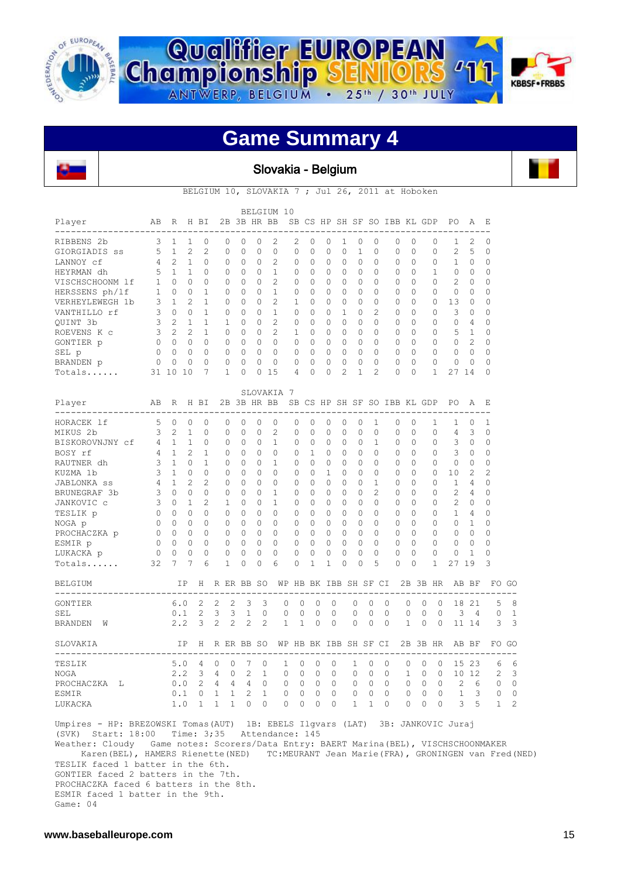





#### Slovakia - Belgium



BELGIUM 10, SLOVAKIA 7 ; Jul 26, 2011 at Hoboken

|                                                                                           | AB                                      |                     | R H BI         |                |                 |                          |              | 2B 3B HR BB    | BELGIUM 10     |                       |                   |                |              |              |                | SB CS HP SH SF SO IBB KL GDP                                     |          |              |              | PO.                  | Α              | Ε        |                           |
|-------------------------------------------------------------------------------------------|-----------------------------------------|---------------------|----------------|----------------|-----------------|--------------------------|--------------|----------------|----------------|-----------------------|-------------------|----------------|--------------|--------------|----------------|------------------------------------------------------------------|----------|--------------|--------------|----------------------|----------------|----------|---------------------------|
| Player                                                                                    |                                         |                     |                |                |                 |                          |              |                |                |                       |                   |                |              |              |                |                                                                  |          |              |              |                      |                |          |                           |
| RIBBENS 2b                                                                                | 3                                       | 1                   | 1              | $\circ$        | 0               |                          | $\Omega$     | 0              | 2              | 2                     | 0                 | 0              | 1            | 0            | $\Omega$       | 0                                                                | $\Omega$ |              | 0            | 1                    | 2              | 0        |                           |
| GIORGIADIS ss                                                                             | 5                                       | 1                   | $\overline{c}$ | 2              | 0               |                          | $\Omega$     | $\mathbf 0$    | $\mathbf 0$    | $\circ$               | $\circ$           | $\circ$        | 0            | $\mathbf{1}$ | $\Omega$       | $\mathbf 0$                                                      | 0        |              | 0            | 2                    | 5              | $\circ$  |                           |
| LANNOY cf                                                                                 | 4                                       | 2                   | $\overline{1}$ | $\Omega$       | 0               |                          | $\mathbf{0}$ | 0              | 2              | 0                     | $\Omega$          | $\circ$        | 0            | $\Omega$     | $\Omega$       | 0                                                                | $\Omega$ |              | 0            | 1                    | $\Omega$       | 0        |                           |
| HEYRMAN dh                                                                                | 5                                       | $\mathbf{1}$        | $\overline{1}$ | $\Omega$       | $\Omega$        |                          | $\Omega$     | $\Omega$       | $\mathbf{1}$   | $\Omega$              | $\Omega$          | $\Omega$       | $\Omega$     | $\Omega$     | $\Omega$       | $\Omega$                                                         | $\Omega$ |              | $\mathbf{1}$ | $\Omega$             | 0              | $\Omega$ |                           |
| VISCHSCHOONM lf                                                                           | $\mathbf{1}$                            | $\Omega$            | $\bigcirc$     | $\Omega$       | $\Omega$        |                          | $\Omega$     | 0              | 2              | $\Omega$              | $\Omega$          | 0              | $\Omega$     | $\Omega$     | $\Omega$       | 0                                                                | $\Omega$ |              | 0            | 2                    | $\Omega$       | 0        |                           |
| HERSSENS ph/lf                                                                            | $\mathbf{1}$                            |                     | $0\quad 0$     | $\mathbf{1}$   | $\Omega$        |                          | $\Omega$     | $\mathbf{0}$   | $\mathbf{1}$   | 0                     | $\Omega$          | $\Omega$       | 0            | $\Omega$     | $\Omega$       | 0                                                                | $\Omega$ |              | 0            | 0                    | 0              | 0        |                           |
| VERHEYLEWEGH 1b                                                                           | 3                                       | 1                   | 2              | $\mathbf{1}$   | $\mathbf{0}$    |                          | $\Omega$     | 0              | 2              | $\mathbf{1}$          | $\Omega$          | $\Omega$       | 0            | $\Omega$     | $\Omega$       | 0                                                                | $\Omega$ |              | 0            | 13                   | 0              | 0        |                           |
| VANTHILLO rf                                                                              | $\mathbf{3}$                            | $\Omega$            | $\Omega$       | $\mathbf{1}$   | $\Omega$        |                          | $\Omega$     | $\Omega$       | $\mathbf{1}$   | $\Omega$              | $\Omega$          | $\Omega$       | $\mathbf{1}$ | $\Omega$     | $\overline{c}$ | $\mathbf{0}$                                                     | $\Omega$ |              | 0            | 3                    | $\Omega$       | $\Omega$ |                           |
| QUINT 3b                                                                                  |                                         | 3 2 1               |                | $\mathbf{1}$   | 1               |                          | $\Omega$     | $\Omega$       | 2              | $\Omega$              | $\Omega$          | $\Omega$       | $\Omega$     | $\Omega$     | $\Omega$       | $\Omega$                                                         | $\Omega$ |              | $\Omega$     | $\Omega$             | 4              | $\Omega$ |                           |
| ROEVENS K c                                                                               | 3 <sub>2</sub>                          |                     | 2              | $\mathbf{1}$   | $\mathbf{0}$    |                          | $\Omega$     | $\circ$        | 2              | 1                     | 0                 | $\mathbf{0}$   | $\circ$      | $\mathbf{0}$ | $\Omega$       | $\circ$                                                          | 0        |              | 0            | 5                    | 1              | 0        |                           |
| GONTIER p                                                                                 | $\begin{matrix} 0 & 0 & 0 \end{matrix}$ |                     |                | $\Omega$       | $\Omega$        | $\bigcirc$               |              | $\Omega$       | $\overline{0}$ | 0                     | $\Omega$          | $\circ$        | $\circ$      | $\Omega$     | $\Omega$       | 0                                                                | $\Omega$ |              | 0            | 0                    | 2              | 0        |                           |
| SEL p                                                                                     | $\overline{0}$                          | $\overline{0}$      | $\overline{0}$ | $\Omega$       | $\mathbf{0}$    | $\overline{0}$           |              | $\circ$        | $\overline{0}$ | $\circ$               | $\circ$           | $\circ$        | $\circ$      | $\circ$      | $\Omega$       | $\circ$                                                          | $\Omega$ |              | 0            | 0                    | $\Omega$       | 0        |                           |
| BRANDEN p                                                                                 | $\circ$                                 | $\circ$             | $\mathbf{0}$   | $\Omega$       | $\circ$         |                          | $\mathbf{0}$ | $\mathbf 0$    | $\mathbf{0}$   | 0                     | $\circ$           | $\circ$        | 0            | $\Omega$     | $\mathbf{0}$   | $\circ$                                                          | $\Omega$ |              | $\circ$      | 0                    | 0              | 0        |                           |
| Totals                                                                                    |                                         | 31 10               | 10             | 7              | $\mathbf{1}$    |                          | $\Omega$     | $\circ$        | 15             | 4                     | $\Omega$          | $\circ$        | 2            | 1            | 2              | $\Omega$                                                         | $\Omega$ |              | $\mathbf{1}$ | 27 14                |                | $\Omega$ |                           |
|                                                                                           |                                         |                     |                |                |                 |                          |              |                | SLOVAKIA 7     |                       |                   |                |              |              |                |                                                                  |          |              |              |                      |                |          |                           |
| Player<br>---------------                                                                 | AB                                      |                     | R H BI         |                |                 |                          |              | 2B 3B HR BB    |                |                       |                   |                |              |              |                | SB CS HP SH SF SO IBB KL GDP                                     |          |              |              | PO.                  | A              | Ε        |                           |
| HORACEK 1f                                                                                | 5                                       | 0                   | $\Omega$       | $\Omega$       | 0               |                          | $\Omega$     | 0              | 0              | $\Omega$              | $\Omega$          | $\Omega$       | 0            | 0            | 1              | 0                                                                | $\Omega$ |              | 1            | 1                    | 0              | 1        |                           |
| MIKUS 2b                                                                                  | 3                                       | 2                   | 1              | $\Omega$       | 0               |                          | $\Omega$     | 0              | 2              | 0                     | 0                 | 0              | 0            | $\Omega$     | $\Omega$       | 0                                                                | $\Omega$ |              | 0            | 4                    | 3              | 0        |                           |
| BISKOROVNJNY cf                                                                           | 4                                       | 1                   | $\overline{1}$ | 0              | $\Omega$        |                          | $\Omega$     | $\Omega$       | $\mathbf{1}$   | $\Omega$              | $\Omega$          | $\mathbf{0}$   | $\circ$      | $\Omega$     | $\mathbf{1}$   | 0                                                                | $\Omega$ |              | 0            | 3                    | 0              | 0        |                           |
| BOSY rf                                                                                   | 4                                       | $\mathbf{1}$        | 2              | $\mathbf{1}$   | $\mathbf{0}$    |                          | $\Omega$     | $\mathbf 0$    | 0              | 0                     | $\mathbf{1}$      | $\mathbf{0}$   | 0            | $\Omega$     | $\Omega$       | 0                                                                | $\Omega$ |              | 0            | 3                    | 0              | 0        |                           |
| RAUTNER dh                                                                                | 3                                       | $\overline{1}$      | $\Omega$       | $\mathbf{1}$   | $\Omega$        |                          | $\Omega$     | $\Omega$       | $\mathbf{1}$   | $\Omega$              | $\Omega$          | $\Omega$       | $\Omega$     | $\Omega$     | $\Omega$       | $\Omega$                                                         | $\Omega$ |              | $\Omega$     | $\Omega$             | $\Omega$       | $\Omega$ |                           |
| KUZMA 1b                                                                                  | 3                                       | $\mathbf{1}$        | $\Omega$       | $\Omega$       | $\Omega$        |                          | $\Omega$     | $\Omega$       | $\circ$        | $\Omega$              | $\Omega$          | $\mathbf{1}$   | $\Omega$     | $\Omega$     | $\Omega$       | 0                                                                | $\Omega$ |              | $\mathbf{0}$ | 10                   | 2              | 2        |                           |
| JABLONKA SS                                                                               | 4                                       | $\mathbf{1}$        | 2              | 2              | $\Omega$        |                          | $\Omega$     | $\mathbf 0$    | 0              | 0                     | $\circ$           | 0              | $\circ$      | $\Omega$     | $\mathbf{1}$   | $\mathbf 0$                                                      | $\Omega$ |              | 0            | $\mathbf{1}$         | 4              | 0        |                           |
| BRUNEGRAF 3b                                                                              | 3                                       | $\Omega$            | $\Omega$       | $\Omega$       | $\Omega$        |                          | $\Omega$     | $\Omega$       | $\mathbf{1}$   | $\Omega$              | $\Omega$          | $\Omega$       | 0            | $\Omega$     | 2              | $\mathbf{0}$                                                     | $\Omega$ |              | 0            | 2                    | 4              | 0        |                           |
| JANKOVIC c                                                                                | 3                                       | $\Omega$            | $\mathbf{1}$   | $\overline{c}$ | $\mathbf{1}$    |                          | $\Omega$     | $\Omega$       | $\mathbf{1}$   | $\Omega$              | $\Omega$          | $\Omega$       | $\Omega$     | $\Omega$     | $\Omega$       | $\circ$                                                          | $\Omega$ |              | 0            | 2                    | 0              | $\Omega$ |                           |
| TESLIK p                                                                                  | $\circ$                                 | $\Omega$            | $\Omega$       | $\Omega$       | $\Omega$        |                          | $\Omega$     | $\Omega$       | $\Omega$       | $\Omega$              | $\Omega$          | $\Omega$       | $\Omega$     | $\Omega$     | $\Omega$       | 0                                                                | $\Omega$ |              | 0            | $\mathbf{1}$         | 4              | 0        |                           |
| NOGA p                                                                                    |                                         | $0\quad 0$          | $\overline{0}$ | 0              | $\mathbf{0}$    |                          | 0            | 0              | 0              | 0                     | 0                 | $\circ$        | $\circ$      | $\Omega$     | $\Omega$       | 0                                                                | 0        |              | 0            | 0                    | 1              | 0        |                           |
| PROCHACZKA p                                                                              |                                         | $0\qquad 0\qquad 0$ |                | $\Omega$       | $\mathbf{0}$    | $\bigcirc$               |              | 0              | $\circ$        | $\mathbf{0}$          | $\Omega$          | $\overline{0}$ | $\mathbf 0$  | $\Omega$     | $\Omega$       | 0                                                                | $\Omega$ |              | 0            | 0                    | $\Omega$       | $\Omega$ |                           |
| ESMIR p                                                                                   | 0                                       | $0\quad 0$          |                | $\Omega$       | $\mathbf{0}$    |                          | $\mathbf{0}$ | $\circ$        | $\circ$        | $\circ$               | $\Omega$          | $\mathbf{0}$   | $\circ$      | $\Omega$     | $\mathbf{0}$   | $\mathbf{0}$                                                     | $\Omega$ |              | 0            | $\mathbf 0$          | $\circ$        | 0        |                           |
| LUKACKA p                                                                                 | $\overline{0}$                          | $\circ$             | $\circ$        | $\Omega$       | 0               |                          | $\circ$      | $\mathbf 0$    | $\circ$        | 0                     | $\circ$           | 0              | 0            | $\Omega$     | $\Omega$       | 0                                                                | $\Omega$ |              | 0            | 0                    | 1              | $\Omega$ |                           |
| $\verb Totals $                                                                           | 32                                      | 7                   | 7              | 6              | 1               |                          | 0            | $\circ$        | 6              | 0                     | $\mathbf{1}$      | 1              | $\mathbf 0$  | $\Omega$     | 5              | $\Omega$                                                         | $\Omega$ |              | 1            | 27 19                |                | 3        |                           |
| <b>BELGIUM</b>                                                                            |                                         |                     | ΙP             |                | H R ER BB SO    |                          |              |                |                | WP HB BK IBB SH SF CI |                   |                |              |              |                |                                                                  |          |              | 2B 3B HR     |                      | AB BF          |          | FO GO                     |
| GONTIER                                                                                   |                                         |                     | 6.0            | 2              | 2               | 2                        | 3            | 3              | 0              | $\Omega$              | $\Omega$          |                | $\Omega$     | 0            | $\circ$        | --------------------<br>0                                        | 0        | $\Omega$     | $\Omega$     |                      | 18 21          | 5        | 8                         |
| SEL                                                                                       |                                         |                     | $0.1 \quad 2$  |                | 3               | 3                        | 1            | $\Omega$       | 0              | 0                     | $\mathbf{0}$      |                | 0            | 0            | $\circ$        | $\mathbf{0}$                                                     | 0        | $\mathbf{0}$ | $\Omega$     | 3                    | $\overline{4}$ | 0        | 1                         |
| BRANDEN W                                                                                 |                                         |                     |                | $2.2 \quad 3$  | $\mathbf{2}$    | $\overline{2}$           | $2^{\circ}$  | $\overline{c}$ | $\mathbf{1}$   |                       | 1<br>$\circ$      |                | 0            | $\circ$      | $\circ$        | $\Omega$                                                         | 1        | $\mathbf{0}$ | $\Omega$     |                      | 11 14          | 3        | 3                         |
| SLOVAKIA                                                                                  |                                         |                     | IP             |                | H R ER BB SO    |                          |              |                |                | WP HB BK IBB SH SF CI |                   |                |              |              |                |                                                                  |          |              |              | 2B 3B HR AB BF       |                |          | FO GO                     |
| TESLIK                                                                                    |                                         |                     | 5.0            | 4              | 0               | $\overline{\phantom{0}}$ | 7            | 0              | 1              | $\circ$               | 0                 |                | 0            | $\mathbf{1}$ | $0\quad 0$     |                                                                  | 0        |              |              | $0 \t 0 \t 15 \t 23$ |                | 6        | 6                         |
| <b>NOGA</b>                                                                               |                                         |                     |                |                | $2.2$ 3 4 0     |                          |              | $2 \quad 1$    |                | $\overline{0}$        | $0\quad 0\quad 0$ |                |              |              |                | 0 0 0 1 0 0 10 12                                                |          |              |              |                      |                |          | 2<br>3                    |
|                                                                                           |                                         |                     |                |                | $0.0$ 2 4 4 4 0 |                          |              |                |                |                       |                   |                |              |              |                | 0 0 0 0 0 0 0 0 0 0 2                                            |          |              |              |                      |                |          | $0\quad 0$                |
| PROCHACZKA L                                                                              |                                         |                     |                |                |                 |                          |              |                |                |                       |                   |                |              |              |                |                                                                  |          |              |              |                      | 6              |          |                           |
| ESMIR<br>LUKACKA                                                                          |                                         |                     |                |                | $1.0$ 1 1 1 0 0 |                          |              |                |                |                       |                   |                |              |              |                | 0.1 0 1 1 2 1 0 0 0 0 0 0 0 0 0 0 1 3<br>0 0 0 0 1 1 0 0 0 0 3 5 |          |              |              |                      |                |          | $0\quad 0$<br>$1 \quad 2$ |
| Umpires - HP: BREZOWSKI Tomas (AUT) 1B: EBELS Ilgvars (LAT) 3B: JANKOVIC Juraj            |                                         |                     |                |                |                 |                          |              |                |                |                       |                   |                |              |              |                |                                                                  |          |              |              |                      |                |          |                           |
| (SVK) Start: 18:00 Time: 3;35 Attendance: 145                                             |                                         |                     |                |                |                 |                          |              |                |                |                       |                   |                |              |              |                |                                                                  |          |              |              |                      |                |          |                           |
| Weather: Cloudy Game notes: Scorers/Data Entry: BAERT Marina (BEL), VISCHSCHOONMAKER      |                                         |                     |                |                |                 |                          |              |                |                |                       |                   |                |              |              |                |                                                                  |          |              |              |                      |                |          |                           |
| Karen (BEL), HAMERS Rienette (NED) TC: MEURANT Jean Marie (FRA), GRONINGEN van Fred (NED) |                                         |                     |                |                |                 |                          |              |                |                |                       |                   |                |              |              |                |                                                                  |          |              |              |                      |                |          |                           |
|                                                                                           |                                         |                     |                |                |                 |                          |              |                |                |                       |                   |                |              |              |                |                                                                  |          |              |              |                      |                |          |                           |

TESLIK faced 1 batter in the 6th.

GONTIER faced 2 batters in the 7th.

PROCHACZKA faced 6 batters in the 8th.

ESMIR faced 1 batter in the 9th.

Game: 04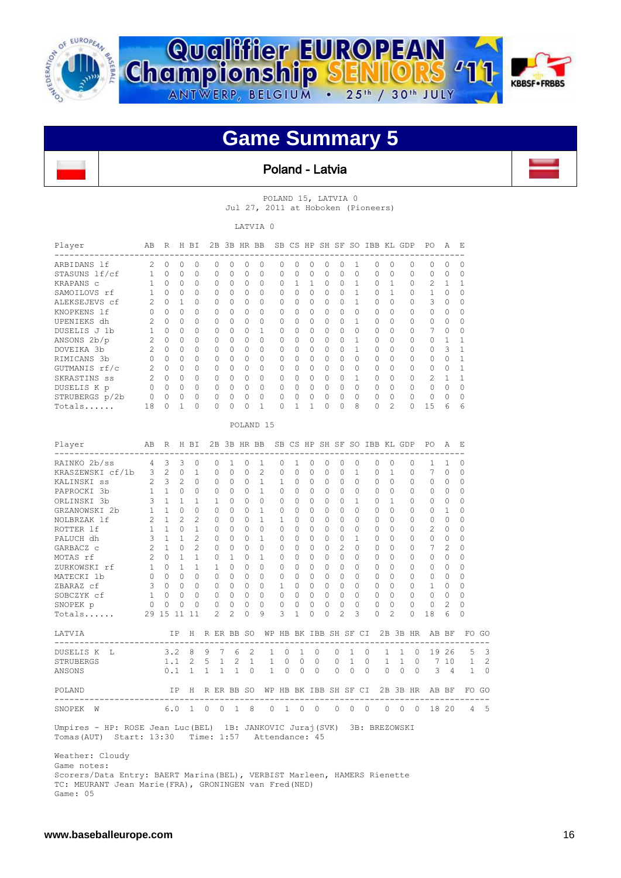

 $\mathbf{r}$ 



### **Game Summary 5**





POLAND 15, LATVIA 0 Jul 27, 2011 at Hoboken (Pioneers)

LATVIA 0

| Player                                                                                                                         | AB R H BI                                                      |       |            |                                         |                                                                                |             |                                                        | 2B 3B HR BB                                           |                                         |                |              |                |                                                                |                      | SB CS HP SH SF SO IBB KL GDP                                         |                          |                |                                             |                     | PO                                                                         | Α                       | E        |                |
|--------------------------------------------------------------------------------------------------------------------------------|----------------------------------------------------------------|-------|------------|-----------------------------------------|--------------------------------------------------------------------------------|-------------|--------------------------------------------------------|-------------------------------------------------------|-----------------------------------------|----------------|--------------|----------------|----------------------------------------------------------------|----------------------|----------------------------------------------------------------------|--------------------------|----------------|---------------------------------------------|---------------------|----------------------------------------------------------------------------|-------------------------|----------|----------------|
| ARBIDANS lf                                                                                                                    |                                                                | 2 0 0 |            | $\circ$                                 |                                                                                | $\Omega$    | $\overline{0}$                                         | $\circ$                                               | 0                                       |                |              |                | $0\quad 0\quad 0\quad 0$                                       | $\overline{0}$       | $\mathbf{1}$                                                         |                          | $0\quad 0$     |                                             | $\Omega$            | $\cap$                                                                     | $\overline{0}$          | 0        |                |
| STASUNS lf/cf                                                                                                                  | 1 0 0                                                          |       |            | $\Omega$                                |                                                                                | $\Omega$    | $\Omega$                                               | $\Omega$                                              | $\Omega$                                | $\Omega$       |              | $0 \quad 0$    |                                                                | $\Omega$<br>$\Omega$ | $\Omega$                                                             |                          | $\Omega$       | $\Omega$                                    | $\Omega$            | $0 \quad 0$                                                                |                         | 0        |                |
| KRAPANS C                                                                                                                      |                                                                | 1 0 0 |            | $\mathbf{0}$                            |                                                                                | 0           | $\begin{matrix}0&0\end{matrix}$                        |                                                       | 0                                       | $\mathbf 0$    |              |                |                                                                |                      | 1 1 0 0 1                                                            |                          | $\mathbf{0}$   | $\mathbf{1}$                                | 0                   | 2 1                                                                        |                         | 1        |                |
| SAMOILOVS rf                                                                                                                   |                                                                | 1 0 0 |            | $\bigcirc$                              |                                                                                |             |                                                        | $0 \quad 0 \quad 0$                                   | $\bigcirc$                              |                |              |                |                                                                |                      |                                                                      |                          | 1 0 1          |                                             | $\overline{0}$      | $\mathbf{1}$                                                               | - 0                     | $\Omega$ |                |
| ALEKSEJEVS cf                                                                                                                  | 2 0 1 0                                                        |       |            |                                         |                                                                                |             |                                                        | $0\quad 0\quad 0$                                     | 0 0 0 0 0 0 1 0 0 0                     |                |              |                |                                                                |                      |                                                                      |                          |                |                                             |                     | $3 \quad 0$                                                                |                         | 0        |                |
| KNOPKENS lf                                                                                                                    | $\overline{0}$                                                 |       | $0\quad 0$ | $\circ$                                 |                                                                                |             | $0\quad 0\quad 0$                                      |                                                       | $\circ$                                 |                |              |                |                                                                |                      |                                                                      | $0\qquad 0$              |                | $0\qquad 0$                                 |                     | $\circ$                                                                    | $\overline{0}$          | 0        |                |
| UPENIEKS dh                                                                                                                    | $\overline{\phantom{0}}^2$                                     |       | $0\quad 0$ | 0                                       |                                                                                |             | $0\quad 0\quad 0$                                      |                                                       | 0                                       | $\overline{0}$ |              |                | $\begin{matrix} 0 & 0 & 0 & 0 \end{matrix}$                    |                      | $\mathbf{1}$                                                         | $\overline{\phantom{0}}$ |                | $\circ$                                     | $\overline{0}$      | $\circ$                                                                    | $\circ$                 | 0        |                |
| DUSELIS J 1b                                                                                                                   | $\mathbf{1}$                                                   |       | $0\quad 0$ | $\circ$                                 |                                                                                |             | $0\quad 0\quad 0$                                      |                                                       | $\mathbf{1}$                            | $\overline{0}$ |              |                | $0\quad 0\quad 0$                                              | $\overline{0}$       |                                                                      | $0\qquad 0$              |                | $0\qquad 0$                                 |                     | $7^{\circ}$                                                                | $\overline{0}$          | 0        |                |
| ANSONS 2b/p                                                                                                                    | $\overline{2}$                                                 |       | $0\quad 0$ | $\overline{0}$                          |                                                                                |             | $0\quad 0\quad 0$                                      |                                                       | $\circ$                                 | $\overline{0}$ |              |                | $\begin{array}{ccccccccccccc}\n0 & 0 & 0 & 0 & 0\n\end{array}$ |                      | $\mathbf{1}$                                                         |                          | $\circ$        | $\circ$                                     | $\overline{0}$      | $\circ$                                                                    | $\mathbf{1}$            | 1        |                |
| DOVEIKA 3b                                                                                                                     | $\overline{2}$                                                 |       |            | $\begin{matrix} 0 & 0 & 0 \end{matrix}$ |                                                                                |             | $0\quad 0\quad 0$                                      |                                                       | $0\qquad 0$                             |                |              |                |                                                                |                      |                                                                      | 1 0                      |                | $\circ$                                     | $\overline{0}$      | $\circ$                                                                    | $\overline{\mathbf{3}}$ | 1        |                |
| RIMICANS 3b                                                                                                                    | $\overline{0}$                                                 |       |            | $0\quad 0\quad 0$                       |                                                                                |             | $0\quad 0\quad 0$                                      |                                                       | $0\qquad 0\quad 0\quad 0\quad 0\quad 0$ |                |              |                |                                                                |                      |                                                                      |                          |                | $\begin{matrix} 0 & 0 & 0 & 0 \end{matrix}$ |                     | $0\quad 0$                                                                 |                         | 1        |                |
| GUTMANIS rf/c                                                                                                                  |                                                                |       |            |                                         |                                                                                |             |                                                        |                                                       | 2 0 0 0 0 0 0 0 0 0 0 0 0 0 0 0         |                |              |                |                                                                |                      |                                                                      |                          |                |                                             |                     | $0\quad 0$                                                                 |                         | 1        |                |
| SKRASTINS ss                                                                                                                   |                                                                |       |            |                                         |                                                                                |             |                                                        |                                                       |                                         |                |              |                |                                                                |                      |                                                                      |                          |                |                                             |                     | 2 0 0 0 0 0 0 0 0 0 0 0 0 1 0 0 0 2 1                                      |                         | 1        |                |
| DUSELIS K p                                                                                                                    | $\overline{0}$                                                 |       |            |                                         | $\begin{array}{ccccccccccccccccc} & 0 & 0 & 0 & 0 & 0 & 0 & 0 & 0 \end{array}$ |             |                                                        |                                                       |                                         | $\overline{0}$ |              |                |                                                                |                      | $\begin{array}{ccccccccccccccccc} 0 & 0 & 0 & 0 & 0 & 0 \end{array}$ |                          |                | $\begin{matrix} 0 & 0 & 0 \end{matrix}$     |                     | $\overline{0}$                                                             | $\overline{0}$          | 0        |                |
| STRUBERGS p/2b                                                                                                                 |                                                                |       |            |                                         |                                                                                |             |                                                        |                                                       | 0                                       | $\mathbf{0}$   |              | $0\quad 0$     | $\Omega$                                                       |                      |                                                                      |                          |                |                                             |                     | $\begin{array}{ccccccccccccccccc} & 0 & 0 & 0 & 0 & 0 & 0 & 0 \end{array}$ |                         | $\circ$  |                |
| Totals                                                                                                                         | 18 0 1                                                         |       |            | $\circ$                                 |                                                                                | $\circ$     | 0                                                      | 0                                                     | $\overline{1}$                          | $\Omega$       | $\mathbf{1}$ | $\mathbf{1}$   | $\Omega$                                                       |                      | $0\quad 8$                                                           |                          |                |                                             | $0 \quad 2 \quad 0$ | 15                                                                         | - 6                     | 6        |                |
|                                                                                                                                |                                                                |       |            |                                         |                                                                                |             |                                                        |                                                       | POLAND <sub>15</sub>                    |                |              |                |                                                                |                      |                                                                      |                          |                |                                             |                     |                                                                            |                         |          |                |
|                                                                                                                                | ABR HBI                                                        |       |            |                                         |                                                                                |             |                                                        |                                                       |                                         |                |              |                |                                                                |                      |                                                                      |                          |                |                                             |                     | 2B 3B HR BB SB CS HP SH SF SO IBB KL GDP PO A                              |                         | E.       |                |
| Player                                                                                                                         |                                                                |       |            |                                         |                                                                                |             |                                                        |                                                       |                                         |                |              |                |                                                                |                      |                                                                      |                          |                |                                             |                     |                                                                            |                         |          |                |
| RAINKO 2b/ss 4 3 3 0                                                                                                           |                                                                |       |            |                                         |                                                                                | $\circ$     | $1 \quad 0$                                            |                                                       | 1                                       | $\circ$        |              |                | 1 0 0                                                          | $\circ$              | $\circ$                                                              |                          | $0\quad 0$     |                                             | 0                   | $\mathbf{1}$                                                               | 1                       | 0        |                |
| KRASZEWSKI cf/1b 3 2 0 1                                                                                                       |                                                                |       |            |                                         |                                                                                |             | $0\quad 0$                                             | $\circ$                                               | $2^{\circ}$                             | $\Omega$       |              | $0\quad 0$     | $\circ$                                                        | 0                    | $\mathbf{1}$                                                         |                          | $\circ$        | $\mathbf{1}$                                | $\circ$             | $7^{\circ}$                                                                | $\overline{0}$          | 0        |                |
| KALINSKI ss                                                                                                                    | $\overline{2}$                                                 |       |            | $3\quad2\quad0$                         |                                                                                |             | $\begin{array}{ccccccccc}\n0 & 0 & 0 & 0\n\end{array}$ |                                                       | $\mathbf{1}$                            | $\mathbf{1}$   |              |                |                                                                |                      | $\overline{0}$                                                       |                          | $0\quad 0$     |                                             | $\mathbf{0}$        | $\circ$                                                                    | $\circ$                 | 0        |                |
| PAPROCKI 3b                                                                                                                    | 1 1 0 0                                                        |       |            |                                         |                                                                                |             |                                                        |                                                       | 0 0 0 1 0 0 0 0 0                       |                |              |                |                                                                |                      |                                                                      |                          |                | $\begin{matrix} 0 & 0 & 0 & 0 \end{matrix}$ |                     | $0\quad 0$                                                                 |                         | 0        |                |
| ORLINSKI 3b                                                                                                                    | 3                                                              |       |            | $1 \quad 1 \quad 1$                     |                                                                                |             |                                                        |                                                       | 1 0 0 0 0 0 0 0 0                       |                |              |                |                                                                |                      | 1                                                                    | $\overline{0}$           |                | 1 0                                         |                     | $0 \quad 0$                                                                |                         | $\Omega$ |                |
| GRZANOWSKI 2b                                                                                                                  | $\mathbf{1}$                                                   |       |            | $1 \quad 0 \quad 0$                     |                                                                                |             |                                                        |                                                       | 0 0 0 1 0 0 0 0 0                       |                |              |                |                                                                |                      |                                                                      |                          |                | $\begin{matrix} 0 & 0 & 0 & 0 \end{matrix}$ |                     | $0\quad 1$                                                                 |                         | 0        |                |
| NOLBRZAK lf                                                                                                                    | $\overline{2}$                                                 |       |            | $1 \quad 2 \quad 2$                     |                                                                                |             | $0\quad 0\quad 0$                                      |                                                       | 1 1                                     |                |              |                | $\begin{array}{ccccccccccccc}\n0 & 0 & 0 & 0 & 0\n\end{array}$ |                      |                                                                      |                          |                | $\begin{matrix} 0 & 0 & 0 & 0 \end{matrix}$ |                     | $0\quad 0$                                                                 |                         | 0        |                |
| ROTTER 1f                                                                                                                      | $\mathbf{1}$                                                   |       |            | $1 \quad 0 \quad 1$                     |                                                                                |             |                                                        | $\begin{matrix} 0 & 0 & 0 \end{matrix}$               | $0\qquad 0\quad 0\quad 0\quad 0\quad 0$ |                |              |                |                                                                |                      |                                                                      |                          |                | $\begin{matrix} 0 & 0 & 0 & 0 \end{matrix}$ |                     | $2 \quad 0$                                                                |                         | 0        |                |
| PALUCH dh                                                                                                                      | $\overline{\mathbf{3}}$                                        |       |            | $1 \quad 1 \quad 2$                     |                                                                                |             | $\begin{matrix} 0 & 0 & 0 \end{matrix}$                |                                                       | 1 0                                     |                |              |                | $\begin{matrix} 0 & 0 & 0 \end{matrix}$                        | $\bigcirc$           | 1                                                                    | $\overline{0}$           |                | $0\qquad 0$                                 |                     | $\overline{0}$                                                             | $\overline{0}$          | 0        |                |
| GARBACZ c                                                                                                                      | $\overline{2}$                                                 |       |            | $1 \quad 0 \quad 2$                     |                                                                                |             | $\begin{matrix} 0 & 0 & 0 \end{matrix}$                |                                                       | $\circ$                                 | $\overline{0}$ |              |                | $\begin{array}{cccc} 0 & 0 & 0 \end{array}$                    | $\overline{2}$       | $\circ$                                                              |                          | $\overline{0}$ | $0\qquad 0$                                 |                     | $\overline{7}$                                                             | 2                       | 0        |                |
| MOTAS rf                                                                                                                       | 2                                                              |       |            |                                         | 0 1 1 0 1 0                                                                    |             |                                                        |                                                       |                                         |                |              |                |                                                                |                      |                                                                      |                          |                |                                             |                     | 1 0 0 0 0 0 0 0 0 0 0 0                                                    |                         | 0        |                |
| ZURKOWSKI rf                                                                                                                   |                                                                |       |            |                                         |                                                                                |             |                                                        |                                                       | 1 0 1 1 1 0 0 0 0 0 0 0 0               |                |              |                |                                                                |                      |                                                                      |                          |                |                                             |                     | $\begin{array}{ccccccccccccccccc} 0 & 0 & 0 & 0 & 0 & 0 & 0 \end{array}$   |                         | $\Omega$ |                |
| MATECKI 1b                                                                                                                     | $\begin{array}{ccccccccccccc}\n0 & 0 & 0 & 0 & 0\n\end{array}$ |       |            |                                         |                                                                                |             |                                                        |                                                       |                                         |                |              |                |                                                                |                      |                                                                      |                          |                |                                             |                     |                                                                            |                         | 0        |                |
| ZBARAZ cf                                                                                                                      |                                                                |       |            |                                         |                                                                                |             |                                                        |                                                       |                                         |                |              |                |                                                                |                      |                                                                      |                          |                |                                             |                     | 3 0 0 0 0 0 0 0 1 0 0 0 0 0 0 0 0 1 0                                      |                         | $\Omega$ |                |
| SOBCZYK cf                                                                                                                     | $\mathbf{1}$                                                   |       |            | $0\quad 0\quad 0$                       |                                                                                |             |                                                        |                                                       | $0 0 0 0 0 0 0 0 0 0 0 0 0 0$           |                |              |                |                                                                |                      |                                                                      |                          |                |                                             |                     | $\begin{matrix}0&0\end{matrix}$                                            |                         | 0        |                |
| SNOPEK p                                                                                                                       | $\overline{0}$                                                 |       | $0\quad 0$ | $\Omega$                                |                                                                                |             |                                                        | $\begin{array}{cccccccc}\n0 & 0 & 0 & 0\n\end{array}$ |                                         | $\circ$        | $\bigcirc$   | $\overline{0}$ | $\bigcirc$                                                     | $\circ$              | $\Omega$                                                             |                          | $\Omega$       | $\bigcirc$                                  | $\bigcirc$          | $\overline{0}$                                                             | 2                       | $\Omega$ |                |
| Totals 29 15 11 11                                                                                                             |                                                                |       |            |                                         |                                                                                | $2^{\circ}$ |                                                        | $2 \t 0 \t 9$                                         |                                         | 3              | $\mathbf{1}$ | $\circ$        | $\overline{0}$                                                 | 2                    | 3                                                                    |                          | $\Omega$       | 2                                           |                     | $0 \t18$                                                                   | 6                       | $\Omega$ |                |
| LATVIA                                                                                                                         |                                                                |       |            |                                         | IP H R ER BB SO                                                                |             |                                                        |                                                       |                                         |                |              |                |                                                                |                      |                                                                      |                          |                |                                             |                     | WP HB BK IBB SH SF CI 2B 3B HR AB BF FO GO                                 |                         |          |                |
|                                                                                                                                |                                                                |       |            |                                         |                                                                                |             |                                                        |                                                       |                                         |                |              |                |                                                                |                      |                                                                      |                          |                |                                             |                     |                                                                            |                         |          |                |
| DUSELIS K L                                                                                                                    |                                                                |       | 3.2        | 8                                       | 9                                                                              | 7           |                                                        | 6 2                                                   | $\mathbf{1}$                            | 0              | 1            |                | $\circ$                                                        | 0                    | 1                                                                    | 0                        | $\mathbf{1}$   | $\mathbf{1}$                                | $\overline{0}$      |                                                                            | 19 26                   |          | 5 <sup>3</sup> |
| STRUBERGS                                                                                                                      |                                                                |       |            | $1.1 \t2$                               | $5 \quad 1$                                                                    |             |                                                        | $2 \quad 1$                                           | $\mathbf{1}$                            | $\Omega$       | $\Omega$     | $\bigcirc$     |                                                                | $\circ$              | $\mathbf{1}$                                                         | $\Omega$                 | $\mathbf{1}$   | $\mathbf{1}$                                | $\bigcirc$          |                                                                            |                         | 7 10 1   | 2              |
| ANSONS                                                                                                                         |                                                                |       | 0.1        |                                         | $1 \quad 1$                                                                    | $1 -$       |                                                        | $1 \quad 0$                                           | $\mathbf{1}$                            | $\Omega$       | $\Omega$     | $\bigcirc$     |                                                                | $\Omega$             | $\Omega$                                                             | $\bigcirc$               | $\Omega$       |                                             | $0 \quad 0$         |                                                                            |                         | 3 4 1 0  |                |
| POLAND.                                                                                                                        |                                                                |       |            |                                         |                                                                                |             |                                                        |                                                       |                                         |                |              |                |                                                                |                      |                                                                      |                          |                |                                             |                     | IP H R ER BB SO WP HB BK IBB SH SF CI 2B 3B HR AB BF FO GO                 |                         |          |                |
| SNOPEK W                                                                                                                       |                                                                |       |            |                                         | 6.0 1 0 0                                                                      |             |                                                        | 18                                                    |                                         |                |              |                |                                                                |                      |                                                                      |                          |                |                                             |                     | 0 1 0 0 0 0 0 0 0 0 18 20 4 5                                              |                         |          |                |
| Umpires - HP: ROSE Jean Luc (BEL) 1B: JANKOVIC Juraj (SVK) 3B: BREZOWSKI<br>Tomas (AUT) Start: 13:30 Time: 1:57 Attendance: 45 |                                                                |       |            |                                         |                                                                                |             |                                                        |                                                       |                                         |                |              |                |                                                                |                      |                                                                      |                          |                |                                             |                     |                                                                            |                         |          |                |
| Weather: Cloudy<br>Game notes:                                                                                                 |                                                                |       |            |                                         |                                                                                |             |                                                        |                                                       |                                         |                |              |                |                                                                |                      |                                                                      |                          |                |                                             |                     |                                                                            |                         |          |                |
| Scorers/Data Entry: BAERT Marina (BEL), VERBIST Marleen, HAMERS Rienette                                                       |                                                                |       |            |                                         |                                                                                |             |                                                        |                                                       |                                         |                |              |                |                                                                |                      |                                                                      |                          |                |                                             |                     |                                                                            |                         |          |                |
| TC: MEURANT Jean Marie (FRA), GRONINGEN van Fred (NED)                                                                         |                                                                |       |            |                                         |                                                                                |             |                                                        |                                                       |                                         |                |              |                |                                                                |                      |                                                                      |                          |                |                                             |                     |                                                                            |                         |          |                |

Game: 05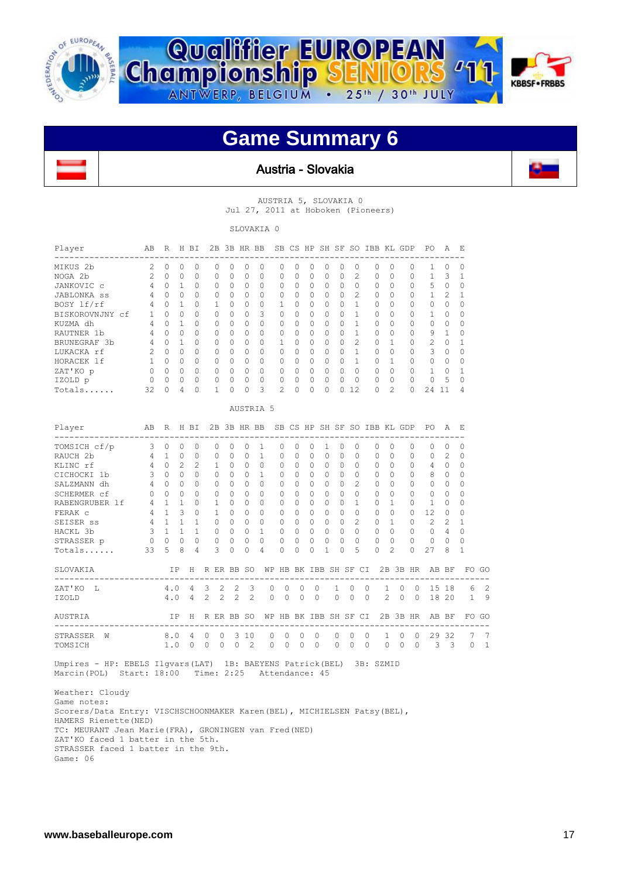





#### Austria - Slovakia



AUSTRIA 5, SLOVAKIA 0 Jul 27, 2011 at Hoboken (Pioneers)

SLOVAKIA 0

| Player             | AB             | R        |                | H BI         | 2В       |              | 3B HR BB |           |                |           |          | SB CS HP SH SF |          | SO.            | IBB KL GDP                   |              |          | PО       | Α             | E,           |
|--------------------|----------------|----------|----------------|--------------|----------|--------------|----------|-----------|----------------|-----------|----------|----------------|----------|----------------|------------------------------|--------------|----------|----------|---------------|--------------|
| MIKUS 2b           | $\mathfrak{D}$ | $\Omega$ | $\Omega$       | $\Omega$     | 0        | 0            | $\Omega$ | 0         | $\Omega$       | $\Omega$  | $\Omega$ | $\Omega$       | $\Omega$ | $\Omega$       | 0                            | $\Omega$     | 0        | 1        | 0             | $\cap$       |
| NOGA 2b            | $\mathcal{L}$  | $\Omega$ | $\Omega$       | <sup>0</sup> | $\cap$   | 0            | $\Omega$ | 0         | 0              | $\Omega$  | $\Omega$ | $\Omega$       | $\Omega$ | 2              | $\Omega$                     | $\Omega$     | 0        | 1        | 3             |              |
| JANKOVIC c         | 4              | 0        |                | 0            | 0        | 0            | $\Omega$ | 0         | 0              | $\Omega$  | 0        | $\Omega$       | $\Omega$ | $\Omega$       | 0                            | 0            | 0        | 5        | $\Omega$      | <sup>0</sup> |
| <b>JABLONKA</b> ss | 4              | 0        | $\Omega$       | 0            | $\Omega$ | 0            | $\Omega$ | 0         | $\Omega$       | $\Omega$  | 0        | $\Omega$       | $\Omega$ | $\mathfrak{D}$ | 0                            | $\Omega$     | 0        | 1        | $\mathcal{L}$ |              |
| BOSY lf/rf         | 4              | 0        | 1              | $\Omega$     | 1.       | 0            | $\Omega$ | 0         | 1              | $\Omega$  | 0        | $\Omega$       | $\Omega$ | 1              | $\Omega$                     | $\Omega$     | 0        | $\Omega$ | $\Omega$      | $\cap$       |
| BISKOROVNJNY cf    | 1              | $\Omega$ | $\Omega$       | $\cap$       | $\Omega$ | <sup>0</sup> | $\Omega$ | 3         | 0              | $\Omega$  | 0        | $\Omega$       | $\Omega$ | 1              | 0                            | <sup>0</sup> | 0        | 1        | 0             | $\cap$       |
| KUZMA dh           | 4              | $\Omega$ |                | 0            | $\Omega$ | <sup>0</sup> | $\Omega$ | 0         | $\bigcap$      | $\Omega$  | 0        | $\Omega$       | $\Omega$ | 1              | 0                            | O            | $\Omega$ | $\Omega$ | 0             | O            |
| RAUTNER 1b         | 4              | 0        | $\Omega$       | 0            | $\Omega$ | 0            | $\Omega$ | 0         | 0              | $\Omega$  | 0        | $\Omega$       | $\Omega$ | 1              | $\Omega$                     | 0            | 0        | 9        | 1             | $\cap$       |
| BRUNEGRAF 3b       | 4              | $\Omega$ | 1              | O            | $\Omega$ | 0            | $\Omega$ | $\Omega$  | 1.             | $\Omega$  | 0        | $\Omega$       | $\Omega$ | 2              | $\Omega$                     | 1            | 0        | 2        | $\Omega$      |              |
| LUKACKA rf         | 2              | $\Omega$ | $\Omega$       | $\Omega$     | $\Omega$ | <sup>0</sup> | $\Omega$ | $\Omega$  | $\cap$         | $\Omega$  | 0        | $\Omega$       | $\Omega$ | 1              | 0                            | $\Omega$     | $\Omega$ | 3        | 0             | O            |
| HORACEK lf         | 1              | $\Omega$ | $\bigcap$      | O            | $\Omega$ | 0            | $\Omega$ | 0         | 0              | $\Omega$  | 0        | $\Omega$       | $\Omega$ | 1              | $\Omega$                     | 1            | 0        | $\Omega$ | 0             | O            |
| ZAT'KO p           | $\Omega$       | 0        | $\Omega$       | $\Omega$     | $\Omega$ | 0            | $\Omega$ | $\Omega$  | $\Omega$       | $\Omega$  | 0        | $\Omega$       | $\Omega$ | $\Omega$       | 0                            | $\Omega$     | 0        | 1        | 0             |              |
| IZOLD p            | $\Omega$       | 0        | $\Omega$       | $\Omega$     | $\Omega$ | 0            | 0        | $\Omega$  | $\Omega$       | $\Omega$  | $\Omega$ | $\Omega$       | $\Omega$ | $\Omega$       | $\Omega$                     | $\Omega$     | $\Omega$ | $\Omega$ | 5             | $\cap$       |
| $Totals$           | 32             | 0        | 4              | 0            | 1        | 0            | $\Omega$ | 3         | $\mathfrak{D}$ | $\Omega$  | 0        | $\Omega$       | 0        | 12             | 0                            | 2            | 0        | 24       | 11            | 4            |
|                    |                |          |                |              |          |              |          | AUSTRIA 5 |                |           |          |                |          |                |                              |              |          |          |               |              |
| Player             | AB             | R        |                | H BI         | 2B       |              | 3B HR BB |           |                |           |          |                |          |                | SB CS HP SH SF SO IBB KL GDP |              |          | P0       | Α             | E.           |
| TOMSICH cf/p       | 3              | 0        | $\Omega$       | $\circ$      | $\Omega$ | 0            | $\Omega$ | -1        | $\Omega$       | $\Omega$  | 0        | 1              | $\Omega$ | $\Omega$       | $\Omega$                     | $\Omega$     | 0        | $\Omega$ | 0             | $\Omega$     |
| RAUCH 2b           | 4              | 1.       | $\Omega$       | $\Omega$     | $\Omega$ | 0            | $\Omega$ | 1         | $\Omega$       | $\bigcap$ | $\Omega$ | $\Omega$       | $\Omega$ | $\Omega$       | $\Omega$                     | $\Omega$     | 0        | $\Omega$ | 2             | <sup>0</sup> |
| KLINC rf           | 4              | 0        | $\mathfrak{D}$ | 2            | 1.       | $\Omega$     | $\Omega$ | 0         | 0              | $\Omega$  | 0        | $\Omega$       | $\Omega$ | $\Omega$       | $\Omega$                     | $\Omega$     | 0        | 4        | 0             | <sup>0</sup> |
| CICHOCKI 1b        | 3              | $\Omega$ | $\Omega$       | $\Omega$     | $\Omega$ | 0            | $\Omega$ | 1         | $\Omega$       | $\Omega$  | $\Omega$ | $\Omega$       | $\Omega$ | $\Omega$       | $\Omega$                     | $\Omega$     | 0        | 8        | $\Omega$      | $\cap$       |
| SALZMANN dh        | 4              | 0        | $\Omega$       | $\Omega$     | $\Omega$ | 0            | $\Omega$ | 0         | 0              | $\Omega$  | 0        | $\Omega$       | 0        | $\mathfrak{D}$ | 0                            | $\Omega$     | 0        | $\Omega$ | 0             | $\Omega$     |
| SCHERMER cf        | 0              | $\Omega$ | $\Omega$       | O            | $\Omega$ | <sup>0</sup> | $\Omega$ | $\Omega$  | <sup>0</sup>   | $\Omega$  | 0        | $\Omega$       | $\Omega$ | <sup>0</sup>   | $\Omega$                     | $\Omega$     | 0        | $\Omega$ | 0             | O            |
| RABENGRUBER 1f     | 4              |          |                | O            | 1        | 0            | $\Omega$ | $\Omega$  | 0              | $\Omega$  | 0        | $\Omega$       | $\Omega$ |                | O                            |              | 0        |          | O             | $\Omega$     |

| TOMSICH cf/p        | 3  | Ω   | 0             | 0            |   |               |       | 0             |                          |              |              |              |              | 0                  | 0            | $^{(1)}$                        | 0             | $\Omega$     |                |       | $\Omega$ |    |
|---------------------|----|-----|---------------|--------------|---|---------------|-------|---------------|--------------------------|--------------|--------------|--------------|--------------|--------------------|--------------|---------------------------------|---------------|--------------|----------------|-------|----------|----|
| RAUCH 2b            | 4  |     | 0             | 0            |   | O             | 0     | 0             |                          |              |              | 0            | 0            | 0                  | 0            | 0                               | O             | $\Omega$     | O              | 2     | 0        |    |
| KLINC rf            | 4  | O   | $\mathcal{D}$ | 2            |   |               | O     | O             |                          |              | 0            | O            | 0            | 0                  | $\cap$       | <sup>0</sup>                    | O             | $\Omega$     | 4              | O     | $\Omega$ |    |
| CICHOCKI 1b         | 3  | 0   | 0             | 0            |   | O             | 0     | 0             |                          | 0            | 0            | 0            | 0            | 0                  | $\Omega$     | 0                               | O             | 0            | 8              | 0     | 0        |    |
| SALZMANN dh         | 4  | Ω   | $\Omega$      | 0            |   | <sup>0</sup>  | O     | 0             | 0                        | 0            |              | U            | 0            | 0                  | 2            | 0                               | O             | $\Omega$     | O              | 0     | 0        |    |
| SCHERMER cf         | O  | ∩   | $\Omega$      | O            |   | <sup>0</sup>  | U     | 0             | 0                        |              |              | U            | 0            | Ω                  | O            | O                               | U             | $\Omega$     | O              | 0     | $\Omega$ |    |
| RABENGRUBER 1f      | 4  |     |               | $\cap$       |   |               | O     | O             | O                        | 0            | 0            | U            | O            | O                  |              | O.                              | 1             | $\Omega$     |                | O     | $\Omega$ |    |
| FERAK C             | 4  |     | 3             | O            |   |               |       |               | 0                        |              |              |              | O            |                    | 0            | Ω                               | O             | $\cap$       | 12             | ∩     |          |    |
| SEISER SS           | 4  |     |               |              |   | $\Omega$      | U     | 0             | 0                        |              |              | 0            | 0            | 0                  |              | 0                               |               | $\Omega$     | $\mathfrak{D}$ | 2     |          |    |
| HACKL 3b            | 3  |     |               |              |   | 0             | O     | 0             |                          | 0            | 0            | 0            | <sup>0</sup> | O                  | $\cap$       | <sup>0</sup>                    | O             | $\bigcap$    | O              | 4     | $\Omega$ |    |
| STRASSER p          |    |     | 0             | <sup>0</sup> |   | $\Omega$      | O     | 0             | 0                        |              |              | 0            | 0            |                    | O            | 0                               | $\Omega$      | $\Omega$     | 0              |       | $\Omega$ |    |
| Totals              | 33 | 5   | 8             | 4            |   | २             | U     | O             | 4                        |              |              |              |              | Λ                  | 5            |                                 | $\mathcal{D}$ | $\Omega$     | 27             | 8     |          |    |
| SLOVAKIA            |    | ΙP  |               | H            |   | R ER BB SO    |       |               | WΡ                       | HB           |              | BK IBB       |              |                    | SH SF CI     | 2B                              |               | 3B HR        |                | AB BF | FO.      | GO |
| ZAT'KO<br><b>Τ.</b> |    | 4.0 |               | 4            | 3 | $\mathcal{L}$ | 2     | $\mathcal{B}$ | -------------------<br>0 | <sup>0</sup> | <sup>0</sup> | <sup>0</sup> |              | <sup>0</sup><br>1. | $\Omega$     | --------------------------<br>1 | <sup>0</sup>  | 0            | ------<br>15   | 18    | 6        | 2  |
| IZOLD               |    | 4.0 |               | 4            | 2 | $\mathcal{L}$ | 2     | 2             | 0                        | <sup>0</sup> |              | <sup>0</sup> |              | O                  | 0            | 2                               | O             | 0            | 18             | 20    | 1.       | 9  |
| AUSTRIA             |    | ΙP  |               | H            | R |               | ER BB | -SO           | WΡ                       | HB           | BK           | IBB          |              | SH SF              | CI.          | 2B                              | 3B            | HR.          | AB             | BF    | F0.      | GO |
| STRASSER<br>W       |    | 8.0 |               | 4            | 0 | <sup>0</sup>  | 3     | 10            | O                        | <sup>0</sup> | $\cap$       |              |              | ∩<br>0             | <sup>0</sup> |                                 | O             | <sup>0</sup> | 29             | 32    |          |    |
| TOMSICH             |    | 1.0 |               | 0            | 0 |               |       | $\mathcal{L}$ | 0                        | 0            | $\Omega$     | $\Omega$     |              | 0<br>0             | $\Omega$     | 0                               | 0             | 0            | 3              | 3     | U        |    |
|                     |    |     |               |              |   |               |       |               |                          |              |              |              |              |                    |              |                                 |               |              |                |       |          |    |

 Umpires - HP: EBELS Ilgvars(LAT) 1B: BAEYENS Patrick(BEL) 3B: SZMID Marcin(POL) Start: 18:00 Time: 2:25 Attendance: 45

 Weather: Cloudy Game notes: Scorers/Data Entry: VISCHSCHOONMAKER Karen(BEL), MICHIELSEN Patsy(BEL), HAMERS Rienette(NED) TC: MEURANT Jean Marie(FRA), GRONINGEN van Fred(NED) ZAT'KO faced 1 batter in the 5th. STRASSER faced 1 batter in the 9th. Game: 06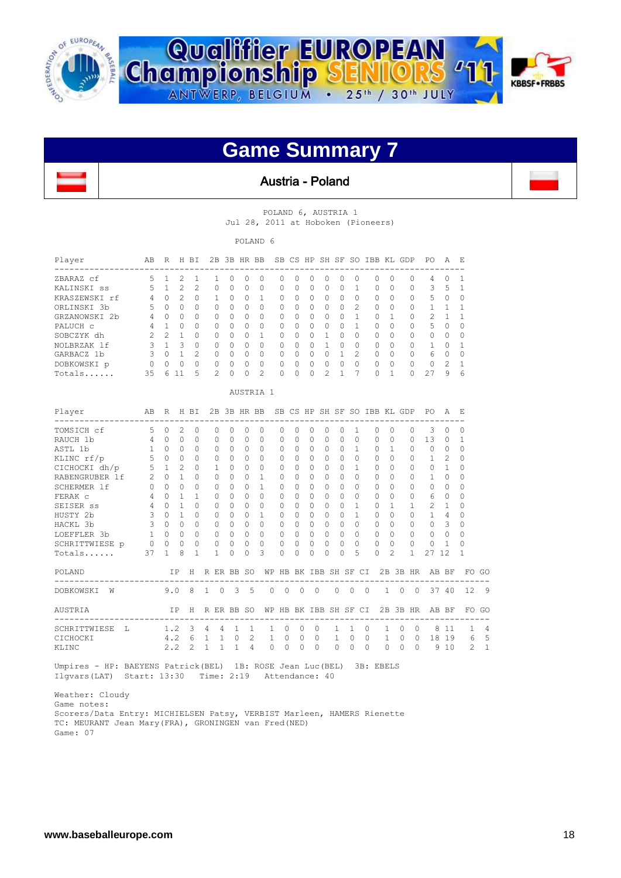



#### Austria - Poland

 $\mathbf{I}$ 

POLAND 6, AUSTRIA 1 Jul 28, 2011 at Hoboken (Pioneers)

POLAND 6

| Player                                     | AB             | R                        |                      | H BI                       |                           | 2B 3B HR BB          |                         |                           |              |               |                      |                      |                      |                       |                | SB CS HP SH SF SO IBB KL GDP |                         |           |                          | P0                | A                  | E,            |       |
|--------------------------------------------|----------------|--------------------------|----------------------|----------------------------|---------------------------|----------------------|-------------------------|---------------------------|--------------|---------------|----------------------|----------------------|----------------------|-----------------------|----------------|------------------------------|-------------------------|-----------|--------------------------|-------------------|--------------------|---------------|-------|
| ZBARAZ cf                                  | 5              | $\mathbf{1}$             | $\overline{2}$       | $\mathbf{1}$               | 1                         | $\Omega$             | $\Omega$                | 0                         |              | $\Omega$      | $\Omega$             | $\Omega$             | 0                    | $\Omega$              | $\mathbf{0}$   | 0                            | $\Omega$                |           | $\Omega$                 | 4                 | 0                  | 1             |       |
| KALINSKI ss                                | 5              | $\mathbf{1}$             | $\overline{2}$       | 2                          | $\Omega$                  | $\Omega$             | $\Omega$                | $\Omega$                  |              | 0             | <sup>0</sup>         | $\Omega$             | $\Omega$             | $\Omega$              | 1              | $\Omega$                     | $\Omega$                |           | $\Omega$                 | 3                 | 5                  | 1             |       |
| KRASZEWSKI rf                              | $\overline{4}$ | $\Omega$                 | 2                    | $\Omega$                   | 1                         | $\Omega$             | $\Omega$                | $\mathbf{1}$              |              | $\Omega$      | $\Omega$             | $\Omega$             | $\Omega$             | $\Omega$              | $\Omega$       | $\Omega$                     | $\Omega$                |           | $\Omega$                 | 5                 | $\Omega$           | 0             |       |
| ORLINSKI 3b                                | 5              | $\Omega$                 | $\Omega$             | $\Omega$                   | $\Omega$                  | $\Omega$             | $\circ$                 | 0                         |              | $\Omega$      | $\Omega$             | $\Omega$             | $\Omega$             | $\Omega$              | $\overline{c}$ | $\Omega$                     | $\Omega$                |           | $\Omega$                 | 1                 | 1.                 | 1             |       |
| GRZANOWSKI 2b                              | 4              | 0                        | $\Omega$             | $\Omega$                   | 0                         | $\Omega$             | $\circ$                 | 0                         |              | 0             | $\Omega$             | $\circ$              | 0                    | $\Omega$              | $\mathbf{1}$   | 0                            | 1                       |           | $\circ$                  | $\overline{c}$    | $\mathbf{1}$       | 1             |       |
| PALUCH c                                   | 4              | $\mathbf{1}$             | $\Omega$             | $\cap$                     | $\Omega$                  | $\Omega$             | $\Omega$                | $\Omega$                  |              | 0             | <sup>0</sup>         | $\Omega$             | $\cap$               | $\Omega$              | $\mathbf{1}$   | $\Omega$                     | $\Omega$                |           | $\Omega$                 | 5                 | $\Omega$           | $\Omega$      |       |
| SOBCZYK dh                                 | $\overline{c}$ | 2                        | 1                    | $\cap$                     | $\Omega$                  | $\Omega$             | $\Omega$                | 1                         |              | $\Omega$      | $\Omega$             | $\Omega$             | 1                    | $\Omega$              | $\Omega$       | $\Omega$                     | $\Omega$                |           | $\Omega$                 | $\Omega$          | $\Omega$           | $\Omega$      |       |
| NOLBRZAK lf                                | 3<br>3         | $\mathbf{1}$<br>$\Omega$ | 3<br>$\mathbf{1}$    | $\Omega$<br>$\overline{c}$ | $\Omega$                  | $\Omega$<br>$\Omega$ | $\Omega$                | $\Omega$                  |              | $\Omega$      | $\Omega$<br>$\Omega$ | $\Omega$<br>$\circ$  | $\mathbf{1}$         | $\Omega$<br>1         | $\Omega$<br>2  | $\Omega$                     | $\Omega$                |           | $\Omega$<br>$\Omega$     | 1<br>6            | $\Omega$           | 1             |       |
| GARBACZ 1b                                 |                |                          | $\Omega$             | $\cap$                     | $\circ$                   | $\Omega$             | $\circ$                 | $\mathbf{0}$              |              | 0             | $\Omega$             | $\Omega$             | $\circ$<br>$\Omega$  | $\Omega$              | $\cap$         | 0                            | 0<br>$\Omega$           |           | $\Omega$                 |                   | 0                  | 0             |       |
| DOBKOWSKI p                                | $\circ$        | $\Omega$                 |                      | 5                          | $\Omega$<br>$\mathcal{D}$ | $\Omega$             | $\Omega$                | $\Omega$<br>$\mathcal{D}$ |              | 0             | $\Omega$             |                      | 2                    |                       | 7              | $\Omega$<br>$\Omega$         | 1                       |           |                          | $\Omega$<br>27    | $\mathcal{L}$<br>9 | 1             |       |
| Totals                                     | 35             |                          | 6 11                 |                            |                           |                      | $\Omega$                |                           |              | $\Omega$      |                      | $\Omega$             |                      | 1                     |                |                              |                         |           | $\Omega$                 |                   |                    | 6             |       |
|                                            |                |                          |                      |                            |                           |                      |                         | AUSTRIA 1                 |              |               |                      |                      |                      |                       |                |                              |                         |           |                          |                   |                    |               |       |
| Player                                     | AВ             | R                        |                      | H BI                       |                           | 2B 3B HR BB          |                         |                           |              |               |                      |                      |                      |                       |                | SB CS HP SH SF SO IBB KL GDP |                         |           |                          | P0                | Α                  | Е             |       |
| TOMSICH cf                                 | 5              | $\circ$                  | 2                    | $\Omega$                   | $\Omega$                  | $\Omega$             | $\Omega$                | $\Omega$                  |              | $\Omega$      | $\Omega$             | $\Omega$             | $\Omega$             | $\Omega$              | 1              | $\Omega$                     | $\Omega$                |           | $\Omega$                 | 3                 | $\Omega$           | 0             |       |
| RAUCH 1b                                   | 4              | $\Omega$                 | $\Omega$             | $\Omega$                   | $\Omega$                  | $\Omega$             | $\Omega$                | $\Omega$                  |              | $\Omega$      | $\Omega$             | $\Omega$             | $\Omega$             | $\Omega$              | $\Omega$       | $\Omega$                     | $\Omega$                |           | $\Omega$                 | 13                | $\Omega$           | 1             |       |
| ASTL 1b                                    | 1              | $\bigcap$                | $\Omega$             | $\bigcap$                  | $\Omega$                  | $\Omega$             | $\Omega$                | $\Omega$                  |              | $\Omega$      | <sup>0</sup>         | $\Omega$             | $\Omega$             | $\Omega$              | $\mathbf{1}$   | $\Omega$                     | $\mathbf{1}$            |           | $\Omega$                 | $\cap$            | $\Omega$           | $\Omega$      |       |
| KLINC rf/p                                 | 5              | $\Omega$                 | $\Omega$             | $\cap$                     | 0                         | $\Omega$             | $\circ$                 | $\Omega$                  |              | 0             | $\Omega$             | $\Omega$             | $\Omega$             | $\Omega$              | $\Omega$       | $\Omega$                     | $\Omega$                |           | $\Omega$                 | $\mathbf{1}$      | $\overline{c}$     | $\Omega$      |       |
| CICHOCKI dh/p                              | 5              | $\mathbf{1}$             | $\overline{2}$       | $\Omega$                   | 1                         | $\Omega$             | $\Omega$                | $\Omega$                  |              | $\Omega$      | $\Omega$             | $\Omega$             | $\Omega$             | $\Omega$              | $\mathbf{1}$   | $\Omega$                     | $\Omega$                |           | $\Omega$                 | $\Omega$          | 1                  | $\Omega$      |       |
| RABENGRUBER 1f                             | $\mathfrak{D}$ | $\Omega$                 | 1                    | $\Omega$                   | $\Omega$                  | $\Omega$             | $\Omega$                | 1                         |              | $\Omega$      | $\Omega$             | $\Omega$             | $\Omega$             | $\Omega$              | $\Omega$       | $\Omega$                     | $\Omega$                |           | $\Omega$                 | 1                 | $\Omega$           | $\Omega$      |       |
| SCHERMER 1f                                | $\Omega$       | $\Omega$                 | $\Omega$             | $\Omega$                   | $\Omega$                  | $\Omega$             | $\Omega$                | $\mathbf{1}$              |              | 0             | <sup>0</sup>         | $\Omega$             | $\Omega$             | $\Omega$              | $\Omega$       | $\Omega$                     | $\Omega$                |           | $\Omega$                 | $\Omega$          | $\Omega$           | $\Omega$      |       |
| FERAK c                                    | 4              | $\Omega$                 | 1                    | 1                          | $\Omega$                  | $\Omega$             | $\Omega$                | $\Omega$                  |              | $\Omega$      | $\Omega$             | $\Omega$             | $\Omega$             | $\Omega$              | $\Omega$       | $\Omega$                     | $\Omega$                |           | $\Omega$                 | 6                 | $\Omega$           | $\Omega$      |       |
| SEISER SS                                  | 4              | $\Omega$                 | 1                    | $\Omega$                   | 0                         | $\Omega$             | $\circ$                 | 0                         |              | $\Omega$      | $\Omega$             | $\Omega$             | $\Omega$             | $\Omega$              | $\mathbf{1}$   | $\Omega$                     | 1                       |           | $\mathbf{1}$             | 2                 | $\mathbf{1}$       | $\Omega$      |       |
| HUSTY 2b                                   | 3              | $\Omega$                 | $\mathbf{1}$         | $\Omega$                   | 0                         | $\Omega$             | $\circ$                 | $\mathbf{1}$              |              | 0             | $\Omega$             | $\Omega$             | $\Omega$             | $\Omega$              | $\mathbf{1}$   | 0                            | $\Omega$                |           | $\Omega$                 | $\mathbf{1}$      | 4                  | 0             |       |
| HACKL 3b                                   | 3              | $\Omega$                 | $\Omega$             | $\Omega$                   | $\Omega$                  | $\Omega$             | $\Omega$                | $\Omega$                  |              | $\Omega$      | $\Omega$             | $\Omega$             | $\Omega$             | $\Omega$              | $\Omega$       | $\Omega$                     | $\Omega$                |           | $\Omega$                 | $\Omega$          | 3                  | $\Omega$      |       |
| LOEFFLER 3b                                | $\mathbf{1}$   | $\Omega$                 | $\Omega$<br>$\Omega$ | $\cap$                     | $\Omega$                  | $\Omega$             | $\Omega$                | $\Omega$                  |              | $\Omega$      | $\Omega$             | $\Omega$             | $\Omega$             | $\Omega$<br>$\Omega$  | $\Omega$       | $\Omega$                     | $\Omega$                |           | $\Omega$                 | $\Omega$          | $\Omega$           | $\Omega$      |       |
| SCHRITTWIESE p<br>Totals                   | $\circ$<br>37  | $\Omega$<br>$\mathbf{1}$ | 8                    | $\Omega$<br>1              | $\circ$<br>1              | $\Omega$<br>$\Omega$ | $\mathbf 0$<br>$\Omega$ | $\Omega$<br>3             |              | 0<br>$\Omega$ | $\Omega$<br>$\Omega$ | $\Omega$<br>$\Omega$ | $\Omega$<br>$\Omega$ | $\Omega$              | $\Omega$<br>5  | 0<br>$\Omega$                | $\Omega$<br>$\tilde{c}$ |           | $\Omega$<br>$\mathbf{1}$ | $\mathbf 0$<br>27 | 1<br>12            | $\Omega$<br>1 |       |
|                                            |                |                          |                      |                            |                           |                      |                         |                           |              |               |                      |                      |                      |                       |                |                              |                         |           |                          |                   |                    |               |       |
| POLAND                                     |                |                          | ΙP                   | H                          | R ER BB SO                |                      |                         |                           |              |               |                      |                      |                      | WP HB BK IBB SH SF CI |                |                              |                         |           | 2B 3B HR                 |                   | AB BF              |               | FO GO |
| DOBKOWSKI<br>W                             |                | 9.0                      |                      | 8                          | $\mathbf{1}$              | 0                    | 3                       | 5                         | 0            | 0             | $\circ$              | 0                    |                      | 0                     | 0              | $\circ$                      | $\mathbf{1}$            | $\circ$   | $\Omega$                 |                   | 37 40              | 12            | 9     |
| AUSTRIA                                    |                |                          | TP                   | Н<br>$- - -$               | R ER BB SO                |                      |                         |                           |              |               |                      |                      |                      | WP HB BK IBB SH SF CI |                |                              |                         |           | 2B 3B HR                 |                   | AB BF              |               | FO GC |
| ---------------------<br>SCHRITTWIESE<br>L |                | 1.2                      |                      | 3                          | 4                         | 4                    | 1                       | 1                         | 1.           | 0             | 0                    | 0                    |                      | 1.                    | 1              | 0                            | 1                       | $\Omega$  | 0                        | 8                 | -11                | 1             | 4     |
| CICHOCKI                                   |                | 4.2                      |                      | 6                          | $\mathbf{1}$              | $\mathbf{1}$         | $\Omega$                | $\mathcal{L}$             | $\mathbf{1}$ | $\Omega$      | $\Omega$             | $\Omega$             |                      | $\mathbf{1}$          | $\Omega$       | $\Omega$                     | $\mathbf{1}$            | $\Omega$  | $\Omega$                 |                   | 18 19              | 6             | 5     |
| KLINC                                      |                | 2.2                      |                      | 2                          | 1                         | 1                    | $\mathbf{1}$            | 4                         | $\Omega$     | $\Omega$      | $\Omega$             | $\Omega$             |                      | $\Omega$              | $\Omega$       | $\Omega$                     | $\Omega$                | $\bigcap$ | $\Omega$                 |                   | 9 10               | $\mathcal{D}$ | 1     |

 Umpires - HP: BAEYENS Patrick(BEL) 1B: ROSE Jean Luc(BEL) 3B: EBELS Ilgvars(LAT) Start: 13:30 Time: 2:19 Attendance: 40

 Weather: Cloudy Game notes: Scorers/Data Entry: MICHIELSEN Patsy, VERBIST Marleen, HAMERS Rienette TC: MEURANT Jean Mary(FRA), GRONINGEN van Fred(NED) Game: 07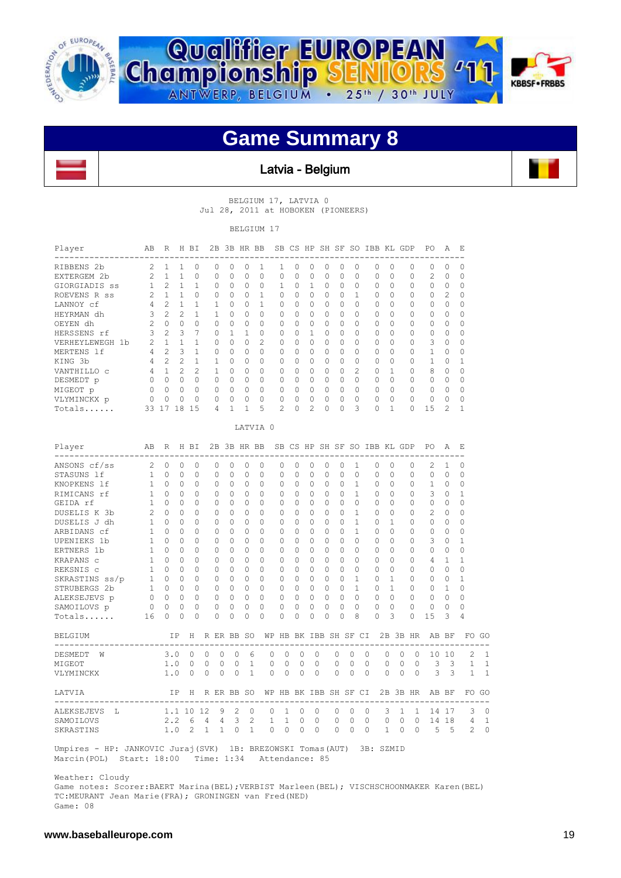

l.



### **Game Summary 8**



 BELGIUM 17, LATVIA 0 Jul 28, 2011 at HOBOKEN (PIONEERS)

BELGIUM 17

| Player<br>--------------------              | AВ             | R              |              | H BI         |              |              | 2B 3B HR BB   |              |              |              |          |                |              |                       |              |         | SB CS HP SH SF SO IBB KL GDP |              |          |         | PO           | Α            | Ε                        |              |
|---------------------------------------------|----------------|----------------|--------------|--------------|--------------|--------------|---------------|--------------|--------------|--------------|----------|----------------|--------------|-----------------------|--------------|---------|------------------------------|--------------|----------|---------|--------------|--------------|--------------------------|--------------|
| RIBBENS 2b                                  | 2              | $\mathbf{1}$   | 1            | $\Omega$     |              | $\Omega$     | $\Omega$      | $\Omega$     | 1            | 1            | $\Omega$ | $\Omega$       | 0            | $\Omega$              | $\Omega$     |         | $\Omega$                     | $\Omega$     | $\Omega$ |         | $\Omega$     | $\Omega$     | 0                        |              |
| EXTERGEM 2b                                 | 2              | $\mathbf{1}$   | $\mathbf{1}$ | 0            | 0            |              | $\Omega$      | $\circ$      | $\circ$      | $\Omega$     | 0        | $\circ$        | $\circ$      | $\Omega$              | $\mathbf{0}$ |         | 0                            | $\mathbf 0$  | $\circ$  |         | 2            | $\circ$      | $\mathbf 0$              |              |
| GIORGIADIS SS                               | $\mathbf{1}$   | 2              | $\mathbf{1}$ | $\mathbf{1}$ |              | 0            | $\Omega$      | $\Omega$     | 0            | $\mathbf{1}$ | $\circ$  | 1              | $\circ$      | $\Omega$              | $\circ$      |         | 0                            | $\Omega$     | 0        |         | 0            | $\circ$      | 0                        |              |
| ROEVENS R ss                                | 2              |                | $1\quad1$    | $\circ$      |              | 0            | 0             | $\circ$      | $\mathbf{1}$ | 0            | 0        | $\overline{0}$ | $\circ$      | $\circ$               | $\mathbf{1}$ |         | 0                            | 0            | 0        |         | 0            | 2            | 0                        |              |
| LANNOY cf                                   | 4              | $2^{\circ}$    | 1            | $\mathbf{1}$ | 1            |              | $\Omega$      | $\Omega$     | 1            | 0            | $\Omega$ | $\Omega$       | $\Omega$     | $\Omega$              | $\Omega$     |         | $\Omega$                     | $\Omega$     | $\Omega$ |         | $\Omega$     | $\Omega$     | $\Omega$                 |              |
| HEYRMAN dh                                  | 3              | 2              | 2            | $\mathbf{1}$ | $\mathbf{1}$ |              | 0             | $\circ$      | $\mathbf{0}$ | 0            | $\circ$  | $\circ$        | $\circ$      | $\circ$               | $\circ$      |         | 0                            | 0            | 0        |         | 0            | $\circ$      | 0                        |              |
| OEYEN dh                                    | 2              | $\Omega$       | $\Omega$     | $\Omega$     |              | $\Omega$     | $\Omega$      | $\Omega$     | $\Omega$     | $\Omega$     | $\Omega$ | $\Omega$       | $\Omega$     | $\Omega$              | $\Omega$     |         | $\Omega$                     | $\Omega$     | $\Omega$ |         | $\Omega$     | $\Omega$     | $\Omega$                 |              |
| HERSSENS rf                                 | 3              | $\mathbf{2}$   | 3            | 7            |              | 0            | $\mathbf{1}$  | 1            | 0            | 0            | 0        | $\mathbf{1}$   | $\circ$      | $\circ$               | $\circ$      |         | 0                            | $\Omega$     | $\circ$  |         | 0            | $\circ$      | 0                        |              |
| VERHEYLEWEGH 1b                             | 2              | 1              | $\mathbf{1}$ | $\mathbf{1}$ |              | 0            | $\mathbf 0$   | $\circ$      | 2            | 0            | 0        | $\circ$        | $\circ$      | 0                     | $\circ$      |         | 0                            | $\circ$      | 0        |         | 3            | 0            | 0                        |              |
| MERTENS 1f                                  | $\overline{4}$ | $2^{\circ}$    | 3            | $\mathbf{1}$ |              | 0            | $\Omega$      | $\Omega$     | $\mathbf{0}$ | $\Omega$     | 0        | $\Omega$       | $\circ$      | $\Omega$              | $\circ$      |         | 0                            | $\Omega$     | $\Omega$ |         | 1            | $\Omega$     | 0                        |              |
| KING 3b                                     | 4              | $\overline{2}$ | 2            | $\mathbf{1}$ |              | $\mathbf{1}$ | $\Omega$      | $\Omega$     | $\circ$      | 0            | $\Omega$ | $\Omega$       | $\Omega$     | $\Omega$              | $\Omega$     |         | $\Omega$                     | $\Omega$     | 0        |         | $\mathbf{1}$ | 0            | 1                        |              |
| VANTHILLO C                                 | 4              | $1 -$          | 2            | 2            |              | $\mathbf{1}$ | $\circ$       | $\mathbf 0$  | $\circ$      | 0            | 0        | $\circ$        | $\mathbf{0}$ | $\circ$               | $\mathbf{2}$ |         | 0                            | $\mathbf 1$  | 0        |         | 8            | 0            | $\mathbf 0$              |              |
| DESMEDT p                                   | $\circ$        | $0\quad 0$     |              | $\circ$      |              | 0            | $\mathbf{0}$  | $\circ$      | $\mathbf{0}$ | 0            | 0        | $\circ$        | $\circ$      | $\circ$               | $\circ$      |         | 0                            | 0            | 0        |         | 0            | $\circ$      | 0                        |              |
| MIGEOT p                                    | $\Omega$       |                | $0 \quad 0$  | $\Omega$     |              | 0            | $\Omega$      | $\Omega$     | $\mathbf{0}$ | $\Omega$     | $\Omega$ | $\Omega$       | $\Omega$     | $\Omega$              | $\circ$      |         | $\Omega$                     | $\Omega$     | $\Omega$ |         | $\Omega$     | $\Omega$     | $\Omega$                 |              |
| VLYMINCKX p                                 | $\overline{0}$ | 0              | $\circ$      | $\circ$      |              | 0            | $\mathbf 0$   | $\mathbf 0$  | $\circ$      | 0            | 0        | $\mathbf 0$    | $\mathbf 0$  | $\circ$               | $\circ$      |         | 0                            | $\mathbf 0$  | 0        |         | 0            | 0            | 0                        |              |
| Totals                                      |                | 33 17 18 15    |              |              |              | 4            | $\mathbf{1}$  | 1            | 5            | 2            | $\Omega$ | $\overline{2}$ | 0            | 0                     | 3            |         | 0                            | $\mathbf{1}$ | $\Omega$ |         | 15           | 2            | 1                        |              |
|                                             |                |                |              |              |              |              |               |              | LATVIA 0     |              |          |                |              |                       |              |         |                              |              |          |         |              |              |                          |              |
| Player                                      | AB             | R              |              | H BI         |              |              |               |              | 2B 3B HR BB  |              |          |                |              |                       |              |         | SB CS HP SH SF SO IBB KL GDP |              |          |         | PO.          | A            | E,                       |              |
| .<br>ANSONS cf/ss                           | 2              | 0              | 0            | 0            |              | 0            | 0             | 0            | 0            | 0            | 0        | 0              | 0            | 0                     | 1            |         | 0                            | 0            | 0        |         | 2            | 1            | 0                        |              |
| STASUNS lf                                  | $\mathbf{1}$   | $\Omega$       | $\Omega$     | $\Omega$     |              | $\Omega$     | $\Omega$      | 0            | 0            | 0            | 0        | $\Omega$       | $\circ$      | $\Omega$              | $\Omega$     |         | $\Omega$                     | $\Omega$     | $\Omega$ |         | $\Omega$     | $\Omega$     | 0                        |              |
| KNOPKENS 1f                                 | 1              | 0              | 0            | 0            |              | 0            | 0             | 0            | 0            | 0            | 0        | 0              | 0            | 0                     | $\mathbf{1}$ |         | 0                            | $\Omega$     | 0        |         | 1            | 0            | 0                        |              |
| RIMICANS rf                                 | 1              | $\Omega$       | $\Omega$     | $\Omega$     |              | $\Omega$     | $\Omega$      | $\Omega$     | $\mathbf{0}$ | $\Omega$     | $\Omega$ | $\Omega$       | $\Omega$     | $\Omega$              | $\mathbf{1}$ |         | $\Omega$                     | $\Omega$     | $\Omega$ |         | 3            | $\Omega$     | 1                        |              |
| GEIDA rf                                    | $\mathbf{1}$   | $\circ$        | $\circ$      | $\circ$      |              | 0            | $\circ$       | $\circ$      | $\mathbf{0}$ | 0            | 0        | $\circ$        | $\mathbf{0}$ | $\circ$               | $\circ$      |         | $\circ$                      | 0            | 0        |         | 0            | $\circ$      | 0                        |              |
| DUSELIS K 3b                                | 2              | $\Omega$       | 0            | $\Omega$     |              | 0            | $\Omega$      | 0            | $\circ$      | 0            | $\Omega$ | 0              | $\circ$      | 0                     | 1            |         | 0                            | $\Omega$     | $\Omega$ |         | 2            | 0            | 0                        |              |
| DUSELIS J dh                                | 1              | $\Omega$       | $\Omega$     | $\Omega$     |              | 0            | $\Omega$      | $\circ$      | $\mathbf{0}$ | 0            | 0        | $\Omega$       | $\circ$      | $\Omega$              | $\mathbf{1}$ |         | 0                            | $\mathbf{1}$ | $\Omega$ |         | 0            | $\Omega$     | 0                        |              |
| ARBIDANS cf                                 | 1              | $\Omega$       | $\Omega$     | $\Omega$     |              | $\Omega$     | $\Omega$      | $\Omega$     | $\mathbf{0}$ | $\Omega$     | $\Omega$ | $\Omega$       | $\Omega$     | $\Omega$              | $\mathbf{1}$ |         | $\Omega$                     | $\Omega$     | $\Omega$ |         | 0            | $\Omega$     | $\Omega$                 |              |
| UPENIEKS 1b                                 | 1              | $\circ$        | 0            | $\mathbf{0}$ |              | 0            | $\circ$       | $\mathbf{0}$ | $\circ$      | 0            | $\circ$  | $\circ$        | $\mathbf{0}$ | $\circ$               | $\circ$      |         | 0                            | $\circ$      | $\circ$  |         | 3            | 0            | 1                        |              |
| ERTNERS 1b                                  | 1              | $\Omega$       | $\Omega$     | $\Omega$     |              | $\Omega$     | $\Omega$      | $\Omega$     | $\Omega$     | $\Omega$     | $\Omega$ | $\Omega$       | $\Omega$     | $\Omega$              | $\Omega$     |         | $\Omega$                     | $\Omega$     | $\Omega$ |         | $\Omega$     | $\Omega$     | $\Omega$                 |              |
| KRAPANS C                                   | $\mathbf{1}$   | $\overline{0}$ | $\circ$      | $\circ$      |              | 0            | $\circ$       | $\circ$      | $\circ$      | 0            | 0        | $\circ$        | $\circ$      | $\circ$               | $\circ$      |         | 0                            | $\circ$      | $\circ$  |         | 4            | $\mathbf{1}$ | 1                        |              |
| REKSNIS C                                   | 1              | $\circ$        | 0            | 0            |              | 0            | 0             | 0            | 0            | 0            | 0        | 0              | 0            | 0                     | $\mathbf{0}$ |         | 0                            | 0            | 0        |         | 0            | 0            | 0                        |              |
| SKRASTINS ss/p                              | 1              | $\circ$        | $\mathbf{0}$ | $\circ$      |              | 0            | $\Omega$      | $\circ$      | $\mathbf{0}$ | 0            | 0        | $\mathbf{0}$   | $\circ$      | 0                     | $\mathbf{1}$ |         | $\circ$                      | $\mathbf{1}$ | 0        |         | $\circ$      | $\circ$      | 1                        |              |
| STRUBERGS 2b                                | 1              | $\overline{0}$ | $\mathbf 0$  | $\circ$      |              | 0            | $\mathbf{0}$  | $\circ$      | $\circ$      | $\circ$      | $\circ$  | $\overline{0}$ | $\mathbf{0}$ | $\circ$               | $\mathbf{1}$ |         | 0                            | $\mathbf{1}$ | $\circ$  |         | $\circ$      | $\mathbf{1}$ | 0                        |              |
|                                             |                |                | $\Omega$     | $\circ$      |              | 0            |               | $\circ$      | $\circ$      | 0            |          | $\circ$        | $\circ$      | $\Omega$              | $\circ$      |         | 0                            | $\Omega$     | $\Omega$ |         | $\Omega$     | $\Omega$     | $\Omega$                 |              |
| ALEKSEJEVS p                                | 0              | 0              | 0            | $\Omega$     |              | 0            | 0<br>$\Omega$ | $\circ$      | $\circ$      | 0            | 0<br>0   | $\circ$        | 0            | 0                     | $\Omega$     |         | 0                            | $\Omega$     | $\Omega$ |         | 0            | $\Omega$     | $\Omega$                 |              |
| SAMOILOVS p                                 | $\circ$        | 0              |              |              |              |              |               |              |              |              |          |                |              |                       |              |         |                              |              |          |         |              |              |                          |              |
| Totals                                      | 16             | 0              | 0            | 0            |              | 0            | 0             | $\circ$      | 0            | 0            | 0        | 0              | 0            | $\mathbf 0$           | 8            |         | 0                            | 3            | $\circ$  |         | 15           | 3            | 4                        |              |
| BELGIUM<br>-------------------------------- |                |                | TP           | H            | R ER BB SO   |              |               |              |              |              |          |                |              | WP HB BK IBB SH SF CI |              |         |                              |              | 2B 3B HR |         |              | AB BF        | ------------------------ | FO GO        |
| DESMEDT<br>W                                |                | 3.0            |              | 0            | 0            | 0            | 0             | 6            | 0            | 0            | 0        |                | 0            | 0                     | 0            | 0       | 0                            |              | 0        | 0       |              | 10 10        | 2                        | 1            |
| MIGEOT                                      |                | 1.0            |              | 0            | 0            | 0            | $\Omega$      | $\mathbf{1}$ | 0            | 0            | 0        |                | 0            | 0                     | 0            | 0       | 0                            |              | 0        | 0       | 3            | 3            | $\mathbf{1}$             | 1            |
| VLYMINCKX                                   |                | 1.0            |              | $\circ$      | 0            | 0            | 0             | $\mathbf{1}$ | 0            | 0            | 0        |                | 0            | 0                     | 0            | 0       | 0                            |              | 0        | $\circ$ | 3            | 3            | 1                        | $\mathbf{1}$ |
| LATVIA                                      |                |                | ΙP           | Н            | R ER BB SO   |              |               |              |              |              | $- - -$  |                |              | WP HB BK IBB SH SF CI |              | $- - -$ |                              |              | 2B 3B HR |         | AB BF        |              | -----------------------  | FO GO        |
| ALEKSEJEVS<br>т.                            |                |                |              | 1.1 10 12    |              | 9            | 2             | $\mathbf{0}$ | 0            | 1            | 0        |                | 0            | 0                     | 0            | 0       | 3                            |              | 1        | 1       |              | 14 17        | 3                        | 0            |
|                                             |                |                |              |              | 4            | 4            | 3             | 2            | $\mathbf{1}$ | $\mathbf{1}$ | 0        |                | 0            | 0                     | 0            | 0       | 0                            |              | 0        | 0       |              | 14 18        | 4                        | $\mathbf{1}$ |
| SAMOILOVS                                   |                | 2.2            |              | 6            |              |              |               |              |              |              |          |                |              |                       |              |         |                              |              |          |         |              |              |                          |              |

Weather: Cloudy

 Game notes: Scorer:BAERT Marina(BEL);VERBIST Marleen(BEL); VISCHSCHOONMAKER Karen(BEL) TC:MEURANT Jean Marie(FRA); GRONINGEN van Fred(NED) Game: 08

I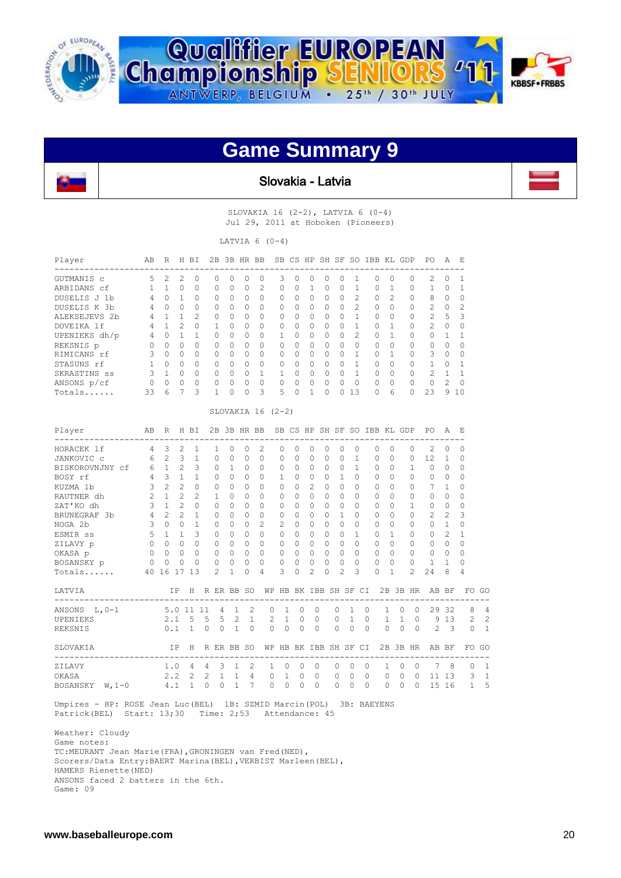



Slovakia - Latvia

I

SLOVAKIA 16 (2-2), LATVIA 6 (0-4) Jul 29, 2011 at Hoboken (Pioneers)

LATVIA  $6 (0-4)$ 

| Player        | AВ     | R        | H.            | BT.           | 2B       |          | 3B HR        | BB                          |              |              |           | SB CS HP SH SF |              | SO.            | <b>TBB</b>   |               | KL GDP   | PO.           | A              | - E       |
|---------------|--------|----------|---------------|---------------|----------|----------|--------------|-----------------------------|--------------|--------------|-----------|----------------|--------------|----------------|--------------|---------------|----------|---------------|----------------|-----------|
| GUTMANIS C    | 5.     | 2.       | 2.            | $\Omega$      | 0        | $\Omega$ | 0            | 0                           | 3            | <sup>o</sup> | 0         | 0              | $\left($     |                | <sup>0</sup> | $\Omega$      | 0        | 2             | $\Omega$       |           |
| ARBIDANS cf   |        |          | 0             | $\Omega$      | O        | $\Omega$ | $\Omega$     | $\mathcal{D}_{\mathcal{L}}$ | $\bigcap$    | $\bigcap$    |           | $\Omega$       | $\Omega$     |                | O            |               | $\Omega$ |               | $\Omega$       |           |
| DUSELIS J 1b  | 4      | O        |               | $\Omega$      | 0        | $\Omega$ | $\Omega$     | 0                           | <sup>0</sup> | $\bigcap$    | 0         | $\Omega$       | $\Omega$     | 2              | $\bigcap$    | $\mathcal{L}$ | $\Omega$ | 8             | $\Omega$       | $\Box$    |
| DUSELIS K 3b  | 4      | 0        | 0             | $\Omega$      | 0        | $\Omega$ | $\Omega$     | $\Omega$                    | <sup>0</sup> | <sup>0</sup> | $\Omega$  | $\Omega$       | $\Omega$     | $\mathfrak{D}$ | $\bigcap$    | $\Omega$      | $\Omega$ | $\mathcal{P}$ | $\Omega$       | 2         |
| ALEKSEJEVS 2b | 4      |          |               | $\mathcal{P}$ | $\Omega$ | $\Omega$ | $\Omega$     | 0                           | $\bigcap$    | $\cap$       | $\bigcap$ | $\Omega$       | $\Omega$     |                | <sup>0</sup> | $\Omega$      | $\Omega$ | $\mathcal{P}$ | 5              | 3         |
| DOVEIKA lf    | 4      |          | $\mathcal{P}$ | $\Omega$      |          | $\cap$   | <sup>0</sup> | $\Omega$                    | <sup>0</sup> | $\cap$       | $\Omega$  | $\bigcap$      | $\bigcap$    |                | $\cap$       |               | $\Omega$ | $\mathcal{P}$ | $\Omega$       |           |
| UPENIEKS dh/p | 4      |          |               |               | 0        | $\Omega$ | $\Omega$     | $\Omega$                    |              | $\cap$       | $\Omega$  | $\Omega$       | $\Omega$     | 2              | $\bigcap$    |               | 0        | $\bigcap$     |                |           |
| REKSNIS p     | U      | O        | 0             | $\Omega$      | $\cap$   | $\Omega$ | $\Omega$     | $\Omega$                    | $\bigcap$    | $\Omega$     | $\bigcap$ | $\Omega$       | $\Omega$     | $\bigcap$      | $\Omega$     | $\Omega$      | $\Omega$ | $\Omega$      | $\Omega$       |           |
| RIMICANS rf   | 3      | 0        | 0             | $\Omega$      | 0        | $\Omega$ | <sup>0</sup> | $\Omega$                    | 0            | $\bigcap$    | $\Omega$  | $\Omega$       | $\bigcap$    |                | $\bigcap$    |               | $\Omega$ | 3             | $\Omega$       | $\bigcap$ |
| STASUNS rf    |        | $\Omega$ | 0             | $\cap$        | $\Omega$ | $\cap$   | <sup>0</sup> | $\Omega$                    | <sup>0</sup> | $\cap$       | $\Omega$  | $\bigcap$      | $\Omega$     |                | $\cap$       | $\cap$        | $\Omega$ |               | $\Omega$       |           |
| SKRASTINS ss  |        |          | O             | $\cap$        | $\Omega$ | $\cap$   | <sup>0</sup> |                             |              | $\cap$       | $\cap$    | $\Omega$       | $\Omega$     |                | O            | $\bigcap$     | $\Omega$ | $\mathcal{P}$ |                |           |
| ANSONS p/cf   | $\cap$ | ∩        | 0             | $\cap$        | $\Omega$ | $\cap$   | <sup>0</sup> | $\Omega$                    | <sup>0</sup> | $\cap$       | $\Omega$  | $\bigcap$      | <sup>0</sup> | $\bigcap$      | $\cap$       | $\Omega$      | $\Omega$ | $\cap$        | $\mathfrak{D}$ | $\cap$    |
| Totals        | 33     | 6        |               | 3             |          |          | O            | 3                           | 5            |              |           | <sup>0</sup>   | Ω            | 13             | O.           | 6             | 0        | 23            | 9              | 10        |

| Player                             | AB             |               | R H BI         |                |                |                |               |               | 2B 3B HR BB SB CS HP SH SF SO IBB KL GDP |                |                       |                |              |               |                |              |              |              |              |               | PO.           | A             | E            |             |
|------------------------------------|----------------|---------------|----------------|----------------|----------------|----------------|---------------|---------------|------------------------------------------|----------------|-----------------------|----------------|--------------|---------------|----------------|--------------|--------------|--------------|--------------|---------------|---------------|---------------|--------------|-------------|
| HORACEK 1f                         | $\overline{4}$ | 3             | $\mathfrak{D}$ | 1              |                | $\mathbf{1}$   | $\Omega$      | $\Omega$      | 2                                        | $\bigcap$      | <sup>0</sup>          | $\Omega$       | $\Omega$     | 0             | $\Omega$       |              | <sup>0</sup> | $\Omega$     |              | $\Omega$      | 2             | 0             | $\Omega$     |             |
| JANKOVIC c                         | 6              | $\mathcal{P}$ | 3              | $\mathbf{1}$   |                | $\Omega$       | $\Omega$      | <sup>0</sup>  | 0                                        | 0              | 0                     | $\Omega$       | <sup>0</sup> | <sup>0</sup>  | 1              |              | <sup>0</sup> | 0            |              | $\Omega$      | 12.           | 1             | <sup>0</sup> |             |
| BISKOROVNJNY cf                    | 6              | $\mathbf{1}$  | $\mathcal{L}$  | 3              |                | $\Omega$       | $\mathbf{1}$  | $\Omega$      | $\bigcap$                                | $\Omega$       | $\Omega$              | $\Omega$       | $\bigcap$    | $\Omega$      |                | $\mathbf{1}$ | $\Omega$     | $\Omega$     |              | $\mathbf{1}$  | $\bigcap$     | $\Omega$      | $\Omega$     |             |
| BOSY rf                            | 4              | $\mathcal{B}$ | $\mathbf{1}$   | $\mathbf{1}$   |                | <sup>0</sup>   | $\cap$        | $\bigcap$     | $\Omega$                                 | $\mathbf{1}$   | $\cap$                | $\Omega$       | $\bigcap$    | $\mathbf{1}$  |                | $\cap$       | $\bigcap$    | $\cap$       |              | $\Omega$      | $\bigcap$     | $\Omega$      | $\Omega$     |             |
| KUZMA 1b                           | 3              | $\mathcal{L}$ | $\mathfrak{D}$ | $\bigcap$      |                | $\Omega$       | $\Omega$      | $\Omega$      | $\bigcap$                                | $\Omega$       | $\Omega$              | $\mathfrak{D}$ | $\Omega$     | $\Omega$      | $\bigcap$      |              | $\bigcap$    | $\Omega$     |              | $\Omega$      | 7             | $\mathbf{1}$  | $\Omega$     |             |
| RAUTNER dh                         | $\mathfrak{D}$ | $\mathbf{1}$  | $\mathfrak{D}$ | $\mathcal{L}$  |                | $\mathbf{1}$   | $\Omega$      | <sup>0</sup>  | $\Omega$                                 | $\bigcap$      | $\bigcap$             | $\Omega$       | $\bigcap$    | $\Omega$      | $\bigcap$      |              | $\bigcap$    | $\Omega$     |              | $\Omega$      | $\cap$        | $\cap$        | $\Omega$     |             |
| ZAT'KO dh                          | 3              | $\mathbf{1}$  | $\mathfrak{D}$ | $\Omega$       |                | $\Omega$       | $\Omega$      | $\Omega$      | $\Omega$                                 | $\Omega$       | $\bigcap$             | $\Omega$       | $\Omega$     | $\Omega$      | $\Omega$       |              | $\Omega$     | $\Omega$     |              | $\mathbf{1}$  | $\Omega$      | $\Omega$      | $\Omega$     |             |
| BRUNEGRAF 3b                       | $\overline{4}$ | $\mathcal{L}$ | $\mathcal{P}$  | $\mathbf{1}$   |                | $\Omega$       | $\Omega$      | $\cap$        | $\Omega$                                 | $\Omega$       | $\bigcap$             | $\Omega$       | <sup>0</sup> | 1             |                | $\bigcap$    | $\cap$       | $\Omega$     |              | $\Omega$      | $\mathcal{L}$ | $\mathcal{L}$ | 3            |             |
| NOGA <sub>2</sub> b                | 3              | $\Omega$      | $\Omega$       | $\mathbf{1}$   |                | $\Omega$       | 0             | $\Omega$      | $\mathcal{L}$                            | 2              | <sup>o</sup>          | $\Omega$       | <sup>0</sup> | O             |                | $\bigcap$    | $\Omega$     | $\Omega$     |              | $\Omega$      | $\bigcap$     | 1             | $\Omega$     |             |
| ESMIR ss                           | .5             | -1.           | $\mathbf{1}$   | 3              |                | $\bigcap$      | $\cap$        | <sup>0</sup>  | $\Omega$                                 | $\Omega$       | n.                    | $\Omega$       | <sup>0</sup> | <sup>0</sup>  | -1             |              | $\bigcap$    | 1.           |              | $\Omega$      | $\cap$        | $\mathcal{L}$ | 1            |             |
| ZILAVY p                           | $\bigcap$      | O.            | $\Omega$       | $\cap$         |                | $\bigcap$      | $\Omega$      | $\bigcap$     | $\Omega$                                 | $\Omega$       | <sup>o</sup>          | $\Omega$       | <sup>0</sup> | <sup>0</sup>  |                | $\cap$       | $\bigcap$    | $\Omega$     |              | $\Omega$      | $\bigcap$     | $\Omega$      | $\bigcap$    |             |
| OKASA p                            | $\bigcap$      | $\bigcap$     | $\Omega$       | $\bigcap$      |                | $\Omega$       | $\Omega$      | $\Omega$      | $\Omega$                                 | $\Omega$       | $\bigcap$             | $\Omega$       | $\bigcap$    | $\Omega$      |                | $\Omega$     | $\bigcap$    | $\Omega$     |              | $\Omega$      | $\bigcap$     | $\bigcap$     | $\Omega$     |             |
| BOSANSKY p                         | 0              | 0             | $\Omega$       | $\bigcap$      |                | $\Omega$       | $\Omega$      | $\bigcap$     | $\Omega$                                 | $\Omega$       | $\Omega$              | $\Omega$       | $\bigcap$    | $\Omega$      | $\Omega$       |              | $\bigcap$    | $\Omega$     |              | $\Omega$      | $\mathbf{1}$  | 1.            | <sup>0</sup> |             |
| 40<br>Totals                       |                | 16            | 17             | 13             |                | 2              | 1             | <sup>0</sup>  | 4                                        | 3              | $\bigcap$             | $\mathcal{P}$  | <sup>0</sup> | $\mathcal{P}$ |                | २            | $\bigcap$    | 1            |              | $\mathcal{L}$ | 2.4           | 8             | 4            |             |
| LATVIA                             |                |               | TP             | H              | R ER BB SO     |                |               |               |                                          |                | WP HB BK IBB SH SF CI |                |              |               |                |              |              |              |              | 2B 3B HR      | AB BF         |               |              | FO GO       |
| -----------------<br>ANSONS L, 0-1 |                |               | 5.0 11 11      |                | ---------      | $\overline{4}$ | $\mathbf{1}$  | $\mathcal{L}$ | -------<br>$\Omega$                      | $\mathbf{1}$   | $\Omega$              | $\Omega$       |              | $\Omega$      | $\overline{1}$ | $\Omega$     | ----------   | $\mathbf{1}$ | $\Omega$     | $\Omega$      | ------        | 29 32         | 8            | 4           |
| UPENIEKS                           |                | 2.1           |                | $5^{\circ}$    | .5             | .5             | $\mathcal{L}$ | $\mathbf{1}$  | $\mathcal{L}$                            | $\overline{1}$ | $\Omega$              | $\Omega$       |              | $\Omega$      | $\overline{1}$ | $\Omega$     |              | $1 -$        | $\mathbf{1}$ | $\bigcirc$    |               | 9 1 3         | 2            | 2           |
| REKSNIS                            |                | 0.1           |                | $\overline{1}$ | $\Omega$       | $\Omega$       | $\mathbf{1}$  | $\cap$        | $\Omega$                                 | $\Omega$       | $\Omega$              | $\cap$         |              | $\Omega$      | $\Omega$       | $\Omega$     |              | $\Omega$     | $\Omega$     | $\bigcirc$    | $2^{\circ}$   | - 3           | $\Omega$     | 1           |
| SLOVAKIA                           |                |               | TP             | H              |                |                |               | R ER BB SO    |                                          |                | WP HB BK IBB SH SF CI |                |              |               |                |              |              |              |              | 2B 3B HR      | AB BF         |               |              | FO GO       |
| -----------------<br>ZILAVY        |                | 1.0           |                | $\overline{4}$ | $\overline{4}$ | 3              | $\mathbf{1}$  | $\mathcal{L}$ | 1.                                       | $\Omega$       | $\Omega$              | $\Omega$       |              | $\Omega$      | $\Omega$       | $\Omega$     |              | $\mathbf{1}$ | $\Omega$     | $\Omega$      | 7             | 8             | $\Omega$     | $\mathbf 1$ |
| OKASA                              |                | 2.2           |                | 2              | $\mathcal{L}$  | $\mathbf{1}$   | $\mathbf{1}$  | 4             | $\Omega$                                 | $\mathbf{1}$   | $\Omega$              | $\Omega$       |              | $\mathbf 0$   | $\Omega$       | 0            |              | $\circ$      | $\Omega$     | $\Omega$      |               | 11 13         | 3            | 1           |
| BOSANSKY<br>$W, 1-0$               |                | 4.1           |                | $\mathbf{1}$   | $\Omega$       | $\Omega$       | $\mathbf{1}$  | 7             | $\Omega$                                 | $\Omega$       | $\Omega$              | $\Omega$       |              | 0             | $\bigcap$      | $\Omega$     |              | $\Omega$     | $\Omega$     | $\Omega$      |               | 15 16         | $\mathbf{1}$ | 5           |

SLOVAKIA 16 (2-2)

 Umpires - HP: ROSE Jean Luc(BEL) 1B: SZMID Marcin(POL) 3B: BAEYENS Patrick(BEL) Start: 13;30 Time: 2;53 Attendance: 45

 Weather: Cloudy Game notes: TC:MEURANT Jean Marie(FRA),GRONINGEN van Fred(NED), Scorers/Data Entry:BAERT Marina(BEL),VERBIST Marleen(BEL), HAMERS Rienette(NED) ANSONS faced 2 batters in the 6th. Game: 09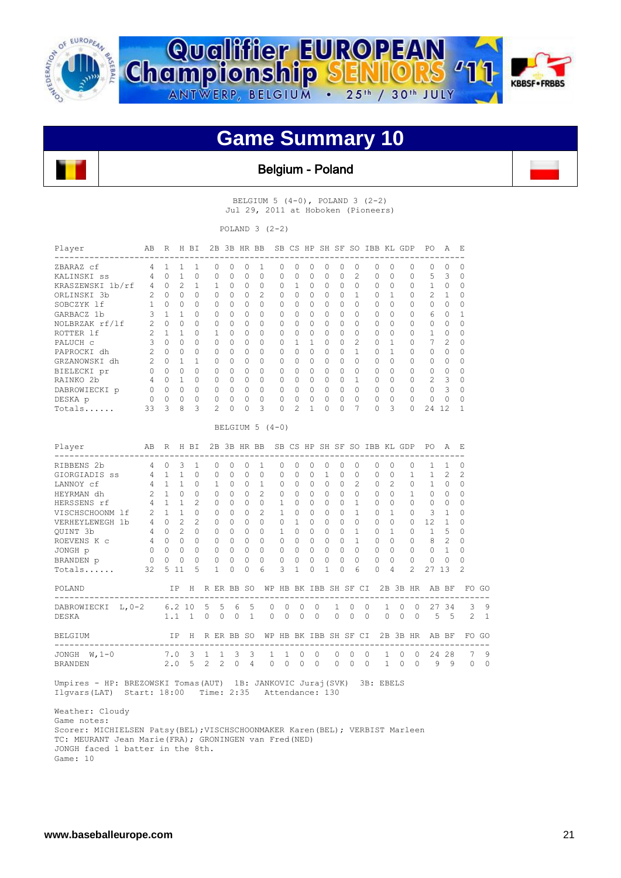





Belgium - Poland

BELGIUM 5 (4-0), POLAND 3 (2-2) Jul 29, 2011 at Hoboken (Pioneers)

POLAND  $3(2-2)$ 

| Player<br>--------------------                                              | AВ             | R              |                | H BI                        |                |              |                | 2B 3B HR BB  |                            |              |                |                |              |                       |                |          | SB CS HP SH SF SO IBB KL GDP |                |                      | PО                                                | Α                       | Ε              |       |
|-----------------------------------------------------------------------------|----------------|----------------|----------------|-----------------------------|----------------|--------------|----------------|--------------|----------------------------|--------------|----------------|----------------|--------------|-----------------------|----------------|----------|------------------------------|----------------|----------------------|---------------------------------------------------|-------------------------|----------------|-------|
| ZBARAZ cf                                                                   | 4              | $\mathbf{1}$   | $\mathbf{1}$   | 1.                          | $\Omega$       |              | $\Omega$       | $\Omega$     | 1                          | $\Omega$     | <sup>0</sup>   | $\Omega$       | $\Omega$     | $\Omega$              | $\Omega$       |          | $\Omega$                     | $\Omega$       | $\Omega$             | $\bigcap$                                         | $\Omega$                | $\Omega$       |       |
| KALINSKI ss                                                                 | 4              | 0              | $\mathbf{1}$   | $\circ$                     | 0              |              | $\circ$        | $\circ$      | 0                          | 0            | 0              | $\circ$        | $\circ$      | 0                     | 2              |          | 0                            | $\circ$        | 0                    | 5                                                 | 3                       | 0              |       |
| KRASZEWSKI 1b/rf                                                            | 4              | $\circ$        | 2              | $\mathbf{1}$                | $\mathbf{1}$   |              | $\Omega$       | $\Omega$     | $\mathbf 0$                | 0            | $\mathbf{1}$   | $\circ$        | $\Omega$     | $\Omega$              | $\Omega$       |          | $\Omega$                     | $\Omega$       | 0                    | $\mathbf{1}$                                      | 0                       | $\circ$        |       |
| ORLINSKI 3b                                                                 | 2              | $\Omega$       | $\Omega$       | $\Omega$                    | $\Omega$       |              | $\Omega$       | $\Omega$     | $\overline{c}$             | $\Omega$     | $\Omega$       | $\Omega$       | $\Omega$     | $\Omega$              | $\mathbf{1}$   |          | $\Omega$                     | $\mathbf{1}$   | $\Omega$             | $\overline{c}$                                    | $\mathbf{1}$            | $\Omega$       |       |
| SOBCZYK lf                                                                  | 1              | $\Omega$       | $\Omega$       | $\cap$                      | $\Omega$       |              | $\Omega$       | $\Omega$     | $\Omega$                   | 0            | <sup>0</sup>   | $\Omega$       | $\Omega$     | $\Omega$              | $\Omega$       |          | $\Omega$                     | $\Omega$       | $\Omega$             | $\cap$                                            | $\Omega$                | $\Omega$       |       |
| GARBACZ 1b                                                                  | 3              | $\mathbf{1}$   | $\mathbf{1}$   | $\bigcap$                   | $\Omega$       |              | $\Omega$       | $\Omega$     | $\Omega$                   | $\bigcap$    | $\Omega$       | $\Omega$       | $\bigcap$    | $\Omega$              | $\bigcap$      |          | $\Omega$                     | $\Omega$       | $\Omega$             | 6                                                 | $\Omega$                | 1              |       |
| NOLBRZAK rf/lf                                                              | 2              | $\circ$        | $\Omega$       | $\Omega$                    | 0              |              | $\Omega$       | $\circ$      | 0                          | 0            | $\Omega$       | $\circ$        | $\circ$      | $\Omega$              | $\Omega$       |          | $\circ$                      | $\Omega$       | 0                    | $\circ$                                           | $\circ$                 | 0              |       |
| ROTTER 1f                                                                   | $\overline{c}$ | $\mathbf{1}$   | 1              | $\Omega$                    | 1              |              | $\Omega$       | $\Omega$     | $\Omega$                   | $\Omega$     | $\Omega$       | $\Omega$       | $\Omega$     | $\Omega$              | $\Omega$       |          | $\Omega$                     | $\Omega$       | $\Omega$             | $\mathbf{1}$                                      | $\Omega$                | $\Omega$       |       |
| PALUCH c                                                                    | 3              | $\Omega$       | $\Omega$       | $\cap$                      | $\Omega$       |              | $\Omega$       | $\Omega$     | $\Omega$                   | $\Omega$     | $\mathbf{1}$   | $\mathbf{1}$   | $\Omega$     | $\Omega$              | $\overline{2}$ |          | $\Omega$                     | $\mathbf{1}$   | $\Omega$             | 7                                                 | $\mathbf{2}^{\prime}$   | $\Omega$       |       |
| PAPROCKI dh                                                                 | 2              | $\Omega$       | $\Omega$       | $\bigcap$                   | $\Omega$       |              | $\Omega$       | $\Omega$     | $\Omega$                   | $\Omega$     | $\Omega$       | $\bigcirc$     | $\Omega$     | $\Omega$              | $\mathbf{1}$   |          | $\Omega$                     | $\mathbf{1}$   | $\Omega$             | $\Omega$                                          | $\Omega$                | $\Omega$       |       |
| GRZANOWSKI dh                                                               | 2              | $\Omega$       | $\mathbf{1}$   | $\mathbf{1}$                | $\Omega$       |              | $\Omega$       | $\Omega$     | $\Omega$                   | $\Omega$     | $\Omega$       | $\bigcirc$     | $\Omega$     | $\Omega$              | $\Omega$       |          | $\Omega$                     | $\Omega$       | $\Omega$             | $\Omega$                                          | $\Omega$                | $\Omega$       |       |
| BIELECKI pr                                                                 | $\Omega$       | $\Omega$       | $\Omega$       | $\Omega$                    | $\Omega$       |              | $\Omega$       | $\Omega$     | $\Omega$                   | $\Omega$     | $\Omega$       | $\Omega$       | $\Omega$     | $\Omega$              | $\Omega$       |          | $\Omega$                     | $\Omega$       | $\Omega$             | $\Omega$                                          | $\circ$                 | $\Omega$       |       |
| RAINKO 2b                                                                   | 4              | $\overline{0}$ | $\mathbf{1}$   | $\Omega$                    | $\Omega$       |              | $\Omega$       | $\Omega$     | $\Omega$                   | $\Omega$     | $\Omega$       | $\Omega$       | $\Omega$     | $\Omega$              | $\mathbf{1}$   |          | $\Omega$                     | $\Omega$       | $\Omega$             | 2                                                 | $\overline{\mathbf{3}}$ | $\Omega$       |       |
| DABROWIECKI p                                                               | $\circ$        | $\overline{0}$ | $\mathbf 0$    | $\circ$                     | $\circ$        | $\bigcirc$   |                | $\Omega$     | 0                          | $\Omega$     | $\Omega$       | $\bigcirc$     | $\Omega$     | $\Omega$              | $\Omega$       |          | $\Omega$                     | $\Omega$       | 0                    | $\Omega$                                          | 3                       | $\Omega$       |       |
| DESKA p                                                                     | $\overline{0}$ | $\Omega$       | $\circ$        | $\Omega$                    | $\circ$        |              | $\Omega$       | $\Omega$     | $\Omega$                   | $\Omega$     | $\Omega$       | $\circ$        | $\Omega$     | $\Omega$              | $\Omega$       |          | $\Omega$                     | $\Omega$       | $\Omega$             | $\circ$                                           | $\Omega$                | 0              |       |
| Totals                                                                      | 33             | 3              | 8              | 3                           | $\overline{2}$ |              | $\mathbf 0$    | $\mathbf 0$  | 3                          | $\Omega$     | $\mathfrak{D}$ | $\mathbf{1}$   | $\Omega$     | $\Omega$              | 7              |          | $\Omega$                     | 3              | 0                    | 24 12                                             |                         | 1              |       |
|                                                                             |                |                |                |                             |                |              |                |              | BELGIUM 5 $(4-0)$          |              |                |                |              |                       |                |          |                              |                |                      |                                                   |                         |                |       |
| Player                                                                      | AB             | R              |                | H BT                        |                |              |                | 2B 3B HR BB  |                            |              |                |                |              |                       |                |          | SB CS HP SH SF SO IBB KL GDP |                |                      | PO.                                               | A                       | E,             |       |
| RIBBENS 2b                                                                  | 4              | $\circ$        | 3              | $\mathbf{1}$                | $\Omega$       |              | $\Omega$       | $\Omega$     | $\mathbf{1}$               | $\Omega$     | $\Omega$       | $\Omega$       | $\circ$      | $\Omega$              | $\Omega$       |          | $\Omega$                     | $\Omega$       | $\Omega$             | 1                                                 | 1                       | 0              |       |
| GIORGIADIS SS                                                               | 4              | 1 1            |                | $\Omega$                    | 0              |              | $\Omega$       | $\Omega$     | $\mathbf{0}$               | $\Omega$     | $\Omega$       | $\Omega$       | $\mathbf{1}$ | $\Omega$              | $\Omega$       |          | $\Omega$                     | $\Omega$       | $\mathbf{1}$         | 1                                                 | 2                       | 2              |       |
| LANNOY cf                                                                   | 4              | $1 \quad 1$    |                | $\Omega$                    | 1              |              | $\Omega$       | $\Omega$     | $\mathbf{1}$               | $\Omega$     | $\Omega$       | $\Omega$       | $\Omega$     | $\Omega$              | 2              |          | $\Omega$                     | $\mathfrak{D}$ | $\Omega$             | $\mathbf{1}$                                      | $\Omega$                | $\Omega$       |       |
| HEYRMAN dh                                                                  | 2              |                | $1 \quad 0$    | $\bigcap$                   | $\Omega$       |              | $\Omega$       | $\Omega$     | 2                          | $\Omega$     | $\Omega$       | $\Omega$       | $\Omega$     | $\Omega$              | $\Omega$       |          | $\Omega$                     | $\Omega$       | $\mathbf{1}$         | $\Omega$                                          | $\Omega$                | $\Omega$       |       |
| HERSSENS rf                                                                 | 4              |                | $1 \quad 1$    | $\overline{c}$              | 0              |              | $\Omega$       | $\circ$      | $\circ$                    | $\mathbf{1}$ | $\Omega$       | $\overline{0}$ | $\mathbf{0}$ | $\circ$               | $\mathbf{1}$   |          | $\circ$                      | $\Omega$       | $\Omega$             | $\Omega$                                          | $\overline{0}$          | 0              |       |
| VISCHSCHOONM lf                                                             | 2              | $1 -$          | $\mathbf{1}$   | $\Omega$                    | $\circ$        |              | $\Omega$       | $\circ$      | 2                          | $\mathbf{1}$ | $\circ$        | $\mathbf{0}$   | $\circ$      | $\Omega$              | $\mathbf{1}$   |          | $\circ$                      | $\mathbf{1}$   | $\circ$              | 3                                                 | $\mathbf{1}$            | 0              |       |
| VERHEYLEWEGH 1b                                                             | $\overline{4}$ | $\Omega$       | $\mathfrak{D}$ | $\mathcal{D}_{\mathcal{L}}$ | $\Omega$       |              | $\Omega$       | $\Omega$     | $\Omega$                   | $\Omega$     | $\mathbf{1}$   | $\Omega$       | $\Omega$     | $\Omega$              | $\Omega$       |          | $\Omega$                     | $\Omega$       | $\Omega$             | 12                                                | $\mathbf{1}$            | $\Omega$       |       |
| OUINT 3b                                                                    | 4              | $\Omega$       | 2              | $\bigcap$                   | $\Omega$       |              | $\Omega$       | $\Omega$     | $\Omega$                   | 1            | $\Omega$       | $\bigcirc$     | $\Omega$     | $\Omega$              | $\mathbf{1}$   |          | $\bigcap$                    | $\mathbf{1}$   | $\Omega$             | $\mathbf{1}$                                      | 5                       | $\Omega$       |       |
| ROEVENS K c                                                                 | -4             | $\cap$         | $\Omega$       | $\bigcap$                   | $\Omega$       |              | $\bigcap$      | $\Omega$     | $\Omega$                   | $\bigcap$    | $\Omega$       | $\bigcap$      | $\Omega$     | $\Omega$              | $\mathbf{1}$   |          | $\Omega$                     | $\Omega$       | $\Omega$             | 8                                                 | $\mathfrak{D}$          | $\Omega$       |       |
| JONGH p                                                                     | - 0            | $\overline{0}$ | $\circ$        | $\circ$                     | $\circ$        |              | $\overline{0}$ | $\circ$      | 0                          | $\circ$      | $\circ$        | $\overline{0}$ | $\mathbf{0}$ | $\circ$               | $\circ$        |          | $\circ$                      | 0              | 0                    | $\overline{0}$                                    | $\overline{1}$          | 0              |       |
| BRANDEN p                                                                   | $\overline{0}$ | $\circ$        | $\mathbf 0$    | $\mathbf{0}$                | 0              |              | $\mathbf 0$    | $\mathbf{0}$ | $\circ$                    | 0            | 0              | $\mathbf 0$    | 0            | $\circ$               | $\circ$        |          | 0                            | 0              | 0                    | $\overline{0}$                                    | $\Omega$                | $\Omega$       |       |
| Totals                                                                      | 32             |                | 5 11           | 5                           | 1              |              | $\Omega$       | $\Omega$     | 6                          | 3            | 1              | $\Omega$       | 1            | $\Omega$              | 6              |          | $\Omega$                     | 4              | $\mathfrak{D}$       | 27 13                                             |                         | $\mathfrak{D}$ |       |
| POLAND                                                                      |                |                | IP.            |                             |                |              |                |              |                            |              |                |                |              |                       |                |          |                              |                |                      | H R ER BB SO WP HB BK IBB SH SF CI 2B 3B HR AB BF |                         |                | FO GO |
| ---------------------------------<br>$L, 0-2$<br>DABROWIECKI                |                |                | 6.210          |                             | 5              | 5            | 6              | 5            | --------<br>0              | $\circ$      |                | 0              | 0            | 1                     | 0              | $\circ$  | 1                            |                | 0<br>$\circ$         | -----------------------------------               | 27 34                   | 3              | 9     |
| DESKA                                                                       |                | 1.1            |                | $\overline{1}$              | $\Omega$       | $\Omega$     | $\Omega$       | $\mathbf{1}$ | $\Omega$                   | $\Omega$     |                | $\Omega$       | $\Omega$     | $\Omega$              | $\Omega$       | $\Omega$ | $\Omega$                     |                | $\Omega$<br>$\Omega$ | 5                                                 | .5                      | $\overline{c}$ | 1     |
| BELGIUM                                                                     |                |                | ΙP             | H                           | R ER BB SO     |              |                |              |                            |              |                |                |              | WP HB BK IBB SH SF CI |                |          |                              |                | 2B 3B HR             |                                                   | AB BF                   |                | FO GO |
| --------------------------------<br>JONGH $W, 1-0$                          |                | 7.0            |                | 3 1                         |                | $\mathbf{1}$ | 3              | 3            | 1                          | 1            |                | 0              | 0            | 0                     | 0              | 0        | 1                            |                | 0<br>$\circ$         |                                                   | 24 28                   | 7              | 9     |
| <b>BRANDEN</b>                                                              |                | 2.0            |                | 5                           | 2              | 2            | $\Omega$       | 4            | 0                          | 0            |                | $\circ$        | $\circ$      | $\Omega$              | $0\quad 0$     |          |                              | $1 \quad 0$    | $\overline{0}$       |                                                   | 9<br>9                  | 0              | 0     |
| Umpires - HP: BREZOWSKI Tomas(AUT) 1B: JANKOVIC Juraj(SVK)<br>Ilqvars (LAT) | Start: 18:00   |                |                |                             |                |              |                |              | Time: 2:35 Attendance: 130 |              |                |                |              |                       |                |          | 3B: EBELS                    |                |                      |                                                   |                         |                |       |

 Weather: Cloudy Game notes: Scorer: MICHIELSEN Patsy(BEL);VISCHSCHOONMAKER Karen(BEL); VERBIST Marleen TC: MEURANT Jean Marie(FRA); GRONINGEN van Fred(NED) JONGH faced 1 batter in the 8th. Game: 10

I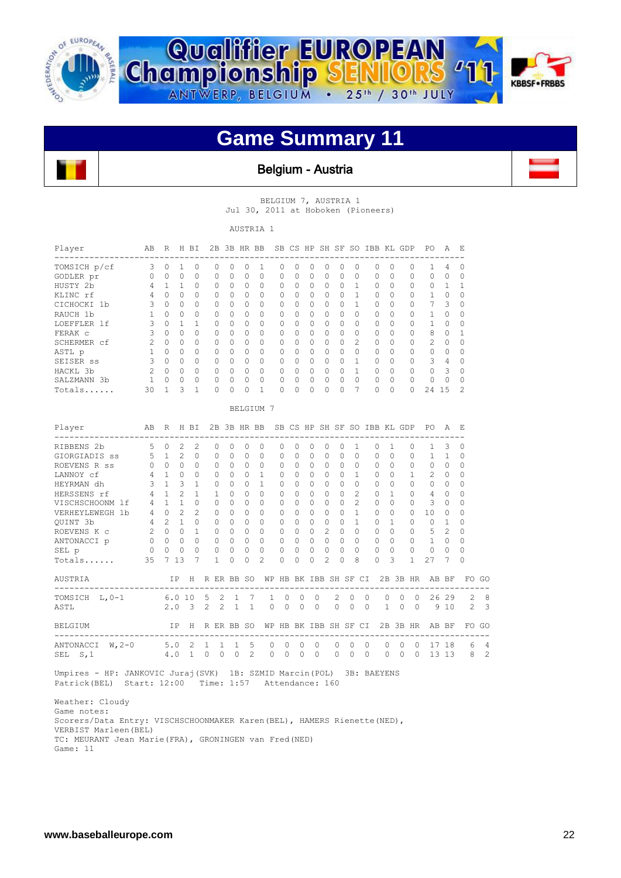





#### Belgium - Austria

BELGIUM 7, AUSTRIA 1 Jul 30, 2011 at Hoboken (Pioneers)

AUSTRIA 1

| Player       | AB            | R            | H        | ВI       |              | $2B$ $3B$    | HR BB        |          |           |              |              |          |   | SB CS HP SH SF SO | IBB KL GDP   |              |          | PO.           | A             | E.       |
|--------------|---------------|--------------|----------|----------|--------------|--------------|--------------|----------|-----------|--------------|--------------|----------|---|-------------------|--------------|--------------|----------|---------------|---------------|----------|
| TOMSICH p/cf | 3             | <sup>0</sup> |          | $\Omega$ | 0            | U            | Ω            |          | $\bigcap$ | <sup>n</sup> | 0            | 0        | 0 | $\bigcap$         | O            | 0            | $\Omega$ |               | 4             | n        |
| GODLER pr    | $\Omega$      | $\Omega$     | $\Omega$ | $\Omega$ | $\Omega$     | $\Omega$     | $\Omega$     | $\Omega$ | 0         | $\Omega$     | $\Omega$     | 0        | 0 | $\Omega$          | $\Omega$     | 0            | $\Omega$ | $\Omega$      | $\Omega$      | $\Omega$ |
| HUSTY 2b     | 4             |              |          | $\Omega$ | 0            | $\Omega$     | $\Omega$     | $\Omega$ | $\Omega$  | $\Omega$     | $\Omega$     | $\Omega$ | 0 |                   | $\bigcap$    | 0            | 0        | $\Omega$      |               |          |
| KLINC rf     | 4             |              | 0        | $\Omega$ | 0            | $\bigcap$    | 0            | 0        | $\bigcap$ | <sup>0</sup> | $\Omega$     | 0        | 0 |                   | <sup>0</sup> | <sup>0</sup> | $\Omega$ |               | $\Omega$      | ∩        |
| CICHOCKI 1b  | 3             | $\Omega$     | 0        | $\Omega$ | 0            | $\Omega$     | 0            | $\Omega$ | 0         | $\Omega$     | $\Omega$     | 0        | 0 |                   | $\Omega$     | 0            | 0        |               | 3             | $\Omega$ |
| RAUCH 1b     |               | U            | $\Omega$ | $\Omega$ | $\Omega$     | $\Omega$     | $\Omega$     | 0        | $\Omega$  | $\Omega$     | $\Omega$     | $\Omega$ | 0 | $\bigcap$         | $\bigcap$    | $\Omega$     | 0        | 1             | $\Omega$      | $\Omega$ |
| LOEFFLER 1f  |               |              |          | 1        | 0            | $\Omega$     | O            | $\Omega$ | $\bigcap$ | $\Omega$     | $\Omega$     | $\Omega$ | 0 | $\Omega$          | $\Omega$     | <sup>0</sup> | $\Omega$ |               | $\Omega$      | $\Omega$ |
| FERAK C      | 3             | $\Omega$     | 0        | $\Omega$ | 0            | $\Omega$     | 0            | $\Omega$ | 0         | $\Omega$     | $\Omega$     | $\Omega$ | 0 | $\Omega$          | $\Omega$     | 0            | $\Omega$ | 8             | $\Omega$      |          |
| SCHERMER cf  | 2             | $\cap$       | $\Omega$ | $\Omega$ | <sup>0</sup> | $\Omega$     | <sup>0</sup> | 0        | $\Omega$  | $\bigcap$    | $\Omega$     | $\Omega$ | 0 | $\mathcal{L}$     | $\bigcap$    | <sup>0</sup> | $\Omega$ | $\mathcal{P}$ | $\bigcap$     | $\Omega$ |
| ASTL p       |               |              | $\Omega$ | $\Omega$ | 0            | 0            | O            | $\Omega$ | $\bigcap$ | $\Omega$     | $\bigcap$    | 0        | 0 | $\bigcap$         | $\Omega$     | 0            | $\Omega$ | $\Omega$      | $\Omega$      | ∩        |
| SEISER ss    |               |              | 0        | $\Omega$ | 0            | $\Omega$     | O            | $\Omega$ | 0         | <sup>0</sup> | $\Omega$     | 0        | 0 |                   | $\bigcap$    | 0            | $\Omega$ | 3             | 4             | n        |
| HACKL 3b     | $\mathcal{P}$ | $\cap$       | $\Omega$ | $\Omega$ | $\cap$       | $\Omega$     | <sup>0</sup> | $\Omega$ | $\Omega$  | <sup>0</sup> | $\Omega$     | $\Omega$ | O |                   | $\bigcap$    | <sup>0</sup> | $\Omega$ | $\bigcap$     | $\mathcal{L}$ | $\Omega$ |
| SALZMANN 3b  |               |              | 0        | O        | O            | <sup>0</sup> | U            | $\Omega$ | $\bigcap$ | <sup>0</sup> | <sup>0</sup> | 0        | 0 | $\bigcap$         | O.           | U            | $\cap$   | O             | $\Omega$      | $\cap$   |
| Totals       | 30            |              | 3        |          | 0            | <sup>0</sup> | Λ            |          | 0         |              | $\Omega$     | 0        |   |                   | $\bigcap$    | 0            | 0        | 24            | 15            |          |

BELGIUM 7

| Player                                                                | AB                                      |              |                                     | R H BI         |                           |                                     |             | 2B 3B HR BB SB CS HP SH SF SO IBB KL GDP |             |                                                                |            |                |               |                     |          |              |                |            |              | PO.                                  | A F.          |                |                |
|-----------------------------------------------------------------------|-----------------------------------------|--------------|-------------------------------------|----------------|---------------------------|-------------------------------------|-------------|------------------------------------------|-------------|----------------------------------------------------------------|------------|----------------|---------------|---------------------|----------|--------------|----------------|------------|--------------|--------------------------------------|---------------|----------------|----------------|
| RIBBENS 2b                                                            |                                         | $5 \quad 0$  | $\mathcal{L}$                       | $\mathfrak{D}$ | $\Omega$                  | $\Omega$                            | $\Omega$    | $\Omega$                                 | $\Omega$    | $\Omega$                                                       | $\Omega$   | $\Omega$       | $\Omega$      | $\mathbf{1}$        |          | $\Omega$     | $\mathbf{1}$   |            | $\Omega$     | $\mathbf{1}$                         | 3             | $\Omega$       |                |
| GIORGIADIS ss 5 1 2                                                   |                                         |              |                                     | $\bigcap$      | $\Omega$                  | $\Omega$                            | $\Omega$    | $\Omega$                                 | $\Omega$    | $\Omega$                                                       | $\Omega$   | $\Omega$       | $\Omega$      | $\cap$              |          | $\cap$       | $\Omega$       |            | $\Omega$     | $\mathbf{1}$                         | $\mathbf{1}$  | 0              |                |
| ROEVENS R ss                                                          | $\Omega$                                | $\Omega$     | $\Omega$                            | $\cap$         | $\Omega$                  | $\Omega$                            | $\Omega$    | $\Omega$                                 | $\Omega$    | $\cap$                                                         | $\Omega$   | $\Omega$       | $\Omega$      | $\Omega$            |          | $\Omega$     | $\Omega$       |            | $\Omega$     | $\Omega$                             | $\Omega$      | $\Omega$       |                |
| LANNOY cf                                                             | 4                                       | 1            | $\Omega$                            | $\cap$         | $\Omega$                  | $\Omega$                            | $\cap$      | $\mathbf{1}$                             | $\Omega$    | $\cap$                                                         | $\bigcap$  | $\cap$         | $\Omega$      | $\mathbf{1}$        |          | $\cap$       | $\Omega$       |            | $\mathbf{1}$ | $\mathcal{L}$                        | $\Omega$      | $\Omega$       |                |
| HEYRMAN dh                                                            | 3                                       |              | $1 \quad 3$                         | $\mathbf{1}$   |                           | $\Omega$<br>$\Omega$                | $\cap$      | $\mathbf{1}$                             | $\Omega$    | $\cap$                                                         | $\bigcap$  | $\cap$         | $\cap$        |                     | $\cap$   | $\bigcap$    | $\Omega$       |            | $\Omega$     | $\cap$                               | $\Omega$      | $\Omega$       |                |
| HERSSENS rf                                                           | $\overline{4}$                          | $\sim$ 1     | $\mathcal{L}$                       | 1              |                           | $\overline{1}$<br>$\Omega$          | $\Omega$    | $\Omega$                                 | $\mathbf 0$ | $\Omega$                                                       | $\bigcirc$ | $\Omega$       | $\Omega$      | 2                   |          | $\mathbf{0}$ | $\mathbf{1}$   |            | $\circ$      | $\overline{4}$                       | $\Omega$      | 0              |                |
| VISCHSCHOONM lf                                                       | $\overline{A}$                          | $\mathbf{1}$ | $\mathbf{1}$                        | $\cap$         | $\Omega$                  | $\Omega$                            | $\bigcap$   | $\Omega$                                 | $\Omega$    | $\cap$                                                         | $\Omega$   | $\bigcap$      | $\cap$        | $2^{\circ}$         |          | $\bigcap$    | $\Omega$       |            | $\Omega$     | $\mathcal{L}$                        | $\Omega$      | $\Omega$       |                |
| VERHEYLEWEGH 1b                                                       | $\overline{4}$                          | $\bigcirc$   | $\mathcal{L}$                       | $2^{1}$        |                           | $\Omega$<br>$\Omega$                | $\Omega$    | $\cap$                                   | $\Omega$    | $\cap$                                                         | $\Omega$   | $\bigcap$      | $\Omega$      |                     | 1        | $\Omega$     | $\Omega$       |            | $\Omega$     | 10                                   | $\Omega$      | 0              |                |
| QUINT 3b                                                              | $\overline{4}$                          |              | 2 1                                 | $\Omega$       | $\Omega$                  | $\Omega$                            | $\Omega$    | $\Omega$                                 | $\Omega$    | $\Omega$                                                       | $\bigcirc$ | $\bigcap$      | $\Omega$      | $\mathbf{1}$        |          | $\Omega$     | $\mathbf{1}$   |            | $\Omega$     | $\bigcirc$                           | $\mathbf{1}$  | 0              |                |
| ROEVENS K c                                                           | $2^{1}$                                 | $\cap$       | $\Omega$                            | $\mathbf{1}$   |                           | $\Omega$<br>$\Omega$                | $\Omega$    | $\Omega$                                 | $\Omega$    | $\cap$                                                         | $\Omega$   | $\mathcal{L}$  | $\cap$        |                     | $\Omega$ | $\Omega$     | $\Omega$       |            |              | $0\quad 5$                           | $\mathcal{L}$ | $\Omega$       |                |
| ANTONACCI p 0                                                         |                                         |              | $\begin{matrix} 0 & 0 \end{matrix}$ | $\Omega$       |                           | $\begin{matrix} 0 & 0 \end{matrix}$ | $\bigcap$   | $\Omega$                                 | $\Omega$    | $\Omega$ $\Omega$                                              |            | $\cap$         | $\Omega$      |                     | $\Omega$ | $\Omega$     | $\bigcap$      |            |              | $0\quad 1$                           | $\Omega$      | $\Omega$       |                |
| $\sim$ 0<br>SEL p                                                     |                                         | $0\quad 0$   |                                     |                | $\circ$<br>$\cap$         | $\Omega$                            | $\Omega$    | $\Omega$                                 | $\Omega$    | $\Omega$                                                       | $\Omega$   | $\cap$         | $\Omega$      |                     | $\Omega$ | $\Omega$     | $\overline{0}$ |            | $\circ$      | $\bigcirc$                           | $\cap$        | $\Omega$       |                |
| $Totals$ . 35                                                         |                                         |              | 7 13                                | 7              | $\mathbf{1}$              | $\Omega$                            | $\Omega$    | $\mathfrak{D}$                           | $\Omega$    | $\bigcap$                                                      | $\Omega$   | $\mathfrak{D}$ | $\bigcap$     | 8                   |          | $\bigcap$    | $\mathcal{L}$  |            | $\mathbf{1}$ | 27                                   | 7             | $\Omega$       |                |
| AUSTRIA IP H R ER BB SO                                               |                                         |              |                                     |                |                           |                                     |             |                                          |             |                                                                |            |                |               |                     |          |              |                |            |              | WP HB BK IBB SH SF CI 2B 3B HR AB BF |               | FO GO          |                |
| TOMSICH L, 0-1 6.0 10 5 2 1 7                                         |                                         |              |                                     |                |                           |                                     |             | 1.                                       | $\circ$     | $\Omega$                                                       | $\Omega$   |                | $\mathcal{L}$ | $\Omega$            | $\Omega$ |              | $\Omega$       | $\Omega$   |              | 0 26 29                              |               | $\overline{2}$ | 8              |
| ASTL                                                                  |                                         |              |                                     |                | $2.0$ $3$ $2$ $2$ $1$ $1$ |                                     |             |                                          |             | $\begin{array}{ccccccccccccc}\n0 & 0 & 0 & 0 & 0\n\end{array}$ |            |                |               | $0 \quad 0 \quad 0$ |          |              |                |            |              | 1 0 0 9 10                           |               |                | 2 <sup>3</sup> |
| BELGIUM                                                               |                                         |              |                                     |                | IP H RERBB SO             |                                     |             |                                          |             | WP HB BK IBB SH SF CI                                          |            |                |               |                     |          |              |                |            |              | 2B 3B HR AB BF                       |               | FO GO          |                |
| ANTONACCI W, 2-0                                                      | 5.0 2 1                                 |              |                                     |                |                           | $\mathbf{1}$                        | $1 \quad 5$ | $\Omega$                                 | $\Omega$    | $\Omega$                                                       | $\Omega$   |                | $\Omega$      | $\Omega$            | $\Omega$ |              | $\Omega$       | $\cap$     |              | 0 17 18                              |               |                | 6 4            |
| SEL S, 1                                                              |                                         | 4.0          |                                     | $\sim$ 1       | $\circ$                   | $0 \quad 0 \quad 2$                 |             | $\circ$                                  | $\circ$     | $\circ$                                                        | $\Omega$   |                | $\Omega$      | $\mathbf{0}$        | $\circ$  |              | $\circ$        | $\bigcirc$ | $\Omega$     |                                      | 13 13         | 8              | $\overline{c}$ |
| Umpires - HP: JANKOVIC Juraj (SVK) 1B: SZMID Marcin (POL) 3B: BAEYENS |                                         |              |                                     |                |                           |                                     |             |                                          |             |                                                                |            |                |               |                     |          |              |                |            |              |                                      |               |                |                |
| Patrick (BEL)                                                         | Start: 12:00 Time: 1:57 Attendance: 160 |              |                                     |                |                           |                                     |             |                                          |             |                                                                |            |                |               |                     |          |              |                |            |              |                                      |               |                |                |

 Weather: Cloudy Game notes: Scorers/Data Entry: VISCHSCHOONMAKER Karen(BEL), HAMERS Rienette(NED), VERBIST Marleen(BEL) TC: MEURANT Jean Marie(FRA), GRONINGEN van Fred(NED) Game: 11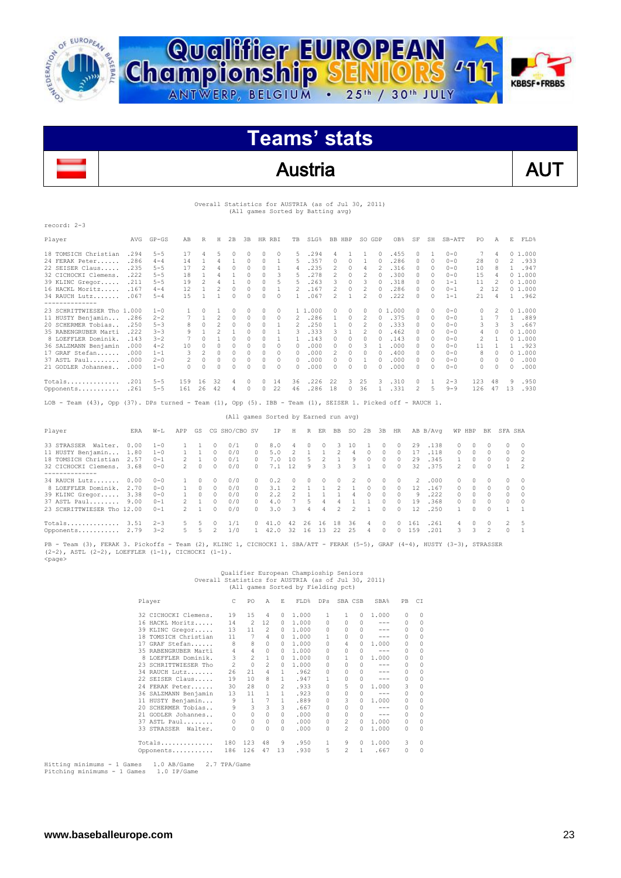



### Austria AUT

#### Overall Statistics for AUSTRIA (as of Jul 30, 2011) (All games Sorted by Batting avg)

| $record: 2-3$                                                                                              |      |           |     |                |                |              |               |        |          |    |         |                |          |                |          |        |          |              |         |                          |    |              |        |
|------------------------------------------------------------------------------------------------------------|------|-----------|-----|----------------|----------------|--------------|---------------|--------|----------|----|---------|----------------|----------|----------------|----------|--------|----------|--------------|---------|--------------------------|----|--------------|--------|
| Player                                                                                                     | AVG  | $GP - GS$ | AB  | R              | Н              | 2B           | 3B            | HR RBI |          | TB | SLG%    |                | BB HBP   |                | SO GDP   | OB%    | SF       | SH           | SB-ATT  | PO.                      | Α  | Е            | FLD%   |
| 18 TOMSICH Christian                                                                                       | .294 | $5 - 5$   | 17  |                | 5              | $\Omega$     | 0             | n      | $\Box$   | .5 | .294    | 4              |          |                | 0        | .455   | $\Omega$ |              | $0 - 0$ |                          |    |              | 01.000 |
| 24 FERAK Peter                                                                                             | .286 | $4 - 4$   | 14  |                | 4              |              | 0             | 0      |          |    | .357    | 0              | 0        |                | 0        | .286   | 0        | 0            | $0 - 0$ | 28                       | 0  |              | 2 .933 |
| 22 SEISER Claus                                                                                            | .235 | $5 - 5$   | 17  | $\mathfrak{D}$ | 4              | $\Omega$     | $\Omega$      | 0      |          | 4  | .235    | 2              | 0        | 4              | 2        | .316   | $\Omega$ | 0            | $0 - 0$ | 10                       | 8  | $\mathbf{1}$ | .947   |
| 32 CICHOCKI Clemens.                                                                                       | .222 | $5 - 5$   | 18  |                | 4              |              | $\Omega$      | O      | 3        | 5  | .278    | $\mathfrak{D}$ | 0        | $\mathfrak{D}$ | 0        | .300   | $\Omega$ | 0            | $0 - 0$ | 15                       |    |              | 01.000 |
| 39 KLINC Gregor                                                                                            | .211 | $5 - 5$   | 19  | $\mathfrak{D}$ | 4              |              | $\Omega$      | O      |          | 5  | .263    | 3              | $\Omega$ | 3              | 0        | .318   | $\Omega$ | 0            | $1 - 1$ | 11                       |    |              | 01.000 |
| 16 HACKL Moritz                                                                                            | .167 | $4 - 4$   | 12  |                |                | $\Omega$     | $\Omega$      | 0      |          |    | .167    | 2              | 0        | 2              | $\Omega$ | .286   | $\Omega$ | 0            | $0 - 1$ | $\overline{\mathcal{L}}$ | 12 |              | 01.000 |
| 34 RAUCH Lutz                                                                                              | .067 | $5 - 4$   | 15  |                |                | $\Omega$     |               |        | U        |    | .067    | $\mathfrak{D}$ |          | 2              | 0        | 222    | 0        | $\Omega$     | $1 - 1$ | 21                       | 4  | 1            | .962   |
| .                                                                                                          |      |           |     |                |                |              |               |        |          |    |         |                |          |                |          |        |          |              |         |                          |    |              |        |
| 23 SCHRITTWIESER Tho 1.000                                                                                 |      | $1 - 0$   |     | 0              |                | $\Omega$     | $\mathcal{O}$ | 0      | $\Omega$ |    | 1 1,000 |                | 0        | $\Omega$       |          | 01.000 | 0        | 0            | $0 - 0$ | $\Omega$                 |    |              | 01.000 |
| 11 HUSTY Benjamin                                                                                          | .286 | $2 - 2$   |     |                | $\mathfrak{D}$ | $\Omega$     | $\Omega$      | 0      | 0        | 2  | .286    |                | 0        |                | 0        | .375   | $\Omega$ | 0            | $0 - 0$ |                          |    | 1            | .889   |
| 20 SCHERMER Tobias.                                                                                        | .250 | $5 - 3$   |     | $\Omega$       | $\mathfrak{D}$ | $\Omega$     | $\Omega$      | n      |          | 2  | .250    |                | 0        | 2              | 0        | .333   | $\Omega$ | 0            | $0 - 0$ | 3                        |    | 3.           | .667   |
| 35 RABENGRUBER Marti                                                                                       | .222 | $3 - 3$   | 9   |                | $\mathcal{P}$  |              | 0             | n      |          |    | .333    | 3              |          | 2              | 0        | .462   | $\Omega$ | 0            | $0 - 0$ | 4                        | 0  |              | 01.000 |
| 8 LOEFFLER Dominik.                                                                                        | .143 | $3 - 2$   |     |                |                |              |               |        |          |    | .143    |                | 0        | $\Omega$       |          | .143   | $\Omega$ | $\Omega$     | $0 - 0$ | $\overline{c}$           |    |              | 01.000 |
| 36 SALZMANN Benjamin                                                                                       | .000 | $4 - 2$   | 10  | 0              | 0              | $\Omega$     | 0             | 0      | $\Omega$ | O. | .000    | 0              | 0        | 3              |          | .000   | 0        | $\Omega$     | $0 - 0$ | 11                       |    |              | .923   |
| 17 GRAF Stefan                                                                                             | .000 | $1 - 1$   |     | $\mathfrak{D}$ | $\Omega$       | $\Omega$     | $\Omega$      | 0      | $\Box$   | O. | .000    | 2              | 0        | $\Omega$       | 0        | .400   | $\Omega$ | $\Omega$     | $0 - 0$ | 8                        |    |              | 01.000 |
| 37 ASTL Paul                                                                                               | .000 | $2 - 0$   | 2   | 0              | $\Omega$       | $\Omega$     | $\Omega$      | 0      | $\Omega$ | O. | .000    | $\Omega$       | 0        |                | 0        | .000   | $\Omega$ | 0            | $0 - 0$ | 0                        | 0  | $^{\circ}$   | .000   |
| 21 GODLER Johannes                                                                                         | .000 | $1 - 0$   | 0   | U              | n              | <sup>0</sup> | <sup>0</sup>  | U      | $\cap$   | n  | .000    | $\Omega$       | 0        | $\Omega$       | n        | .000   | 0        | <sup>0</sup> | $0 - 0$ | $\Omega$                 |    | $\Omega$     | .000   |
|                                                                                                            |      |           |     |                |                |              |               |        |          |    |         |                |          |                |          |        |          |              |         |                          |    |              |        |
| Totals                                                                                                     | .201 | $5 - 5$   | 159 | 16             | 32             | 4            | $\mathcal{O}$ | 0      | 14       | 36 | .226    | 22             | 3        | 25             | 3        | .310   | 0        |              | $2 - 3$ | 123                      | 48 | 9            | .950   |
| Opponents                                                                                                  | .261 | $5 - 5$   | 161 | 26             | 42             | 4            | $\Omega$      | 0      | 22       | 46 | .286    | 18             | 0        | 36             |          | .331   | 2        | 5            | $9 - 9$ | 126                      | 47 | 13           | .930   |
| LOB - Team (43), Opp (37). DPs turned - Team (1), Opp (5). IBB - Team (1), SEISER 1. Picked off - RAUCH 1. |      |           |     |                |                |              |               |        |          |    |         |                |          |                |          |        |          |              |         |                          |    |              |        |

|                                          |              |                    |               |                     |                      |               |                      | (All games Sorted by Earned run avg) |    |    |    |    |         |         |                    |                      |          |              |                |                      |               |                      |                |
|------------------------------------------|--------------|--------------------|---------------|---------------------|----------------------|---------------|----------------------|--------------------------------------|----|----|----|----|---------|---------|--------------------|----------------------|----------|--------------|----------------|----------------------|---------------|----------------------|----------------|
| Player                                   | ERA          | $W-L$              | APP           | GS                  |                      | CG SHO/CBO SV |                      | ΙP                                   | Н  | R  | ER | BB | S0      | 2B      | 3B                 | HR                   |          | AB B/Avq     | WP HBP         |                      | ΒK            | SFA SHA              |                |
| 33 STRASSER Walter.<br>11 HUSTY Benjamin | 0.00<br>1.80 | $1 - 0$<br>$1 - 0$ |               |                     | 0                    | 0/1<br>0/0    | $\Omega$<br>$\Omega$ | 8.0<br>5.0                           |    | 0  |    | 3. | 10<br>4 | 0       | $\cap$<br>$\Omega$ | 0<br>$\Omega$        | 29<br>17 | .138<br>.118 | n.<br>$\Omega$ | $\Omega$<br>$\Omega$ | $\Omega$      | $\Omega$             | - 0            |
| 18 TOMSICH Christian                     | 2.57         | $0 - 1$            | $\mathcal{P}$ |                     | 0                    | 0/1           | 0                    | 7.0                                  | 10 |    |    |    | q       | 0       | $\Omega$           | 0                    | 29       | .345         |                | 0                    | $\Omega$      | $\circ$              | -2             |
| 32 CICHOCKI Clemens.<br>-----------      | 3.68         | $0 - 0$            | $\mathcal{P}$ | $\cap$              | $\Omega$             | 0/0           | $\Omega$             | 7.1                                  | 12 | 9  | 3  | २  |         |         | $\cap$             | $\Omega$             | 32       | .375         | $2^{\circ}$    | $\Omega$             | $\Omega$      |                      | $\overline{2}$ |
| 34 RAUCH Lutz                            | 0.00         | $0 - 0$            |               |                     |                      | 0/0           | $\Omega$             | 0.2                                  |    |    |    |    |         | 0       | $\Omega$           | $\Omega$             | 2        | .000         | 0.             | $\Omega$             | $\Omega$      | $\Omega$             |                |
| 8 LOEFFLER Dominik.<br>39 KLINC Gregor   | 2.70<br>3.38 | $0 - 0$<br>$0 - 0$ |               | $\Box$<br>$\bigcap$ | $\Omega$<br>$\Omega$ | 0/0<br>0/0    | n.<br>∩.             | 3.1<br>2.2                           |    |    |    |    |         | n<br>n. | 0<br>$\cap$        | $\Omega$<br>$\Omega$ | 12<br>9  | .167<br>.222 | n.<br>$\cap$   | $\Omega$<br>$\Omega$ | 0<br>$\Omega$ | $\Omega$<br>$\Omega$ |                |
| 37 ASTL Paul 9.00                        |              | $0 - 1$            | $\mathcal{P}$ |                     | $\Omega$             | 0/0           | $\Omega$             | 4.0                                  |    |    |    |    |         |         | $\cap$             | $\Omega$             | 19       | .368         | $\Omega$       | $\circ$              | $\Omega$      | $\Omega$             | $\Omega$       |
| 23 SCHRITTWIESER Tho 12.00               |              | $0 - 1$            | $\mathcal{P}$ |                     | $\cap$               | 0/0           | $\cap$               | 3.0                                  | 3  |    | 4  | 2  |         |         | $\cap$             | $\Omega$             | 12       | .250         |                | $\cap$               | $\cap$        |                      | $\overline{1}$ |
| Totals                                   | 3.51         | $2 - 3$            | Б.            |                     |                      | $\sqrt{1}$    |                      | 41 O                                 | 42 | 26 | 16 | 18 | 36      | 4       | $\cap$             | $\Omega$             | 161      | .261         | 4              | $\Omega$             | $\cap$        | 2                    |                |
| Opponents                                | 2.79         | $3 - 2$            |               |                     |                      | 1/0           |                      | 42.0                                 | 32 | 16 | 13 | 22 | 25      | 4       | $\Omega$           |                      | 159      | .201         | 3.             |                      |               | $\Omega$             |                |

PB - Team (3), FERAK 3. Pickoffs - Team (2), KLINC 1, CICHOCKI 1. SBA/ATT - FERAK (5-5), GRAF (4-4), HUSTY (3-3), STRASSER<br>(2-2), ASTL (2-2), LOEFFLER (1-1), CICHOCKI (1-1).<br><page>

### Qualifier European Champioship Seniors<br>Overall Statistics for AUSTRIA (as of Jul 30, 2011)<br>All games Sorted by Fielding pct)

| Player                  | C              | PO  | Α  | F.       | FLD%  | <b>DPs</b> | SBA CSB        |              | SBA%                                                                                                                                                                                                                                                                                                                                                                                                                                                                       | PB       | CT.      |
|-------------------------|----------------|-----|----|----------|-------|------------|----------------|--------------|----------------------------------------------------------------------------------------------------------------------------------------------------------------------------------------------------------------------------------------------------------------------------------------------------------------------------------------------------------------------------------------------------------------------------------------------------------------------------|----------|----------|
| 32 CICHOCKI Clemens.    | 19             | 15  | 4  | 0        | 1,000 | 1          | 1              | 0            | 1,000                                                                                                                                                                                                                                                                                                                                                                                                                                                                      | $\Omega$ | $\Omega$ |
| 16 HACKL Moritz         | 14             | 2   | 12 | 0        | 1,000 | 0          | 0              | 0            | ---                                                                                                                                                                                                                                                                                                                                                                                                                                                                        | $\Omega$ | $\Omega$ |
| 39 KLINC Gregor         | 13             | 11  | 2  | 0        | 1,000 | 0          | 0              | 0            |                                                                                                                                                                                                                                                                                                                                                                                                                                                                            | $\Omega$ | $\Omega$ |
| 18 TOMSICH Christian    | 11             | 7   | 4  | 0        | 1,000 | 1          | 0              | 0            | ---                                                                                                                                                                                                                                                                                                                                                                                                                                                                        | $\cap$   | $\Omega$ |
| GRAF Stefan<br>17       | 8              | 8   | 0  | 0        | 1,000 | 0          | 4              | <sup>0</sup> | 1,000                                                                                                                                                                                                                                                                                                                                                                                                                                                                      | 0        | $\Omega$ |
| 35 RABENGRUBER Marti    | 4              | 4   | 0  | 0        | 1,000 | 0          | 0              | 0            | ---                                                                                                                                                                                                                                                                                                                                                                                                                                                                        | 0        | $\Omega$ |
| LOEFFLER Dominik.<br>8. | 3              | 2   | 1  | 0        | 1,000 | 0          |                | 0            | 1.000                                                                                                                                                                                                                                                                                                                                                                                                                                                                      | 0        | $\Omega$ |
| SCHRITTWIESER Tho<br>23 | $\mathfrak{D}$ | 0   | 2  | $\Omega$ | 1,000 | 0          | 0              | 0            | ---                                                                                                                                                                                                                                                                                                                                                                                                                                                                        | $\Omega$ | $\Omega$ |
| 34 RAUCH Lutz           | 26             | 21  | 4  | 1        | .962  | 0          | 0              | 0            | ---                                                                                                                                                                                                                                                                                                                                                                                                                                                                        | $\Omega$ | $\Omega$ |
| 22 SEISER Claus         | 19             | 10  | 8  | 1.       | .947  |            | 0              | 0            | ---                                                                                                                                                                                                                                                                                                                                                                                                                                                                        | 0        | $\Omega$ |
| FERAK Peter<br>24       | 30             | 2.8 | 0  | 2        | .933  | 0          | 5              | 0            | 1,000                                                                                                                                                                                                                                                                                                                                                                                                                                                                      | 3        | $\Omega$ |
| 36 SALZMANN Benjamin    | 13             | 11  |    | 1        | .923  | 0          | 0              | 0            | $\frac{1}{2} \left( \frac{1}{2} \right) \left( \frac{1}{2} \right) \left( \frac{1}{2} \right) \left( \frac{1}{2} \right) \left( \frac{1}{2} \right) \left( \frac{1}{2} \right) \left( \frac{1}{2} \right) \left( \frac{1}{2} \right) \left( \frac{1}{2} \right) \left( \frac{1}{2} \right) \left( \frac{1}{2} \right) \left( \frac{1}{2} \right) \left( \frac{1}{2} \right) \left( \frac{1}{2} \right) \left( \frac{1}{2} \right) \left( \frac{1}{2} \right) \left( \frac$ | $\Omega$ | $\Omega$ |
| 11 HUSTY Benjamin       | 9              | 1   |    | 1        | .889  | 0          | 3              | 0            | 1.000                                                                                                                                                                                                                                                                                                                                                                                                                                                                      | 0        | 0        |
| 20 SCHERMER Tobias      | 9              | 3   | 3  | 3        | .667  | 0          | 0              | n            | ---                                                                                                                                                                                                                                                                                                                                                                                                                                                                        | $\Omega$ | $\Omega$ |
| GODLER Johannes<br>21   | 0              | 0   | 0  | $\Omega$ | .000  | 0          | 0              | 0            | ---                                                                                                                                                                                                                                                                                                                                                                                                                                                                        | $\Omega$ | $\Omega$ |
| $37$ ASTL Paul          | 0              | 0   | 0  | $\Omega$ | .000  | 0          | 2              | 0            | 1,000                                                                                                                                                                                                                                                                                                                                                                                                                                                                      | 0        | 0        |
| 33 STRASSER<br>Walter.  | 0              | 0   | 0  | 0        | .000  | 0          | $\mathfrak{D}$ | 0            | 1,000                                                                                                                                                                                                                                                                                                                                                                                                                                                                      | 0        | $\Omega$ |
| Totals                  | 180            | 123 | 48 | 9        | .950  |            | 9              | O.           | 1,000                                                                                                                                                                                                                                                                                                                                                                                                                                                                      | 3        | $\Omega$ |
| Opponents               | 186            | 126 | 47 | 13       | .930  | 5          | $\mathfrak{D}$ |              | .667                                                                                                                                                                                                                                                                                                                                                                                                                                                                       | $\Omega$ | $\Omega$ |

Hitting minimums - 1 Games 1.0 AB/Game 2.7 TPA/Game Pitching minimums - 1 Games 1.0 IP/Game

**www.baseballeurope.com** 23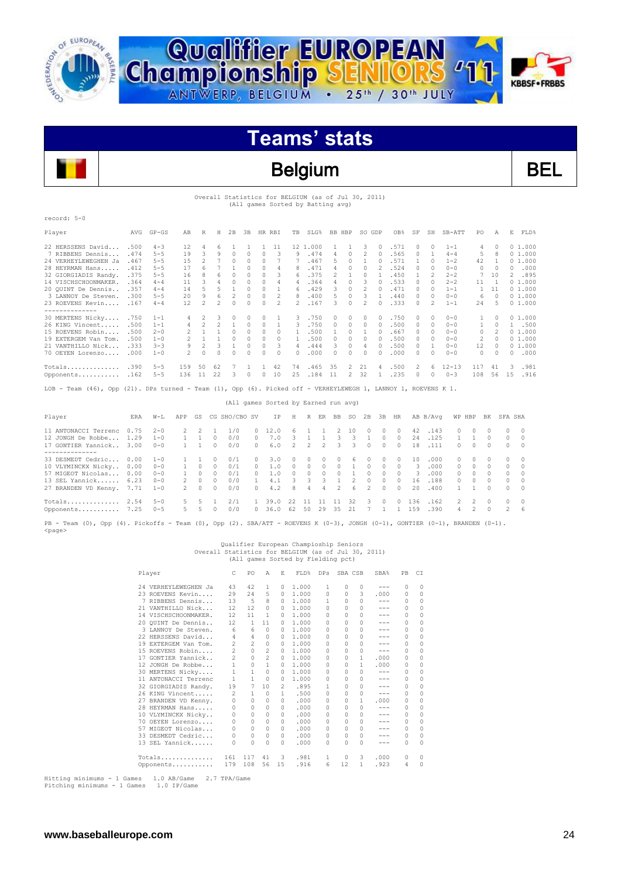



### Belgium BEL

Overall Statistics for BELGIUM (as of Jul 30, 2011)

|                                                                                                                |            |           |                |                |                 |                |              |              | (All games Sorted by Batting avg)    |                |                |                |                |              |                |                |          |              |                |                |                |                |                |            |  |
|----------------------------------------------------------------------------------------------------------------|------------|-----------|----------------|----------------|-----------------|----------------|--------------|--------------|--------------------------------------|----------------|----------------|----------------|----------------|--------------|----------------|----------------|----------|--------------|----------------|----------------|----------------|----------------|----------------|------------|--|
| record: 5-0                                                                                                    |            |           |                |                |                 |                |              |              |                                      |                |                |                |                |              |                |                |          |              |                |                |                |                |                |            |  |
| Player                                                                                                         | AVG        | $GP - GS$ | AB             | R              | H               | 2 B            | 3B           |              | HR RBI                               | TB             |                | $SLG$ %        | BB HBP         |              | SO GDP         |                | OB%      | SF           | SH             | $SB-ATT$       | PO             | Α              |                | E.<br>FLD% |  |
| 22 HERSSENS David                                                                                              | .500       | $4 - 3$   | 12             | 4              | 6               | $\mathbf{1}$   | $\mathbf{1}$ | $\mathbf{1}$ | 11                                   |                | 12 1.000       |                | 1              | $\mathbf{1}$ | 3              | $\Omega$       | .571     | 0            | $\Omega$       | $1 - 1$        | 4              | $\Omega$       |                | 01.000     |  |
| 7 RIBBENS Dennis                                                                                               | .474       | $5 - 5$   | 19             | 3              | 9               | $\Omega$       | $\Omega$     | $\Omega$     | 3                                    | 9              | .474           |                | $\overline{4}$ | $\Omega$     | $\overline{c}$ | $\Omega$       | .565     | $\Omega$     | $\overline{1}$ | $4 - 4$        | 5              | 8              |                | 0, 1, 000  |  |
| 24 VERHEYLEWEGHEN Ja                                                                                           | .467       | $5 - 5$   | 15             | 2              | $7\phantom{.0}$ | $\circ$        | 0            | $\Omega$     | 7                                    | 7              | .467           |                | 5              | $\circ$      | 1              | $\Omega$       | .571     | $\mathbf{1}$ | $\Omega$       | $1 - 2$        | 42             | -1.            |                | 01.000     |  |
| 28 HEYRMAN Hans                                                                                                | .412       | $5 - 5$   | 17             | 6              | 7               | $\overline{1}$ | $\Omega$     | $\Omega$     | $\overline{4}$                       | 8              | .471           |                | 4              | $\Omega$     | $\Omega$       | $\mathfrak{D}$ | .524     | $\Omega$     | $\Omega$       | $0 - 0$        | $\Omega$       | $\Omega$       |                | 0.000      |  |
| 32 GIORGIADIS Randy.                                                                                           | .375       | $5 - 5$   | 16             | 8              | 6               | $\Omega$       | $\Omega$     | $\Omega$     | 3                                    | 6              | .375           |                | $\overline{c}$ | $\mathbf{1}$ | $\Omega$       | $\mathbf{1}$   | .450     | $\mathbf{1}$ | $\mathfrak{D}$ | $2 - 2$        | 7              | 10             |                | 2 .895     |  |
| 14 VISCHSCHOONMAKER.                                                                                           | .364       | $4 - 4$   | 11             | 3              | $\overline{4}$  | $\Omega$       | $\cap$       | $\cap$       | $\varDelta$                          | 4              | .364           |                | $\varDelta$    | $\cap$       | 3              | $\cap$         | .533     | $\cap$       | $\cap$         | $2 - 2$        | 11             | $\overline{1}$ |                | 01.000     |  |
| 20 QUINT De Dennis                                                                                             | .357       | $4 - 4$   | 14             | 5              | 5               | $\overline{1}$ | $\Omega$     | $\Omega$     | $\mathbf{1}$                         | 6              | .429           |                | 3              | $\Omega$     | $\overline{c}$ | $\cap$         | .471     | $\Omega$     | $\Omega$       | $1 - 1$        | $\mathbf{1}$   | 11             |                | 01.000     |  |
| 3 LANNOY De Steven.                                                                                            | .300       | $5 - 5$   | 20             | $\mathbf{Q}$   | 6               | $\mathfrak{D}$ | $\cap$       | $\cap$       | $\mathfrak{D}$                       | 8              | .400           |                | 5              | $\cap$       | 3              | $\mathbf{1}$   | .440     | $\cap$       | $\Omega$       | $0 - 0$        | 6              | $\cap$         |                | 01.000     |  |
| 23 ROEVENS Kevin<br>--------------                                                                             | .167       | $4 - 4$   | 12             | $\mathfrak{D}$ | $\mathfrak{D}$  | $\cap$         | $\cap$       | $\Omega$     | $\mathfrak{D}$                       |                | .167           |                | 3              | $\cap$       | $\mathfrak{D}$ |                | .333     | $\cap$       | $\overline{2}$ | $1 - 1$        | 2.4            | 5              |                | 01.000     |  |
| 30 MERTENS Nicky                                                                                               | .750       | $1 - 1$   | 4              | 2              | 3               | 0              | 0            | $\Omega$     | 1                                    | 3              |                | .750           | 0              | $\Omega$     | $\Omega$       | O.             | .750     | $\Omega$     | $\Omega$       | $0 - 0$        | 1              | $\Omega$       |                | 01.000     |  |
| 26 KING Vincent                                                                                                | .500       | $1 - 1$   | 4              | 2              | 2               | $\overline{1}$ | 0            | $\Omega$     | $\mathbf{1}$                         | 3              | .750           |                | $\circ$        | $\Omega$     | $\circ$        | $\Omega$       | .500     | 0            | $\Omega$       | $0 - 0$        | 1              | $\Omega$       |                | 1 .500     |  |
| 15 ROEVENS Robin                                                                                               | .500       | $2 - 0$   | 2              | $\mathbf{1}$   | $\mathbf{1}$    | $\Omega$       | $\Omega$     | $\Omega$     | $\Omega$                             | 1              | .500           |                | $\mathbf{1}$   | $\Omega$     | $\mathbf{1}$   | $\Omega$       | .667     | $\Omega$     | $\Omega$       | $0 - 0$        | $\Omega$       | 2              |                | 01.000     |  |
| 19 EXTERGEM Van Tom.                                                                                           | .500       | $1 - 0$   | 2              | $\mathbf{1}$   |                 | $1 \quad 0$    | $\Omega$     | $\Omega$     | $\Omega$                             | $\mathbf{1}$   |                | .500           | $\Omega$       | $\Omega$     | $\Omega$       | $\Omega$       | .500     | $\Omega$     | $\Omega$       | $0 - 0$        | 2              | $\Omega$       |                | 01.000     |  |
| 21 VANTHILLO Nick                                                                                              | .333       | $3 - 3$   | 9              | $\mathfrak{D}$ | $\mathcal{B}$   | $\overline{1}$ | $\Omega$     | $\Omega$     | 3                                    | $\overline{4}$ | .444           |                | 3              | $\Omega$     | $\overline{4}$ | $\Omega$       | .500     | $\Omega$     | $\mathbf{1}$   | $0 - 0$        | 12             | $\Omega$       |                | 01.000     |  |
| 70 OEYEN Lorenzo                                                                                               | .000       | $1 - 0$   | $\overline{2}$ | $\cap$         | $\Omega$        | $\Omega$       | $\Omega$     | $\cap$       | $\bigcap$                            | $\cap$         |                | .000           | $\Omega$       | $\Omega$     | $\Omega$       | n              | .000     | $\Omega$     | $\Omega$       | $0 - 0$        | $\Omega$       | $\Omega$       |                | 0.000      |  |
| Totals                                                                                                         | .390       | $5 - 5$   | 159            | 50             | 62              | 7              | $\mathbf{1}$ | $\mathbf{1}$ | 42                                   | 74             | .465           |                | 35             | 2            | 21             | 4              | .500     | 2            | 6              | $12 - 13$      | 117            | 41             | 3              | .981       |  |
| Opponents .162                                                                                                 |            | $5 - 5$   | 136            | 11             | 22              | 3              | $\Omega$     | $\Omega$     | 10                                   | 25             | .184           |                | 11             |              | 2 32           | $\mathbf{1}$   | .235     | $\Omega$     | $\Omega$       | $0 - 3$        | 108            | 56             |                | 15 .916    |  |
| LOB - Team (46), Opp (21). DPs turned - Team (1), Opp (6). Picked off - VERHEYLEWEGH 1, LANNOY 1, ROEVENS K 1. |            |           |                |                |                 |                |              |              |                                      |                |                |                |                |              |                |                |          |              |                |                |                |                |                |            |  |
|                                                                                                                |            |           |                |                |                 |                |              |              | (All games Sorted by Earned run avg) |                |                |                |                |              |                |                |          |              |                |                |                |                |                |            |  |
| Player                                                                                                         | <b>ERA</b> | $W-T$     | APP            | GS             |                 | CG SHO/CBO SV  |              |              | ΙP                                   | Н              | R              |                | ER BB          | SO.          | 2B             | 3B             | HR.      |              | AB B/Avq       |                | WP HBP         | BK             | SFA SHA        |            |  |
| 11 ANTONACCI Terrenc                                                                                           | 0.75       | $2 - 0$   | 2              | 2              | 1               | 1/0            |              | $\Omega$     | 12.0                                 | 6              | 1              | $\mathbf{1}$   | 2              | 10           | $\Omega$       | $\Omega$       | $\Omega$ | 42           | .143           | $\Omega$       | 0              | $\cap$         | 0              | $\Omega$   |  |
| 12 JONGH De Robbe                                                                                              | 1.29       | $1 - 0$   | $\mathbf{1}$   | $\mathbf{1}$   | $\Omega$        | 0/0            | $\Omega$     |              | 7.0                                  | 3              | $\mathbf{1}$   | 1              | 3              | 3            | $\mathbf{1}$   | $\Omega$       | $\Omega$ | 24           | .125           | $\mathbf{1}$   | 1              | $\Omega$       | $\Omega$       | $\Omega$   |  |
| 17 GONTIER Yannick<br>--------------                                                                           | 3.00       | $0 - 0$   | 1              | $\mathbf{1}$   | $\Omega$        | 0/0            |              | $\Omega$     | 6.0                                  | $\mathfrak{D}$ | $\mathfrak{D}$ | $\mathfrak{D}$ | 3              | 3            | $\Omega$       | $\Omega$       | $\Omega$ | 18           | .111           | $\Omega$       | $\Omega$       | $\cap$         | $\Omega$       | $\Omega$   |  |
| 33 DESMEDT Cedric                                                                                              | 0.00       | $1 - 0$   | 1              | 1              | $\Omega$        | 0/1            |              | 0            | 3.0                                  | 0              | $\Omega$       | 0              | 0              | 6            | $\Omega$       | 0              | $\Omega$ | 10           | .000           | $\circ$        | $\Omega$       | $\Omega$       | 0              | $\Omega$   |  |
| 10 VLYMINCKX Nicky                                                                                             | 0.00       | $0 - 0$   | 1              | $\Omega$       | $\Omega$        | 0/1            | $\Omega$     |              | 1.0                                  | $\Omega$       | $\Omega$       | $\Omega$       | $\bigcirc$     | 1            | $\Omega$       | $\Omega$       | $\Omega$ | 3            | .000           | $\Omega$       | $\Omega$       | $\Omega$       | $\Omega$       | $\cap$     |  |
| 57 MIGEOT Nicolas                                                                                              | 0.00       | $0 - 0$   | $\mathbf{1}$   | $\Omega$       | $\Omega$        | 0/1            |              | $\Omega$     | 1.0                                  | $\Omega$       | $\Omega$       | $\Omega$       | $\circ$        | $\mathbf{1}$ | $\Omega$       | $\Omega$       | $\Omega$ | 3            | .000           | $\Omega$       | $\Omega$       | $\Omega$       | $\Omega$       | $\Omega$   |  |
| 13 SEL Yannick                                                                                                 | 6.23       | $0 - 0$   | 2              | $\Omega$       | $\Omega$        | 0/0            |              | 1.           | 4.1                                  | 3              | 3              | 3              | $\mathbf{1}$   | 2            | $\Omega$       | $\Omega$       | $\Omega$ | 16           | .188           | $\Omega$       | 0              | $\Omega$       | $\Omega$       | $\Omega$   |  |
| 27 BRANDEN VD Kenny.                                                                                           | 7.71       | $1 - 0$   | $\mathfrak{D}$ | $\Omega$       | $\cap$          | 0/0            |              | $\cap$       | 4.2                                  | R              | $\varDelta$    | 4              | $\overline{2}$ | 6            | $\mathcal{D}$  | $\cap$         | $\Omega$ | 20           | .400           | $\mathbf{1}$   | 1.             | $\Omega$       | $\Omega$       | $\cap$     |  |
| $Totals$                                                                                                       | 2.54       | $5 - 0$   | 5              | 5              | 1               | 2/1            |              | 1            | 39.0                                 | 22             | 11             | 11             | 11             | 32           | 3              | $\Omega$       | $\Omega$ | 136          | .162           | $\mathfrak{D}$ | $\mathfrak{D}$ | $\Omega$       | $\Omega$       | $\Omega$   |  |
| Opponents                                                                                                      | 7.25       | $0 - 5$   | 5              | 5              | $\cap$          | 0/0            |              | $\Omega$     | 36.0                                 | 62             | 50             | 29             | 35             | 21           | 7              | $\mathbf{1}$   | 1        | 1.59         | .390           | 4              | $\mathfrak{D}$ | $\Omega$       | $\overline{2}$ | 6          |  |

PB - Team (0), Opp (4). Pickoffs - Team (0), Opp (2). SBA/ATT - ROEVENS K (0-3), JONGH (0-1), GONTIER (0-1), BRANDEN (0-1). <page>

### Qualifier European Champioship Seniors<br>Overall Statistics for BELGIUM (as of Jul 30, 2011)<br>All games Sorted by Fielding pct)

| Player               | C                 | PO           | Α              | E            | FLD%  | <b>DPs</b>    |          |               | SBA%                | PB       | CI       |
|----------------------|-------------------|--------------|----------------|--------------|-------|---------------|----------|---------------|---------------------|----------|----------|
| 24 VERHEYLEWEGHEN Ja | 43                | 42           | 1              | 0            | 1,000 | 1             | 0        | 0             | $-- -$              | 0        | $\Omega$ |
| 23 ROEVENS Kevin     | 29                | 2.4          | 5              | $\Omega$     | 1,000 | 0             | $\Omega$ | 3             | .000                | 0        | $\Omega$ |
| 7 RIBBENS Dennis     | 13                | 5            | 8              | $\Omega$     | 1,000 | 1.            | $\Omega$ | <sup>n</sup>  | $-- -$              | 0        | 0        |
| 21 VANTHILLO Nick    | 12                | 12           | 0              | $\Omega$     | 1,000 | $\Omega$      | $\Omega$ | $\mathcal{O}$ | ---                 | 0        | $\Omega$ |
| 14 VISCHSCHOONMAKER. | 12                | 11           | 1              | 0            | 1,000 | $\Omega$      | $\Omega$ | $\mathcal{O}$ | ---                 | $\Omega$ | $\Omega$ |
| 20 OUINT De Dennis   | $12 \overline{ }$ | $\mathbf{1}$ | 11             | n.           | 1,000 | $\cap$        | $\cap$   | $\mathcal{O}$ |                     | 0        | $\Omega$ |
| 3 LANNOY De Steven.  | 6                 | 6            | $\circ$        | $\Omega$     | 1,000 | $\Omega$      | $\Omega$ | $\Omega$      | ---                 | 0        | $\Omega$ |
| 22 HERSSENS David    | 4                 | 4            | 0              | n.           | 1,000 | 0             | $\cap$   | $\cap$        | ---                 | $\Omega$ | $\Omega$ |
| 19 EXTERGEM Van Tom. | 2                 | 2            | 0              | 0            | 1,000 | $\Omega$      | $\Omega$ | $\mathcal{O}$ |                     | 0        | $\Omega$ |
| 15 ROEVENS Robin     | $\overline{c}$    | 0            | $\overline{c}$ | 0            | 1,000 | $\Omega$      | $\Omega$ | $\mathcal{O}$ | ---                 | 0        | $\Omega$ |
| GONTIER Yannick      | $\overline{c}$    | $\Omega$     | $\overline{c}$ | $\Omega$     | 1,000 | 0             | 0        | 1             | .000                | 0        | $\Omega$ |
| 12 JONGH De Robbe    | $\mathbf{1}$      | 0            | $\mathbf{1}$   | $\Omega$     | 1,000 | 0             | $\Omega$ | 1             | .000                | 0        | $\Omega$ |
| 30 MERTENS Nicky     | $\mathbf{1}$      | 1            | $\Omega$       | n.           | 1,000 | $\Omega$      | $\cap$   | $\cap$        | $\qquad \qquad - -$ | 0        | $\Omega$ |
| 11 ANTONACCI Terrenc | $\mathbf{1}$      | 1            | $\Omega$       | 0            | 1,000 | $\Omega$      | $\Omega$ | $\mathcal{O}$ | ---                 | 0        | $\Omega$ |
| 32 GIORGIADIS Randy. | 19                | 7            | 10             | 2            | .895  | 1             | $\Omega$ | $\cap$        | ---                 | 0        | $\Omega$ |
| 26 KING Vincent      | $\overline{c}$    | 1            | $\Omega$       | $\mathbf{1}$ | .500  | $\Omega$      | $\Omega$ | $\mathcal{O}$ | $-- -$              | 0        | $\Omega$ |
| 27 BRANDEN VD Kenny. | 0                 | $\Omega$     | 0              | <sup>n</sup> | .000  | 0             | 0        | 1             | .000                | 0        | $\Omega$ |
| 28 HEYRMAN Hans      | $\Omega$          | 0            | 0              | 0            | .000  | $\Omega$      | $\Omega$ | $\cap$        | ---                 | 0        | $\Omega$ |
| 10 VLYMINCKX Nicky   | 0                 | $\Omega$     | 0              | n.           | .000  | $\Omega$      | $\cap$   | $\cap$        | ---                 | 0        | $\Omega$ |
| 70 OEYEN Lorenzo     | 0                 | $\Omega$     | 0              | n.           | .000  | $\mathcal{O}$ | $\Omega$ | $\Omega$      | $-- -$              | 0        | $\Omega$ |
| 57 MIGEOT Nicolas    | $\Omega$          | $\Omega$     | $\Omega$       | 0            | .000  | 0             | $\Omega$ | $\mathcal{O}$ | ---                 | 0        | $\Omega$ |
| 33 DESMEDT Cedric    | $\Omega$          | 0            | 0              | $\Omega$     | .000  | 0             | $\Omega$ | $\mathcal{O}$ | ---                 | 0        | $\Omega$ |
| 13 SEL Yannick       | 0                 | $\Omega$     | 0              | n.           | .000  | $\Omega$      | 0        | $\mathcal{O}$ | ---                 | 0        | $\Omega$ |
| Totals               | 161               | 117          | 41             | 3            | .981  | 1             | 0        | 3             | .000                | 0        | 0        |
| Opponents            | 179               | 108          | 56             | 15           | .916  | 6             | 12       | 1.            | .923                | 4        | $\Omega$ |
|                      |                   |              |                |              |       |               |          |               | SBA CSB             |          |          |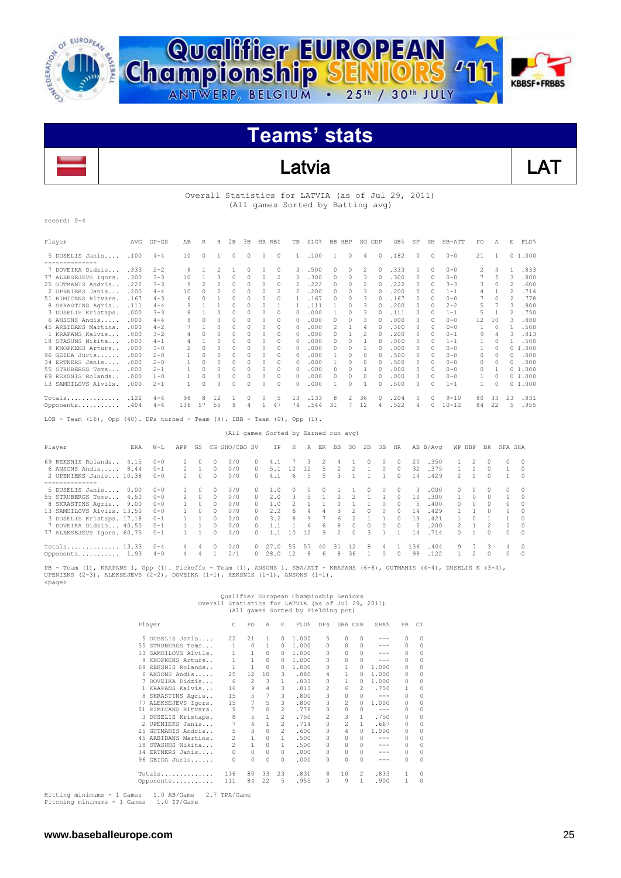



### Latvia LAT

#### Overall Statistics for LATVIA (as of Jul 29, 2011) (All games Sorted by Batting avg)

record: 0-4

| Player                                                                                       | <b>AVG</b> | $GP - GS$ | AB                       | R              | Η                        | 2B       | 3B       | HR RBI   |               | TB             | SLG% |                | BB HBP   | SO GDP   |          | OB <sub>8</sub> | SF       | SH       | $SB-ATT$  | PO.            | Α        | E  | FLD%   |
|----------------------------------------------------------------------------------------------|------------|-----------|--------------------------|----------------|--------------------------|----------|----------|----------|---------------|----------------|------|----------------|----------|----------|----------|-----------------|----------|----------|-----------|----------------|----------|----|--------|
| 5 DUSELIS Janis<br>----------------                                                          | .100       | $4 - 4$   | 10                       | $\Omega$       |                          | $\Omega$ | $\Omega$ | $\circ$  | $\circ$       | 1              | .100 | 1.             | 0        | 4        | $\Omega$ | .182            | $\Omega$ | $\Omega$ | $0 - 0$   | 21             | 1        |    | 01.000 |
| 7 DOVEIKA Didzis                                                                             | .333       | $2 - 2$   | 6                        |                | $\overline{\mathcal{L}}$ |          | 0        | $\Omega$ | $\Omega$      | 3              | .500 | 0              | $\Omega$ | 2        | $\Omega$ | .333            | $\Omega$ | $\Omega$ | $0 - 0$   | $\mathfrak{D}$ | 3        |    | .833   |
| 77 ALEKSEJEVS Igors.                                                                         | .300       | $3 - 3$   | 10                       |                | 3                        | $\Omega$ | 0        | 0        | 2             | 3              | .300 | 0              | $\Omega$ | 3        | $\Omega$ | .300            | $\Omega$ | $\Omega$ | $0 - 0$   |                | 5        | 3  | .800   |
| 25 GUTMANIS Andris.                                                                          | .222       | $3 - 3$   | 9                        | $\mathfrak{D}$ | 2                        | $\Omega$ |          | 0        | 0             | 2              | .222 |                | $\cap$   | 2        | $\Omega$ | .222            | $\Omega$ | $\Omega$ | $3 - 3$   | 3              | $\Omega$ | 2  | .600   |
| 2 UPENIEKS Janis                                                                             | .200       | $4 - 4$   | 10                       | $\Omega$       |                          | 0        |          | 0        |               | $\mathfrak{D}$ | .200 | 0              | 0        |          | $\Omega$ | .200            | $\Omega$ | 0        | $1 - 1$   | 4              |          | 2  | .714   |
| 51 RIMICANS Ritvars.                                                                         | .167       | $4 - 3$   | 6                        |                |                          | $\Omega$ |          | 0        |               |                | .167 |                | $\cap$   |          |          | .167            | $\Omega$ | 0        | $0 - 0$   |                | $\Omega$ | 2  | .778   |
| 8 SKRASTINS Agris                                                                            | .111       | $4 - 4$   | 9                        |                |                          | 0        |          | 0        |               |                | .111 |                | n        |          |          | .200            | n.       | 0        | $2 - 2$   | 5              |          | 3  | .800   |
| 3 DUSELIS Kristaps.                                                                          | .000       | $3 - 3$   |                          |                |                          |          |          |          | n             |                | .000 |                | 0        |          |          | .111            | $\Omega$ | $\Omega$ | $1 - 1$   |                |          |    | .750   |
| 6 ANSONS Andis                                                                               | .000       | $4 - 4$   |                          | $\Omega$       | $\cap$                   | $\Omega$ |          | 0        | $\Omega$      | 0              | .000 | 0              | $\cap$   |          | $\Omega$ | .000            | 0        | $\Omega$ | $0 - 0$   | 12             | 10       | ٦  | .880   |
| 45 ARBIDANS Martins.                                                                         | . 000      | $4 - 2$   |                          |                |                          | 0        | 0        | 0        | $\Omega$      | $\Omega$       | .000 | $\mathfrak{D}$ |          |          | 0        | .300            | 0        | 0        | $0 - 0$   |                | $\Omega$ |    | .500   |
| 1 KRAPANS Kalvis                                                                             | .000       | $3 - 2$   |                          | C              | $\cap$                   | $\cap$   |          | $\cap$   | $\Omega$      | $\Omega$       | .000 | 0              |          |          | $\Omega$ | .200            | $\Omega$ | $\Omega$ | $0 - 1$   | 9              | 4        | 3  | .813   |
| 18 STASUNS Nikita                                                                            | . 000      | $4 - 1$   |                          |                | $\cap$                   | $\Omega$ | 0        | 0        | $\Omega$      | O.             | .000 | 0.             | $\cap$   |          |          | .000            | $\Omega$ | n        | $1 - 1$   |                | $\Omega$ |    | .500   |
| 9 KNOPKENS Arturs                                                                            | .000       | $3 - 0$   | $\overline{\mathcal{L}}$ | C              |                          | $\Omega$ |          | 0        | 0             | O.             | .000 |                | $\cap$   |          | $\Omega$ | .000            | 0        | $\cap$   | $0 - 0$   |                | $\Omega$ | 0. | 1.000  |
| 96 GEIDA Juris                                                                               | .000       | $2 - 0$   |                          | $\Omega$       |                          | $\Omega$ |          | 0        | $\Omega$      | $\Omega$       | .000 |                | $\Omega$ | $\Omega$ | $\Omega$ | .500            | $\Omega$ | $\Omega$ | $0 - 0$   | 0              | $\Omega$ | 0  | .000   |
| 34 ERTNERS Janis                                                                             | .000       | $2 - 0$   |                          |                |                          | $\Omega$ |          | 0        | $\Omega$      | O.             | .000 |                | $\cap$   |          |          | .500            | n        | $\Omega$ | $0 - 0$   | 0              | $\Omega$ | O. | .000   |
| 55 STRUBERGS Toms                                                                            | . 000      | $2 - 1$   |                          | C              | $\cap$                   | $\Omega$ | 0        | 0        | $\Omega$      | $\Omega$       | .000 | 0              | 0        |          |          | .000            | 0        | $\Omega$ | $0 - 0$   | 0              |          |    | 01.000 |
| 69 REKSNIS Rolands                                                                           | .000       | $1 - 0$   |                          |                |                          | 0        |          | 0        | $\mathcal{O}$ | $\mathcal{O}$  | .000 |                | 0        |          | $\Omega$ | .000            | $\Omega$ | $\Omega$ | $0 - 0$   |                | $\Omega$ |    | 01.000 |
| 13 SAMOILOVS Alvils                                                                          | .000       | $2 - 1$   |                          | O              | $\cap$                   | 0        |          | $\Omega$ | 0             | 0              | .000 |                | $\Omega$ |          | n        | .500            | 0        | 0        | $1 - 1$   |                | $\Omega$ |    | 01.000 |
| Totals                                                                                       | .122       | $4 - 4$   | 98                       | 8              | 12                       |          | 0        | 0        | 5             | 13             | .133 |                |          | 36       | $\Omega$ | .204            | 0        | $\Omega$ | $9 - 10$  | 80             | 33       | 23 | .831   |
| Opponents                                                                                    | .404       | $4 - 4$   | 136                      | 57             | 55                       | 8        | 4        |          | 47            | 74             | .544 | 31             |          | 12       | 4        | .522            | 4        | 0        | $10 - 12$ | 84             | 22       | 5. | .955   |
| Team $(16)$ , Opp $(40)$ . DPs turned - Team $(8)$ . IBB - Team $(0)$ , Opp $(1)$ .<br>LOB - |            |           |                          |                |                          |          |          |          |               |                |      |                |          |          |          |                 |          |          |           |                |          |    |        |

(All games Sorted by Earned run avg)

| Player                     | ERA  | $W-L$    | APP           | GS        |              | CG SHO/CBO SV |        | ΙP   | H  | R  | ER | BB | SO. | 2B       | 3B           | HR     |     | AB B/Avq | WP HBP        |        | BK.           | SFA SHA  |          |
|----------------------------|------|----------|---------------|-----------|--------------|---------------|--------|------|----|----|----|----|-----|----------|--------------|--------|-----|----------|---------------|--------|---------------|----------|----------|
| 69 REKSNIS Rolands         | 4.15 | $0 - 0$  |               |           | 0            | 0/0           |        | 4.1  |    |    |    |    |     |          |              | n.     | 20  | .350     |               |        |               | $\Omega$ | -0       |
| 6 ANSONS Andis             | 8.44 | $0 - 1$  | $\mathcal{P}$ |           | $\Omega$     | 0/0           | $\cap$ | 5.1  |    | 12 | 5  |    |     |          | <sup>0</sup> | $\cap$ | 32  | .375     |               |        |               |          | $\Omega$ |
| 2 UPENIEKS Janis 10.38     |      | $0 - 0$  | $\mathcal{P}$ | $\cap$    | $\cap$       | 0/0           | $\cap$ | 4.1  | 6  | 5. | 5  | २  |     |          |              | $\cap$ | 14  | .429     | $\mathcal{P}$ |        |               |          | $\Omega$ |
|                            |      |          |               |           |              |               |        |      |    |    |    |    |     |          |              |        |     |          |               |        |               |          |          |
| 5 DUSELIS Janis            | 0.00 | $0 - 0$  |               |           | $\Omega$     | 0/0           |        | 1.0  |    | 0. |    |    |     | 0        | 0            | $\cap$ | 3   | .000     | $\cap$        | 0      | $\Omega$      | $\Omega$ | $\Omega$ |
| 55 STRUBERGS Toms          | 4.50 | $0 - 0$  | $\mathcal{D}$ | $\Omega$  | $\Omega$     | 0/0           | $\cap$ | 2.0  | ₹  |    |    |    |     |          |              | $\cap$ | 10  | .300     |               | $\cap$ |               |          | $\Omega$ |
| 8 SKRASTINS Agris          | 9.00 | $0 - 0$  |               | $\Box$    | $\Omega$     | 0/0           | $\cap$ | 1.0  |    |    |    |    |     |          | <sup>0</sup> | $\cap$ | .5. | .400     | $\cap$        | $\cap$ | $\Omega$      | $\Omega$ | $\cap$   |
| 13 SAMOILOVS Alvils, 13.50 |      | $0 - 0$  |               | $\bigcap$ | $\cap$       | 0/0           |        | 2.2  | 6  |    |    |    |     |          |              |        | 14  | .429     |               |        | $\cap$        | $\Omega$ | $\Omega$ |
| 3 DUSELIS Kristaps. 17.18  |      | $0 - 1$  |               |           | <sup>0</sup> | 0/0           |        | 3.2  | 8  | 9  |    |    |     |          |              |        | 19  | .421     |               |        |               |          | $\cap$   |
| 7 DOVEIKA Didzis 40.50     |      | $0 - 1$  |               |           |              | 0/0           |        |      |    | Б. | 6. | R  |     | $\Omega$ | <sup>0</sup> | $\cap$ | -5  | .200     |               |        |               | $\Omega$ | $\Omega$ |
| 77 ALEKSEJEVS Igors. 60.75 |      | $0 - 1$  |               |           | <sup>0</sup> | 0/0           |        |      | 10 | 12 | 9  | 2  |     | २        |              |        | 14  | .714     | O.            |        | $\cap$        | $\Omega$ | $\Omega$ |
| Totals 13.33               |      | $() - 4$ |               | 4         |              | 0/0           |        | . O  | 55 | 57 | 40 | 31 | 12  | 8        | 4            |        | 36  | .404     | 9             |        | $\mathcal{R}$ | 4        | $\Omega$ |
| Opponents 1.93             |      | $4 - 0$  | 4             |           |              | 2/1           |        | 28.0 | 12 | 8. | 6  | R  | 36  |          | <sup>0</sup> | $\cap$ | 98  | .122     |               |        | $\Omega$      | 0        | $\Omega$ |

PB - Team (1), KRAPANS 1, Opp (1). Pickoffs - Team (1), ANSONS 1. SBA/ATT - KRAPANS (6-8), GUTMANIS (4-4), DUSELIS K (3-4),<br>UPENIEKS (2-3), ALEKSEJEVS (2-2), DOVEIKA (1-1), REKSNIS (1-1), ANSONS (1-1). <page>

### Qualifier European Champioship Seniors<br>Overall Statistics for LATVIA (as of Jul 29, 2011)<br>All games Sorted by Fielding pct)

|     | Player               | C              | PO             | A            | F.             | FLD%  | <b>DPs</b>     | SBA CSB        |          | SBA%                                                                                                                                                                                                                                                                                                                                                                                                                                                                       | PB       | CI       |
|-----|----------------------|----------------|----------------|--------------|----------------|-------|----------------|----------------|----------|----------------------------------------------------------------------------------------------------------------------------------------------------------------------------------------------------------------------------------------------------------------------------------------------------------------------------------------------------------------------------------------------------------------------------------------------------------------------------|----------|----------|
|     | 5 DUSELIS Janis      | 22             | 21             | $\mathbf{1}$ | $\Omega$       | 1,000 | 5              | 0              | $\Omega$ | ---                                                                                                                                                                                                                                                                                                                                                                                                                                                                        | $\cap$   | $\Omega$ |
|     | 55 STRUBERGS Toms    | $\mathbf{1}$   | $\circ$        | 1            | $\Omega$       | 1,000 | 0              | 0              | 0        | ---                                                                                                                                                                                                                                                                                                                                                                                                                                                                        | $\cap$   | $\Omega$ |
|     | 13 SAMOILOVS Alvils. | 1              | $\mathbf{1}$   | $\Omega$     | 0              | 1,000 | <sup>0</sup>   | O.             | 0        |                                                                                                                                                                                                                                                                                                                                                                                                                                                                            | $\Omega$ | $\Omega$ |
| 9   | KNOPKENS Arturs      | 1              | 1              | $\Omega$     | 0              | 1,000 | <sup>0</sup>   | 0              | 0        | ---                                                                                                                                                                                                                                                                                                                                                                                                                                                                        | $\Omega$ | $\Omega$ |
|     | 69 REKSNIS Rolands   | 1              | $\mathbf{1}$   | $\bigcap$    | 0              | 1,000 | <sup>0</sup>   |                | 0        | 1,000                                                                                                                                                                                                                                                                                                                                                                                                                                                                      | 0        | 0        |
|     | 6 ANSONS Andis       | 25             | 12             | 10           | 3              | .880  | 4              |                | O.       | 1,000                                                                                                                                                                                                                                                                                                                                                                                                                                                                      | 0        | $\Omega$ |
|     | 7 DOVEIKA Didzis     | 6              | $\mathfrak{D}$ | 3            | 1.             | .833  |                |                | 0        | 1,000                                                                                                                                                                                                                                                                                                                                                                                                                                                                      | 0        | $\Omega$ |
|     | 1 KRAPANS Kalvis     | 16             | 9              | 4            | 3.             | .813  | $\mathfrak{D}$ | 6              | 2        | .750                                                                                                                                                                                                                                                                                                                                                                                                                                                                       | 1        | $\Omega$ |
| 8   | SKRASTINS Agris      | 15             | 5              | 7            | 3.             | .800  | 3              | 0              | 0        | $\frac{1}{2} \left( \frac{1}{2} \right) \left( \frac{1}{2} \right) \left( \frac{1}{2} \right) \left( \frac{1}{2} \right) \left( \frac{1}{2} \right) \left( \frac{1}{2} \right) \left( \frac{1}{2} \right) \left( \frac{1}{2} \right) \left( \frac{1}{2} \right) \left( \frac{1}{2} \right) \left( \frac{1}{2} \right) \left( \frac{1}{2} \right) \left( \frac{1}{2} \right) \left( \frac{1}{2} \right) \left( \frac{1}{2} \right) \left( \frac{1}{2} \right) \left( \frac$ | $\Omega$ | $\Omega$ |
|     | 77 ALEKSEJEVS Igors. | 15             | 7              | 5            | 3.             | .800  | 3              | $\mathfrak{D}$ | O.       | 1,000                                                                                                                                                                                                                                                                                                                                                                                                                                                                      | $\Omega$ | $\Omega$ |
|     | 51 RIMICANS Ritvars. | 9              | 7              | 0            | 2              | .778  | 0              | 0              | 0        | $\frac{1}{2} \left( \frac{1}{2} \right) \left( \frac{1}{2} \right) \left( \frac{1}{2} \right) \left( \frac{1}{2} \right) \left( \frac{1}{2} \right) \left( \frac{1}{2} \right) \left( \frac{1}{2} \right) \left( \frac{1}{2} \right) \left( \frac{1}{2} \right) \left( \frac{1}{2} \right) \left( \frac{1}{2} \right) \left( \frac{1}{2} \right) \left( \frac{1}{2} \right) \left( \frac{1}{2} \right) \left( \frac{1}{2} \right) \left( \frac{1}{2} \right) \left( \frac$ | $\Omega$ | $\Omega$ |
|     | 3 DUSELIS Kristaps.  | 8              | 5              |              | $\mathfrak{D}$ | .750  | $\mathfrak{D}$ | 3              |          | .750                                                                                                                                                                                                                                                                                                                                                                                                                                                                       | $\Omega$ | $\Omega$ |
|     | 2 UPENIEKS Janis     | 7              | 4              | 1            | 2              | .714  | <sup>0</sup>   | 2              | 1.       | .667                                                                                                                                                                                                                                                                                                                                                                                                                                                                       | $\Omega$ | $\Omega$ |
| 2.5 | GUTMANIS Andris      | 5              | 3              | $\Omega$     | 2              | .600  | <sup>0</sup>   | 4              | O.       | 1,000                                                                                                                                                                                                                                                                                                                                                                                                                                                                      | 0        | $\Omega$ |
| 4.5 | ARBIDANS Martins.    | $\mathfrak{D}$ | 1              | 0            | 1.             | .500  | 0              | 0              | 0        | ---                                                                                                                                                                                                                                                                                                                                                                                                                                                                        | $\Omega$ | $\Omega$ |
|     | 18 STASUNS Nikita    | $\mathcal{L}$  | 1              | 0            | 1.             | .500  | $\Omega$       | 0              | 0        | ---                                                                                                                                                                                                                                                                                                                                                                                                                                                                        | $\Omega$ | $\Omega$ |
|     | 34 ERTNERS Janis     | 0              | 0              | 0            | $\Omega$       | .000  | $\Omega$       | 0              | 0        | ---                                                                                                                                                                                                                                                                                                                                                                                                                                                                        | $\Omega$ | $\Omega$ |
|     | 96 GEIDA Juris       | 0              | $\circ$        | 0            | $\Omega$       | .000  | 0              | 0              | $\Omega$ | ---                                                                                                                                                                                                                                                                                                                                                                                                                                                                        | $\Omega$ | $\Omega$ |
|     | Totals               | 136            | 80             | 33           | 23             | .831  | 8              | 10             | 2        | .833                                                                                                                                                                                                                                                                                                                                                                                                                                                                       | 1.       | $\Omega$ |
|     | Opponents            | 111            | 84             | 22           | 5              | .955  | $\Omega$       | 9              | 1        | .900                                                                                                                                                                                                                                                                                                                                                                                                                                                                       |          | $\Omega$ |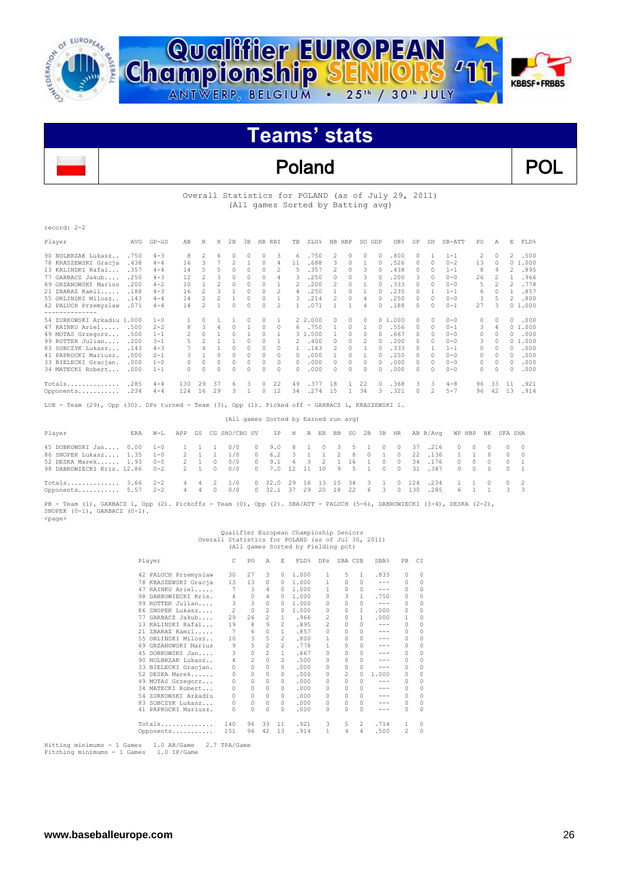



### Poland POL

#### Overall Statistics for POLAND (as of July 29, 2011) (All games Sorted by Batting avg)

| record: 2-2                |      |           |     |                |    |              |          |          |          |              |         |               |          |        |          |                 |    |           |          |                |          |              |        |
|----------------------------|------|-----------|-----|----------------|----|--------------|----------|----------|----------|--------------|---------|---------------|----------|--------|----------|-----------------|----|-----------|----------|----------------|----------|--------------|--------|
| Player                     | AVG  | $GP - GS$ | AB  | R              | H  | 2B           | 3B       |          | HR RBI   | TB           | SLG%    |               | BB HBP   |        | SO GDP   | OB <sub>8</sub> | SF | SH        | $SB-ATT$ | PO             | Α        | E            | FLD%   |
| 90 NOLBRZAK Lukasz         | .750 | $4 - 3$   | 8   | $\mathfrak{D}$ | 6  | $\Omega$     | $\Omega$ | 0        | २        | 6.           | .750    | 2             | $\Omega$ | $\cap$ | $\Omega$ | .800            | O. |           | $1 - 1$  | $\mathfrak{D}$ | $\cap$   | $2^{\circ}$  | .500   |
| 78 KRASZEWSKI Gracja       | .438 | $4 - 4$   | 16  | 3              |    |              |          | 0        | 4        | 11           | .688    | 3             | $\Omega$ |        | 0        | .526            | 0  | $\Omega$  | $0 - 2$  | 13             | $\Omega$ | $\Omega$     | 1,000  |
| 13 KALINSKI Rafal          | .357 | $4 - 4$   | 14  | 5              | 5  |              | O.       |          | 2        | 5            | .357    | $\mathcal{L}$ | 0        | 3      |          | .438            |    | $\Omega$  | $1 - 1$  | 8              | q        | 2            | .895   |
| 77 GARBACZ Jakub           | .250 | $4 - 3$   | 12  | 2              |    |              |          |          |          | 3            | .250    | 0             |          |        |          | .200            | 3  | $\Omega$  | $0 - 0$  | 26             |          |              | .966   |
| 69 GRZANOWSKI Marius       | .200 | $4 - 2$   | 10  |                | 2  | $\Omega$     | 0        |          |          | 2            | .200    | 2             |          |        |          | .333            |    | $\Omega$  | $0 - 0$  | 5              |          |              | .778   |
| 21 ZBARAZ Kamil            | .188 | $4 - 3$   | 16  |                |    |              |          |          |          | 4            | .250    |               |          |        |          | .235            | 0  |           | $1 - 1$  | 6              | 0        |              | .857   |
| 55 ORLINSKI Milosz         | .143 | $4 - 4$   | 14  |                |    |              | 0        | 0        |          | 3            | .214    | 2             |          | 4      |          | .250            | 0  | $\Omega$  | $0 - 0$  | 3              |          |              | .800   |
| 42 PALUCH Przemyslaw       | .071 | $4 - 4$   | 14  | 2              |    | $\Omega$     |          |          |          |              | .071    |               |          | 4      |          | .188            | 0  | $\Omega$  | $0 - 1$  | 27             |          |              | 01.000 |
| --------------             |      |           |     |                |    |              |          |          |          |              |         |               |          |        |          |                 |    |           |          |                |          |              |        |
| 54 ZURKOWSKI Arkadiu 1.000 |      | $1 - 0$   |     | 0              |    |              | 0        | 0        |          |              | 2 2,000 | 0             | 0        | 0      |          | 01.000          | 0. | $\bigcap$ | $0 - 0$  | 0              | O.       | O            | .000   |
| 47 RAINKO Ariel            | .500 | $2 - 2$   | 8   | 3              |    | $\Omega$     |          | $\Omega$ | 0        | 6            | .750    |               | $\Omega$ |        |          | .556            | 0. | $\Omega$  | $0 - 1$  | 3              | 4        |              | 01.000 |
| 49 MOTAS Grzegorz          | .500 | $1 - 1$   |     | $\Omega$       |    | $\Omega$     |          | 0        |          |              | 3 1.500 |               | $\Omega$ | 0      |          | .667            | 0. | $\Omega$  | $0 - 0$  | 0              | 0        | 0            | .000   |
| 99 ROTTER Julian           | .200 | $3 - 1$   |     |                |    |              | n        | n        |          |              | .400    | U             | n        |        |          | .200            | 0  | $\Omega$  | $0 - 0$  | 3              | 0        |              | 01.000 |
| 83 SOBCZYK Lukasz          | .143 | $4 - 3$   |     | Δ              |    | $\Omega$     | 0        | 0        | O.       |              | .143    | 2             | $\cap$   |        |          | .333            | 0  |           | $1 - 1$  | 0              | 0        | 0            | .000   |
| 41 PAPROCKI Mariusz.       | .000 | $2 - 1$   |     |                | n  | $\Omega$     | O.       | n        | O.       | O.           | .000    |               | n        |        |          | .250            | 0  | $\Omega$  | $0 - 0$  | 0              | 0        | $\Omega$     | .000   |
| 33 BIELECKI Gracjan.       | .000 | $1 - 0$   | 0   | $\Omega$       | 0  | 0            | 0        | $\Omega$ | $\Omega$ | O.           | .000    | 0             | $\Omega$ | 0      | 0        | .000            | 0  | 0         | $0 - 0$  | 0              | 0        | $\Omega$     | .000   |
| 34 MATECKI Robert          | .000 | $1 - 1$   | 0   | C              | U  | <sup>0</sup> | U        | U        | n        | <sup>0</sup> | .000    | O.            | n        | 0      |          | .000            | 0  | $\Omega$  | $0 - 0$  | 0              | 0        | <sup>0</sup> | .000   |
| Totals                     | .285 | $4 - 4$   | 130 | 29             | 37 | 6            |          | 0        | 22       | 49           | .377    | 18            |          | 22     | $\Omega$ | .368            | 3  | 3         | $4 - 8$  | 96             | 33       | 11           | .921   |
| Opponents                  | .234 | $4 - 4$   | 124 | 16             | 29 | 3            |          |          | 12       | 34           | .274    | 15            |          | 34     |          | .321            | 0  |           | $5 - 7$  | 96             | 42       | 13           | .914   |

LOB - Team (29), Opp (30). DPs turned - Team (3), Opp (1). Picked off - GARBACZ 1, KRASZEWSKI 1.

| ERA | W-L |                                                                                                                                                                  |          |                   |                              |                      |                                  |                    |       |                            |      |                                      |                            |                           |                                                                                                                     |                         |          |                          |                                     |                                                       |
|-----|-----|------------------------------------------------------------------------------------------------------------------------------------------------------------------|----------|-------------------|------------------------------|----------------------|----------------------------------|--------------------|-------|----------------------------|------|--------------------------------------|----------------------------|---------------------------|---------------------------------------------------------------------------------------------------------------------|-------------------------|----------|--------------------------|-------------------------------------|-------------------------------------------------------|
|     |     |                                                                                                                                                                  |          | 0/0               |                              |                      |                                  |                    |       |                            |      | $\Omega$                             |                            |                           |                                                                                                                     |                         |          |                          |                                     | $0 \quad 0$                                           |
|     |     |                                                                                                                                                                  |          | 1/0               |                              |                      |                                  |                    |       |                            |      |                                      |                            |                           |                                                                                                                     |                         |          | $\Omega$                 |                                     | $0 \quad 0$                                           |
|     |     |                                                                                                                                                                  | $\Omega$ | 0/0               |                              | 9.1                  |                                  |                    |       |                            |      |                                      |                            | 34                        | .176                                                                                                                |                         | $\Omega$ |                          |                                     | $0 \quad 1$                                           |
|     |     |                                                                                                                                                                  | $\Omega$ | 0/0               |                              |                      |                                  |                    |       |                            |      |                                      |                            | 31                        |                                                                                                                     |                         |          |                          |                                     | $0 \quad 1$                                           |
|     |     |                                                                                                                                                                  |          | 1/0<br>0/0        |                              |                      |                                  |                    |       | -34                        | - 3  |                                      |                            |                           | .234<br>.285                                                                                                        |                         |          |                          |                                     | $0 \quad 2$<br>$3 \overline{3}$                       |
|     |     | 45 DOBKOWSKI Jan 0.00 1-0<br>86 SNOPEK Lukasz 1.35 1-0<br>52 DESKA Marek 1.93 0-0<br>98 DABROWIECKI Kris. 12.86 0-2<br>$Totals$ 3.66 $2-2$<br>Opponents 5.57 2-2 |          | 2 1<br>2 1<br>2 1 | 1 1 1<br>1<br>4 4 2<br>4 4 0 | APP GS CG SHO/CBO SV | $0 \t 9.0$<br>$\circ$<br>$\circ$ | 6.2<br>$0$ 32.0 29 | 3 1 1 | 8 1 0<br>6 3 2<br>16 13 15 | . 16 | (All games Sorted by Earned run avg) | 3 5 1<br>2 8 0<br>$\sim$ 1 | 0 32.1 37 29 20 18 22 6 3 | IP H R ER BB SO 2B 3B HR<br>0 37<br>$\overline{0}$<br>$0\quad 0$<br>0 7.0 12 11 10 9 5 1 0 0<br>$0 \t 124$<br>0 130 | .216<br>22 .136<br>.387 | AB B/Avq | $\mathbf{1}$<br>$\Omega$ | $0\qquad 0$<br>$0 \quad 0$<br>6 1 1 | WP HBP BK SFA SHA<br>$\sim$ 0<br>$\sim$ 0<br>$\sim$ 0 |

PB - Team (1), GARBACZ 1, Opp (2). Pickoffs - Team (0), Opp (2). SBA/ATT - PALUCH (5-6), DABROWIECKI (3-4), DESKA (2-2), SNOPEK (0-1), GARBACZ (0-1). <page>

### Qualifier European Champioship Seniors<br>Overall Statistics for POLAND (as of Jul 30, 2011)<br>All games Sorted by Fielding pct)

| Player |                      | C        | PO       | Α              | E.            | FLD%  | DPs            | SBA CSB  |              | SBA%    | PB | CI       |
|--------|----------------------|----------|----------|----------------|---------------|-------|----------------|----------|--------------|---------|----|----------|
|        | 42 PALUCH Przemyslaw | 30       | 27       | 3              | $\Omega$      | 1.000 | 1              | 5        | $\mathbf{1}$ | .833    | 0  | $\Omega$ |
|        | 78 KRASZEWSKI Gracja | 13       | 13       | 0              | 0             | 1.000 |                |          | O.           | ---     | 0  | 0        |
|        | 47 RAINKO Ariel      | 7        | 3        | 4              | n.            | 1.000 |                | 0        | $\Omega$     | ---     | 0  | $\Omega$ |
| 98.    | DABROWIECKI Kris.    | 4        | 0        | 4              | n.            | 1,000 | 0              | 3        | 1            | .750    | 0  | $\Omega$ |
|        | 99 ROTTER Julian     | 3        | 3        | $\circ$        | $\Omega$      | 1,000 | 0              | 0        | $\Omega$     | $- - -$ | 0  | $\Omega$ |
|        | 86 SNOPEK Lukasz     | 2        | 0        | $\mathfrak{D}$ | 0             | 1,000 | 0              | 0        | 1            | .000    | 0  | $\Omega$ |
|        | 77 GARBACZ Jakub     | 29       | 26       | 2              | 1.            | .966  | 2              | 0        | 1            | .000    | 1  | $\Omega$ |
|        | 13 KALINSKI Rafal    | 19       | 8        | 9              | 2             | .895  | $\mathfrak{D}$ |          | $\cap$       | $-- -$  | 0  | $\Omega$ |
|        | 21 ZBARAZ Kamil      |          | 6        | 0              | $\mathbf{1}$  | .857  | 0              |          | $\Omega$     | $-- -$  | 0  | 0        |
|        | 55 ORLINSKI Milosz   | 10       | 3        | 5              | $\mathcal{L}$ | .800  |                | 0        | $\Omega$     | ---     | 0  | $\Omega$ |
|        | 69 GRZANOWSKI Marius | 9        | 5        | 2              | $\mathcal{L}$ | .778  |                | 0        | $\Omega$     | ---     | 0  | 0        |
|        | 45 DOBKOWSKI Jan     | 3        | $\circ$  | $\mathfrak{D}$ | 1.            | .667  | 0              |          | $\cap$       | ---     | 0  | $\Omega$ |
|        | 90 NOLBRZAK Lukasz   | 4        | 2        | $\Omega$       | 2             | .500  | 0              |          | $\Omega$     | ---     | 0  | $\Omega$ |
|        | 33 BIELECKI Gracjan. | $\Omega$ | $\Omega$ | 0              | $\cap$        | .000  | 0              |          | $\Omega$     | ---     | 0  | $\Omega$ |
|        | 52 DESKA Marek       | 0        | 0        | 0              | $\cap$        | .000  | 0              | 2        | $\Omega$     | 1.000   | 0  | $\Omega$ |
|        | 49 MOTAS Grzegorz    | 0        | $\Omega$ | 0              | $\cap$        | .000  | 0              |          | $\Omega$     | ---     | 0  | $\Omega$ |
|        | 34 MATECKI Robert    |          | 0        | 0              | $\cap$        | .000  | 0              |          | 0            | $-- -$  | 0  | $\Omega$ |
|        | 54 ZURKOWSKI Arkadiu | 0        | 0        | $\Omega$       | 0             | .000  | 0              | 0        | $\Omega$     | ---     | 0  | $\Omega$ |
|        | 83 SOBCZYK Lukasz    | 0        | 0        | 0              | 0             | .000  | $\Omega$       | $\Omega$ | $\Omega$     | ---     | 0  | $\Omega$ |
|        | 41 PAPROCKI Mariusz. | 0        | $\Omega$ | 0              | $\cap$        | .000  | 0              | 0        | $\Omega$     | ---     | 0  | $\Omega$ |
|        | Totals               | 140      | 96       | 33             | 11            | .921  | 3              | 5        | 2            | .714    | 1  | $\Omega$ |
|        | Opponents            | 151      | 96       | 42             | 13            | .914  |                | 4        | 4            | .500    | 2  | $\Omega$ |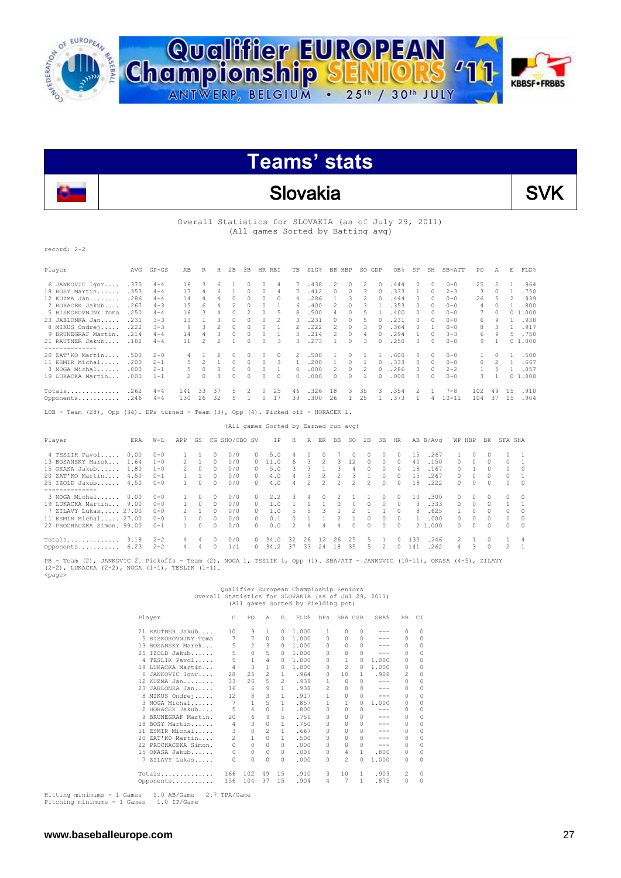



### Slovakia SVK



Overall Statistics for SLOVAKIA (as of July 29, 2011) (All games Sorted by Batting avg)

record: 2-2

| Player                                                                             | AVG   | $GP - GS$ | AB  | R              | Н              | 2B            | 3B             |          | HR RBI         | TB             | SLG%                                 | <b>BB</b> | HBP          | SO. | GDP          | OB <sub>8</sub> | SF            | SH           | $SB-ATT$  | PO.          | Α              | Е        | FLD%         |
|------------------------------------------------------------------------------------|-------|-----------|-----|----------------|----------------|---------------|----------------|----------|----------------|----------------|--------------------------------------|-----------|--------------|-----|--------------|-----------------|---------------|--------------|-----------|--------------|----------------|----------|--------------|
| 6 JANKOVIC Igor                                                                    | .375  | $4 - 4$   | 16  | 3              | 6              |               | $\Omega$       | 0        | 4              | 7              | .438                                 | 2         | 0            | 2   | 0            | .444            | 0             | 0            | $0 - 0$   | 25           |                |          | .964         |
| 18 BOSY Martin                                                                     | .353  | $4 - 4$   | 17  | 4              | 6              |               | 0              | 0        | 4              | 7              | .412                                 | 0         | 0            | 3   | 0            | .333            | 1             | $\Omega$     | $2 - 3$   | 3            | $\Omega$       | 1        | .750         |
| 12 KUZMA Jan                                                                       | .286  | $4 - 4$   | 14  | 4              | 4              | $\Omega$      | $\Omega$       | $\Omega$ | 0              | 4              | .286                                 |           | 3            | 2   | 0            | .444            | $\Omega$      | $\Omega$     | $0 - 0$   | 26           | 5              | 2        | .939         |
| 2 HORACEK Jakub                                                                    | .267  | $4 - 3$   | 15  | 6              |                | 2             |                | 0        |                | 6              | .400                                 | 2         | $\circ$      |     |              | .353            | 0             | $\Omega$     | $0 - 0$   | 4            | $\Omega$       |          | .800         |
| 5 BISKOROVNJNY Toma                                                                | .250  | $4 - 4$   | 16  | 3              | 4              | $\Omega$      | $\mathfrak{D}$ | $\Omega$ | 5.             | 8              | .500                                 | 4         | $\Omega$     |     |              | .400            | 0             | 0            | $0 - 0$   |              | $\Omega$       |          | 01.000       |
| 23 JABLONKA Jan                                                                    | .231  | $3 - 3$   | 13  |                | 3              | $\cap$        | $\cap$         | $\Omega$ | $\mathfrak{D}$ | २              | .231                                 | $\cap$    | $\Omega$     |     | $\Omega$     | .231            | $\cap$        | $\Omega$     | $0 - 0$   | 6            | 9              |          | 1 .938       |
| 8 MIKUS Ondrej                                                                     | .222  | $3 - 3$   | 9   | 3              | 2              | $\circ$       | $\circ$        | $\circ$  |                | $\mathfrak{D}$ | .222                                 | 2         | $\circ$      | 3   | $\Omega$     | .364            | $\Omega$      | $\mathbf{1}$ | $0 - 0$   | 8            | 3              | 1        | .917         |
| 9 BRUNEGRAF Martin.                                                                | .214  | $4 - 4$   | 14  | 4              | 3              | $\Omega$      | $\Omega$       | $\Omega$ | 1              | 3              | .214                                 | 2         | $\circ$      | 4   | 0            | .294            | 1             | $\Omega$     | $3 - 3$   | 6            | 9              |          | 5 .750       |
| 21 RAUTNER Jakub                                                                   | .182  | $4 - 4$   | 11  | 2              | $\mathfrak{D}$ |               | $\cap$         | $\cap$   | 3              | 3              | .273                                 |           | $\cap$       | 3   | $\cap$       | .250            | $\Omega$      | $\Omega$     | $0 - 0$   | 9            |                |          | 01.000       |
| -------------<br>20 ZAT'KO Martin                                                  | .500  | $2 - 0$   |     |                | 2              | $\Omega$      | $\mathcal{O}$  | 0        | 0              | 2              | .500                                 |           | 0            |     |              | .600            | $\Omega$      | $\Omega$     | $0 - 0$   |              | $\Omega$       | 1        | .500         |
| 11 ESMIR Michal                                                                    | .200  | $2 - 1$   | 5   | $\overline{c}$ |                | $\circ$       | $\Omega$       | $\circ$  | 3              | 1              | .200                                 |           | $\Omega$     |     | $\Omega$     | .333            | $\Omega$      | $\Omega$     | $0 - 0$   | 0            | $\mathfrak{D}$ | 1        | .667         |
| 3 NOGA Michal                                                                      | .000. | $2 - 1$   | 5   | 0              | $\circ$        | $\circ$       | $\circ$        | $\circ$  |                | $\Omega$       | .000                                 | 2         | 0            | 2   | $\Omega$     | .286            | $\Omega$      | $\Omega$     | $2 - 2$   | $\mathbf{1}$ | 5              | 1        | .857         |
| 19 LUKACKA Martin                                                                  | .000  | $1 - 1$   |     | $\Omega$       | n              | $\Omega$      | $\cap$         | $\cap$   | O.             | $\cap$         | .000                                 | $\cap$    | $\cap$       |     | $\Omega$     | .000            | $\Omega$      | $\Omega$     | $0 - 0$   | 3            | 1              |          | 01.000       |
| Totals                                                                             | .262  | $4 - 4$   | 141 | 33             | 37             | 5             | 2              | $\Omega$ | 25             | 46             | .326                                 | 18        | 3            | 35  | ्र           | .354            | $\mathcal{P}$ |              | $7 - 8$   | 102          | 49             | 1.5      | .910         |
| Opponents                                                                          | .246  | $4 - 4$   | 130 | 26             | 32             | 5             |                | 0        | 17             | 39             | .300                                 | 26        | $\mathbf{1}$ | 25  | $\mathbf{1}$ | .373            | 1             | 4            | $10 - 11$ | 104          | 37             | 1.5      | .904         |
| LOB - Team (28), Opp (34). DPs turned - Team (3), Opp (4). Picked off - HORACEK 1. |       |           |     |                |                |               |                |          |                |                |                                      |           |              |     |              |                 |               |              |           |              |                |          |              |
|                                                                                    |       |           |     |                |                |               |                |          |                |                | (All games Sorted by Earned run avg) |           |              |     |              |                 |               |              |           |              |                |          |              |
| Player                                                                             | ERA   | $W-L$     | APP | GS             |                | CG SHO/CBO SV |                |          | IP.            | Н              | R<br>ER                              | BB        | SO.          | 2B  | 3B           | HR.             |               | AB B/Ava     | WP HBP    | BK           |                | SFA SHA  |              |
| 4 TESLIK Pavol                                                                     | 0.00  | $0 - 0$   |     |                | $\Omega$       | 0/0           |                | 0.       | 5.0            |                | $\Omega$<br>$\Box$                   |           | $\Box$       | 0   | $\Omega$     | 0               | 1.5           | .267         | 1         | $\Omega$     | $\cap$         | $\Omega$ |              |
| 13 BOSANSKY Marek                                                                  | 1.64  | $1 - 0$   | 2   |                | $\Omega$       | 0/0           |                | 0        | 11.0           | 6              | 3<br>2                               | 3         | 12           | 0   | $\Omega$     | 0               | 40            | .150         | 0         | $\Omega$     | $\Omega$       | $\Omega$ | $\mathbf{1}$ |

| 13 BOSANSKY Marek          | 1.64 | $1 - 0$ | $\mathcal{P}$  |        |              | 0/0 | $\Omega$     | 11.0 | 6.             | 3. | 2             | 3             | 12            | 0        | 0             | 0        | 40  | .150    | 0              | 0            | $^{\circ}$ | 0      |            |
|----------------------------|------|---------|----------------|--------|--------------|-----|--------------|------|----------------|----|---------------|---------------|---------------|----------|---------------|----------|-----|---------|----------------|--------------|------------|--------|------------|
| 15 OKASA Jakub 1.80        |      | $1 - 0$ |                |        | 0            | 0/0 |              | 5.0  |                |    |               |               | 4             | $\Omega$ | 0             | 0        | 18  | .167    | 0.             |              |            |        | $\circ$    |
| 20 ZAT'KO Martin           | 4.50 | $0 - 1$ |                |        | $\Omega$     | 0/0 | $\Omega$     | 4.0  | 4              | 3. |               |               |               |          | $\cap$        | n.       | 1.5 | . 267   | $\cap$         | O.           | $\Omega$   |        |            |
| 25 IZOLD Jakub 4.50        |      | $0 - 0$ | $\mathbf{1}$   |        | $\Omega$     | 0/0 | $\Omega$     | 4.0  | 4              | 2. | $\mathcal{P}$ | $\mathcal{P}$ | $\mathcal{P}$ | 2        | $\cap$        | $\cap$   | 18  | .222    | $\Omega$       | $\cap$       | $\Box$     | O.     | $\circ$    |
| ----------                 |      |         |                |        |              |     |              |      |                |    |               |               |               |          |               |          |     |         |                |              |            |        |            |
| 3 NOGA Michal              | 0.00 | $0 - 0$ |                |        |              | 0/0 | 0            | 2.2  | -3             | 4  | $\mathbf{r}$  |               |               |          |               | 0        | 10  | .300    | 0              | <sup>n</sup> |            |        | $\Omega$   |
| 19 LUKACKA Martin          | 9.00 | $0 - 0$ |                | $\Box$ | $\Omega$     | 0/0 | $\mathbf{r}$ | 1.0  |                |    |               | $\cap$        | $\cap$        | $\Omega$ | $\Omega$      | $\cap$   | 3.  | .333    | $\cap$         | $\cap$       | $\cap$     |        |            |
| 7 ZILAVY Lukas 27.00       |      | $0 - 0$ | $\mathcal{P}$  |        | O.           | 0/0 | ∩.           | 1.0  |                | b. | 3             |               |               |          |               | $\cap$   | 8.  | .625    |                | n.           | $\Omega$   | 0      | $\circ$    |
| 11 ESMIR Michal 27.00      |      | $0 - 0$ |                | $\cap$ | $\Omega$     | 0/0 | $\cap$       | 0.1  | $\Omega$       |    |               |               |               | $\Omega$ | $\mathcal{O}$ | $\Omega$ |     | . 000   | $\cap$         | <sup>n</sup> | $\cap$     |        | $\circ$    |
| 22 PROCHACZKA Simon. 99.00 |      | $0 - 1$ |                |        | <sup>0</sup> | 0/0 | $\cap$       | 0.0  | $\overline{2}$ | 4  | 4             | $\Delta$      | $\cap$        | $\cap$   | $\cap$        | $\cap$   |     | 2 1,000 | $\cap$         | $\cap$       | $\Omega$   | $\cap$ | $\bigcirc$ |
| Totals                     | 3.18 | $2 - 2$ | 4              | 4      | $\Omega$     | 0/0 | $\Omega$     | 34.0 | 32             | 26 | 12            | 26            | 25            | -5       |               | $\Omega$ | 130 | .246    | 2              |              |            |        | - 4        |
| Opponents 6.23             |      | $2 - 2$ | $\overline{4}$ | 4      | $\Omega$     | 1/1 | $\Omega$     | 34.2 | 37             | 33 | 24            | 18            | 35            | -5       | 2             | $\Omega$ | 141 | .262    | $\overline{4}$ |              | $\Omega$   |        |            |
|                            |      |         |                |        |              |     |              |      |                |    |               |               |               |          |               |          |     |         |                |              |            |        |            |

PB - Team (2), JANKOVIC 2. Pickoffs - Team (2), NOGA 1, TESLIK 1, Opp (1). SBA/ATT - JANKOVIC (10-11), OKASA (4-5), ZILAVY (2-2), LUKACKA (2-2), NOGA (1-1), TESLIK (1-1). <page>

### Qualifier European Champioship Seniors<br>Overall Statistics for SLOVAKIA (as of Jul 29, 2011)<br>All games Sorted by Fielding pct)

|     | Player              | C              | PO       | Α             | E        | FLD%  | DPs          | SBA CSB        |              | SBA%  | PB       | CI        |
|-----|---------------------|----------------|----------|---------------|----------|-------|--------------|----------------|--------------|-------|----------|-----------|
|     | 21 RAUTNER Jakub    | 10             | 9        | 1             | $\Omega$ | 1.000 | 1            | 0              | 0            |       | $\Omega$ | $\bigcap$ |
|     | 5 BISKOROVNJNY Toma | 7              | 7        | $\Omega$      | 0        | 1,000 | $\cap$       | <sup>0</sup>   | 0            |       | $\Omega$ | $\Omega$  |
|     | 13 BOSANSKY Marek   | 5              | 2        | 3             | 0        | 1,000 | 0            | <sup>0</sup>   | 0            |       | $\Omega$ | $\Omega$  |
|     | 25 IZOLD Jakub      | 5              | $\Omega$ | 5             | 0        | 1,000 | 0            | <sup>0</sup>   | 0            |       | $\Omega$ | $\Omega$  |
| 4   | TESLIK Pavol        | 5              | 1        | 4             | 0        | 1,000 | <sup>0</sup> |                | O.           | 1,000 | 0        | $\Omega$  |
|     | 19 LUKACKA Martin   | 4              | 3        | 1             | 0        | 1,000 | <sup>0</sup> | 2              | O.           | 1,000 | 0        | $\Omega$  |
| 6   | JANKOVIC Igor       | 28             | 25       | 2             | 1.       | .964  | 0            | 10             | 1.           | .909  | 2        | $\circ$   |
|     | 12 KUZMA Jan        | 33             | 26       | 5             | 2        | .939  | 1            | <sup>0</sup>   | n            | ---   | $\Omega$ | $\Omega$  |
| 23. | JABLONKA Jan        | 16             | 6        | 9             | 1.       | .938  | 2            | 0              | 0            | ---   | $\Omega$ | $\Omega$  |
|     | 8 MIKUS Ondrej      | 12             | 8        | 3             | 1.       | .917  |              | 0              | 0            |       | $\Omega$ | $\Omega$  |
|     | 3 NOGA Michal       | 7              | 1        | 5             | 1.       | .857  |              |                | <sup>0</sup> | 1,000 | 0        | $\Omega$  |
|     | 2 HORACEK Jakub     | 5              | 4        | $\Omega$      | 1.       | .800  | <sup>0</sup> | <sup>0</sup>   | <sup>0</sup> | ---   | $\Omega$ | $\Omega$  |
| 9   | BRUNEGRAF Martin.   | 20             | 6        | 9             | 5        | .750  | 0            | 0              | $\Omega$     | ---   | $\Omega$ | $\Omega$  |
|     | 18 BOSY Martin      | 4              | 3        | $\Omega$      | 1        | .750  | <sup>0</sup> | <sup>0</sup>   | 0            | ---   | $\Omega$ | $\Omega$  |
| 11  | ESMIR Michal        | 3              | $\circ$  | $\mathcal{D}$ | 1.       | .667  | 0            | 0              | 0            | ---   | $\Omega$ | $\Omega$  |
| 20. | ZAT'KO Martin       | $\mathfrak{D}$ | 1        | $\Omega$      | 1.       | .500  | <sup>0</sup> | <sup>0</sup>   | 0            |       | $\Omega$ | $\Omega$  |
| 22  | PROCHACZKA Simon.   | $\Omega$       | $\Omega$ | $\Omega$      | 0        | .000  | 0            | 0              | 0            | ---   | $\Omega$ | $\Omega$  |
|     | 15 OKASA Jakub      | 0              | 0        | $\Omega$      | $\Omega$ | .000  | 0            | 4              | 1.           | .800  | $\Omega$ | $\Omega$  |
| 7   | ZILAVY Lukas        | 0              | 0        | $\Omega$      | $\Omega$ | .000  | 0            | $\mathfrak{D}$ | 0            | 1,000 | 0        | $\Omega$  |
|     | Totals              | 166            | 102      | 49            | 15       | .910  | 3            | 10             | 1            | .909  | 2        | 0         |
|     | Opponents           | 156            | 104      | 37            | 15       | .904  | 4            | 7              | 1.           | .875  | 0        | $\Omega$  |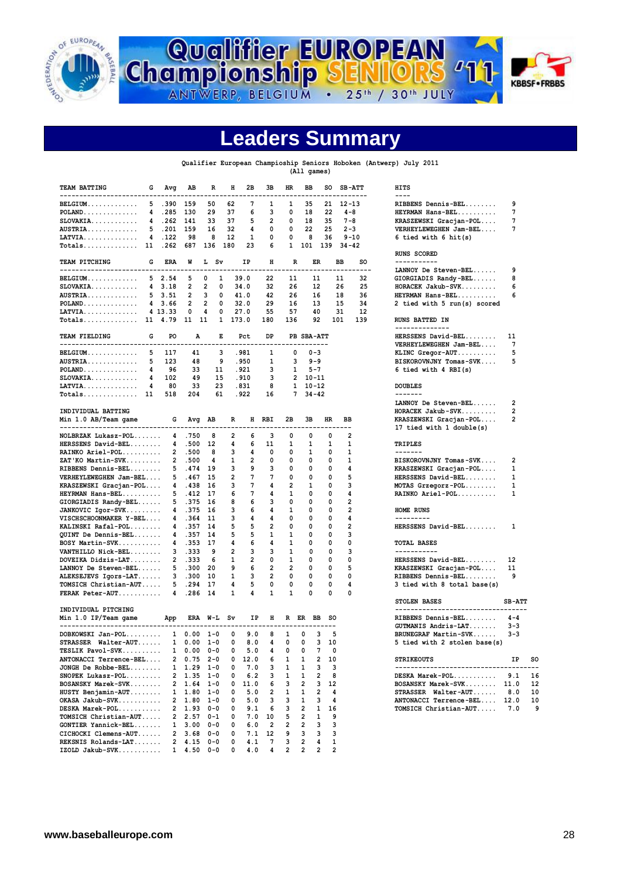



### **Leaders Summary**

#### **Qualifier European Champioship Seniors Hoboken (Antwerp) July 2011**

**(All games)**

| <b>TEAM BATTING</b><br>---------------------                                                                 | G | Avg            | AВ                                         | R              | н                       | 2В         | зв       | HR.            | ВB                               | so                  |                    | <b>SB-ATT</b>  | <b>HITS</b><br>$---$                                       |                |           |
|--------------------------------------------------------------------------------------------------------------|---|----------------|--------------------------------------------|----------------|-------------------------|------------|----------|----------------|----------------------------------|---------------------|--------------------|----------------|------------------------------------------------------------|----------------|-----------|
| BELGIUM                                                                                                      |   | 5.390          | 159                                        | 50             | 62                      | 7          | -1       | Π.             | 35                               |                     | $21 \quad 12 - 13$ |                | RIBBENS Dennis-BEL                                         | 9              |           |
| $POLAND$                                                                                                     | 4 | .285           | 130                                        | 29             | 37                      | 6          | 3        | 0              | 18                               | 22                  |                    | $4 - 8$        | HEYRMAN Hans-BEL                                           | 7              |           |
| $SLOVAKIA.$                                                                                                  |   | 4.262          | - 141                                      | 33             | 37                      | 5          | 2        | 0              | 18                               | 35                  |                    | $7 - 8$        | KRASZEWSKI Gracjan-POL                                     | 7              |           |
| AUSTRIA                                                                                                      |   | 5, 201         | 159                                        | 16             | 32                      | 4          | O        | 0              | 22                               | 25                  |                    | $2 - 3$        | VERHEYLEWEGHEN Jam-BEL                                     | 7              |           |
|                                                                                                              |   | 4.122          | 98                                         | 8              | 12                      |            | 0        | 0              | 8                                | 36                  |                    | $9 - 10$       |                                                            |                |           |
| $LATVIA.$<br>Totals 11 .262                                                                                  |   |                | 687                                        | 136            | 180                     | 1<br>23    | 6        | $\mathbf{1}$   | 101                              | 139                 | $34 - 42$          |                | $6$ tied with $6$ hit(s)                                   |                |           |
|                                                                                                              |   |                |                                            |                |                         |            |          |                |                                  |                     |                    |                | <b>RUNS SCORED</b>                                         |                |           |
| TEAM PITCHING                                                                                                | G | ERA            | W                                          | L Sv           |                         | ΙP         | н        | R              |                                  | ER                  | BB                 | SO             | -----------                                                |                |           |
| -------------------------                                                                                    |   |                | ----                                       |                |                         |            |          |                |                                  |                     |                    | ----           | LANNOY De Steven-BEL                                       | 9              |           |
| $BELGIUM.$                                                                                                   |   | 52.54          | 5                                          | 0              | 1                       | 39.0       | 22       | 11             |                                  | 11                  | 11                 | 32             | GIORGIADIS Randy-BEL                                       | 8              |           |
| $SLOVAKIA.$                                                                                                  |   | 4, 3.18        | 2                                          | $\overline{2}$ | 0                       | 34.0       | 32       | 26             |                                  | 12                  | 26                 | 25             | HORACEK Jakub-SVK                                          | 6              |           |
| AUSTRIA                                                                                                      |   | 5, 3.51        | 2                                          | 3              | 0                       | 41.0       | 42       | 26             |                                  | 16                  | 18                 | 36             | HEYRMAN Hans-BEL                                           | 6              |           |
| $POLAND$                                                                                                     |   | 4 3.66         | 2                                          | $\overline{2}$ | 0                       | 32.0       | 29       | 16             |                                  | 13                  | 15                 | 34             | 2 tied with 5 run(s) scored                                |                |           |
| $LATVIA.$                                                                                                    |   | 4 13.33        | 0                                          | 4              | 0                       | 27.0       | 55       | 57             |                                  | 40                  | 31                 | 12             |                                                            |                |           |
| $Totals$ 11 4.79                                                                                             |   |                | 11 11                                      |                | $\mathbf{1}$            | 173.0      | 180      | 136            |                                  | 92                  | 101                | 139            | <b>RUNS BATTED IN</b><br>--------------                    |                |           |
| TEAM FIELDING                                                                                                | G | PO             | Α                                          |                | Е                       | Pct        | DP       |                | PB SBA-ATT                       |                     |                    |                | HERSSENS David-BEL                                         | 11             |           |
| ----------------------                                                                                       |   |                |                                            |                |                         |            |          |                |                                  | ------              |                    |                | VERHEYLEWEGHEN Jam-BEL                                     | 7              |           |
| $BELGIUM$                                                                                                    | 5 | 117            | 41                                         |                | 3                       | .981       | 1        | 0              | $0 - 3$                          |                     |                    |                | KLINC Gregor-AUT                                           | 5              |           |
| AUSTRIA                                                                                                      | 5 | 123            | 48                                         |                | 9                       | .950       | 1        | 3              | $9 - 9$                          |                     |                    |                | BISKOROVNJNY Tomas-SVK                                     | 5              |           |
|                                                                                                              | 4 | 96             |                                            | 11             |                         |            | 3        | 1              | $5 - 7$                          |                     |                    |                |                                                            |                |           |
| $POLAND$                                                                                                     |   |                | 33                                         |                |                         | .921       |          |                |                                  |                     |                    |                | 6 tied with 4 RBI(s)                                       |                |           |
| $SLOVAKIA.$                                                                                                  | 4 | 102            | 49                                         | 15             |                         | .910       | 3        |                | $2 \t10-11$                      |                     |                    |                |                                                            |                |           |
| $LATVIA.$                                                                                                    | 4 | 80             | 33                                         | 23             |                         | .831       | 8        |                | $1 10 - 12$                      |                     |                    |                | <b>DOUBLES</b>                                             |                |           |
| $Totals$ 11                                                                                                  |   | 518            | 204                                        | 61             |                         | .922       | 16       |                | $34 - 42$                        |                     |                    |                | -------                                                    |                |           |
|                                                                                                              |   |                |                                            |                |                         |            |          |                |                                  |                     |                    |                | LANNOY De Steven-BEL                                       | 2              |           |
| INDIVIDUAL BATTING                                                                                           |   |                |                                            |                |                         |            |          |                |                                  |                     |                    |                | $HORACEK$ $Jakub-SVK$                                      | $\overline{c}$ |           |
| Min 1.0 AB/Team game                                                                                         |   | G              |                                            | Avg AB         | R                       |            | H RBI    | 2В             | ЗB                               | HR                  | BB                 |                | KRASZEWSKI Gracjan-POL                                     | $\overline{2}$ |           |
| --------------------------------                                                                             |   |                |                                            |                |                         |            |          |                |                                  |                     |                    |                | 17 tied with 1 double(s)                                   |                |           |
| NOLBRZAK Lukasz-POL                                                                                          |   | 4              | .750                                       | 8              | $\overline{\mathbf{2}}$ | 6          | 3        | 0              | 0                                | $\Omega$            |                    | 2              |                                                            |                |           |
| HERSSENS David-BEL                                                                                           |   | $\overline{4}$ | .500                                       | 12             | 4                       | 6          | 11       | 1              | 1                                | 1                   |                    | 1              | TRIPLES                                                    |                |           |
| RAINKO Ariel-POL                                                                                             |   |                | 2.500                                      | 8              | 3                       | 4          | 0        | 0              | 1                                | 0                   |                    | 1              | -------                                                    |                |           |
| ZAT'KO Martin-SVK                                                                                            |   | $\overline{2}$ | .500                                       | 4              | 1                       | 2          | O        | <sup>0</sup>   | 0                                | 0                   |                    | 1              | BISKOROVNJNY Tomas-SVK                                     | $\overline{2}$ |           |
| RIBBENS Dennis-BEL                                                                                           |   | 5              | .474                                       | 19             | з                       | 9          | 3        | 0              | 0                                | 0                   |                    | 4              | KRASZEWSKI Gracjan-POL                                     | 1              |           |
| VERHEYLEWEGHEN Jam-BEL                                                                                       |   | 5              | .467                                       | 15             | 2                       | 7          | 7        | 0              | 0                                | 0                   |                    | 5              | HERSSENS David-BEL                                         | 1              |           |
| KRASZEWSKI Gracjan-POL                                                                                       |   | 4              | .438                                       | 16             | з                       | 7          | 4        | $\overline{2}$ | 1                                | 0                   |                    | 3              | MOTAS Grzegorz-POL                                         | 1              |           |
| HEYRMAN Hans-BEL                                                                                             |   | 5              | .412                                       | 17             | 6                       | 7          | 4        | 1              | 0                                | 0                   |                    | 4              | RAINKO Ariel-POL                                           | 1              |           |
| GIORGIADIS Randy-BEL                                                                                         |   | 5              | .375                                       | 16             | 8                       | 6          | 3        | 0              | 0                                | 0                   |                    | $\overline{2}$ |                                                            |                |           |
|                                                                                                              |   | 4              | .375                                       | 16             | 3                       | 6          | 4        | 1              | 0                                | 0                   |                    | $\overline{2}$ | HOME RUNS                                                  |                |           |
| JANKOVIC Igor-SVK                                                                                            |   | 4              | .364                                       |                | з                       | 4          | 4        | 0              | 0                                | 0                   |                    | 4              | ---------                                                  |                |           |
| VISCHSCHOONMAKER Y-BEL                                                                                       |   |                |                                            | 11             |                         |            |          | 0              | 0                                | 0                   |                    | $\overline{2}$ |                                                            |                |           |
| KALINSKI Rafal-POL                                                                                           |   | 4              | .357                                       | 14             | 5                       | 5          | 2        |                |                                  |                     |                    |                | HERSSENS David-BEL                                         | 1              |           |
| QUINT De Dennis-BEL                                                                                          |   | 4              | .357                                       | 14             | 5                       | 5          | 1        | 1              | 0                                | 0                   |                    | 3              |                                                            |                |           |
| BOSY Martin-SVK                                                                                              |   | 4              | .353                                       | 17             | 4                       | 6          | 4        | 1              | 0                                | $\mathbf 0$         |                    | 0              | <b>TOTAL BASES</b>                                         |                |           |
| VANTHILLO Nick-BEL                                                                                           |   | 3              | .333                                       | 9              | 2                       | 3          | 3        | 1              | 0                                | 0                   |                    | 3              | -----------                                                |                |           |
| DOVEIKA Didzis-LAT                                                                                           |   | $\overline{2}$ | .333                                       | 6              | 1                       | 2          | 0        | 1              | 0                                | 0                   |                    | 0              | HERSSENS David-BEL                                         | 12             |           |
| LANNOY De Steven-BEL                                                                                         |   | 5              | .300                                       | 20             | 9                       | 6          | 2        | $\overline{2}$ | 0                                | 0                   |                    | 5              | KRASZEWSKI Gracjan-POL                                     | 11             |           |
| ALEKSEJEVS Igors-LAT                                                                                         |   | 3              | .300                                       | 10             | 1                       | 3          | 2        | 0              | 0                                | 0                   |                    | 0              | RIBBENS Dennis-BEL                                         | 9              |           |
| TOMSICH Christian-AUT                                                                                        |   | 5              | .294                                       | 17             | 4                       | 5          | 0        | 0              | 0                                | 0                   |                    | 4              | 3 tied with 8 total base(s)                                |                |           |
| FERAK Peter-AUT                                                                                              |   | 4              | .286                                       | 14             | 1                       | 4          | 1        | 1              | 0                                | 0                   |                    | 0              |                                                            |                |           |
| INDIVIDUAL PITCHING                                                                                          |   |                |                                            |                |                         |            |          |                |                                  |                     |                    |                | <b>STOLEN BASES</b><br>----------------------------------- | $SB-ATT$       |           |
| Min 1.0 IP/Team game                                                                                         |   | App            |                                            | ERA W-L Sv     |                         | ΙP         | н        |                | R ER BB                          | so                  |                    |                | RIBBENS Dennis-BEL                                         | $4 - 4$        |           |
| -------------------------------                                                                              |   |                |                                            |                |                         |            |          |                |                                  |                     |                    |                | GUTMANIS Andris-LAT                                        | $3 - 3$        |           |
| DOBKOWSKI Jan-POL                                                                                            |   |                | $1 \quad 0.00$                             | $1 - 0$        | 0                       | 9.0        | 8        | 1              | 0                                | з                   | 5                  |                | BRUNEGRAF Martin-SVK                                       | $3 - 3$        |           |
| STRASSER Walter-AUT                                                                                          |   |                | 1 0.00                                     | $1 - 0$        | 0                       | 8.0        | 4        | 0              | 0                                | 3<br>10             |                    |                | 5 tied with 2 stolen base(s)                               |                |           |
| TESLIK Pavol-SVK                                                                                             |   | $\mathbf{1}$   |                                            | $0.00 0 - 0$   | 0                       | 5.0        | 4        | 0              | 0                                | 7                   | 0                  |                |                                                            |                |           |
| ANTONACCI Terrence-BEL                                                                                       |   |                | $2 \t 0.75 \t 2-0$                         |                | 0                       | 12.0       | 6        | 1              | 1                                | 2<br>10             |                    |                | <b>STRIKEOUTS</b>                                          | IP             | <b>SO</b> |
| JONGH De Robbe-BEL                                                                                           |   |                | $1 \quad 1.29 \quad 1-0$                   |                | 0                       | 7.0        | з        | 1              | 1                                | з                   | 3                  |                | -----------------------------------                        |                |           |
| $SNOPEK$ Lukasz-POL                                                                                          |   |                | $2$ 1.35 1-0                               |                | 0                       | 6.2        | з        | $\mathbf{1}$   | 1                                | 2                   | 8                  |                | $DESKA$ Marek-POL                                          | 9.1            | 16        |
| BOSANSKY Marek-SVK                                                                                           |   |                | 2 1.64                                     | $1 - 0$        |                         | 0 11.0     | 6        | 3              | $\overline{2}$                   | 3<br>12             |                    |                | BOSANSKY Marek-SVK 11.0                                    |                | 12        |
|                                                                                                              |   |                |                                            | $1 - 0$        |                         | 5.0        | 2        |                | 1                                | 2                   | 4                  |                | STRASSER Walter-AUT                                        |                | 10        |
| HUSTY Benjamin-AUT                                                                                           |   |                |                                            |                | 0                       |            |          | 1              |                                  |                     |                    |                |                                                            | 8.0            |           |
|                                                                                                              |   |                | 1 1.80                                     |                |                         |            |          |                |                                  |                     |                    |                |                                                            |                |           |
|                                                                                                              |   |                | $2, 1, 80, 1-0$                            |                | 0                       | 5.0        | з        | 3              | 1                                | 3                   | 4                  |                | ANTONACCI Terrence-BEL 12.0                                |                | 10        |
|                                                                                                              |   |                | $2 \t1.93 \t0-0$                           |                | 0                       | 9.1        | 6        | 3              | $\overline{2}$                   | 1 16                |                    |                | TOMSICH Christian-AUT                                      | 7.0            | 9         |
|                                                                                                              |   |                | $2, 2.57$ $0-1$                            |                | 0                       |            | $7.0$ 10 | 5              | $\overline{2}$                   | 1                   | 9                  |                |                                                            |                |           |
|                                                                                                              |   |                | $1, 3.00, 0-0$                             |                | 0                       | 6.0        | 2        | 2              | $\overline{c}$                   | 3                   | 3                  |                |                                                            |                |           |
| OKASA Jakub-SVK<br>$DESKA$ Marek-POL<br>TOMSICH Christian-AUT<br>GONTIER Yannick-BEL<br>CICHOCKI Clemens-AUT |   |                | $2, 3.68, 0-0$                             |                | 0                       |            | $7.1$ 12 | 9              | з                                | 3                   | 3                  |                |                                                            |                |           |
| REKSNIS Rolands-LAT<br>$IZOLD$ $Jakub-SVK$                                                                   |   |                | $2, 4.15, 0-0$<br>$1 \quad 4.50 \quad 0-0$ |                | 0<br>0                  | 4.1<br>4.0 | 7<br>4   | 3<br>2         | $\overline{2}$<br>$\overline{2}$ | 4<br>$\overline{2}$ | 1<br>2             |                |                                                            |                |           |